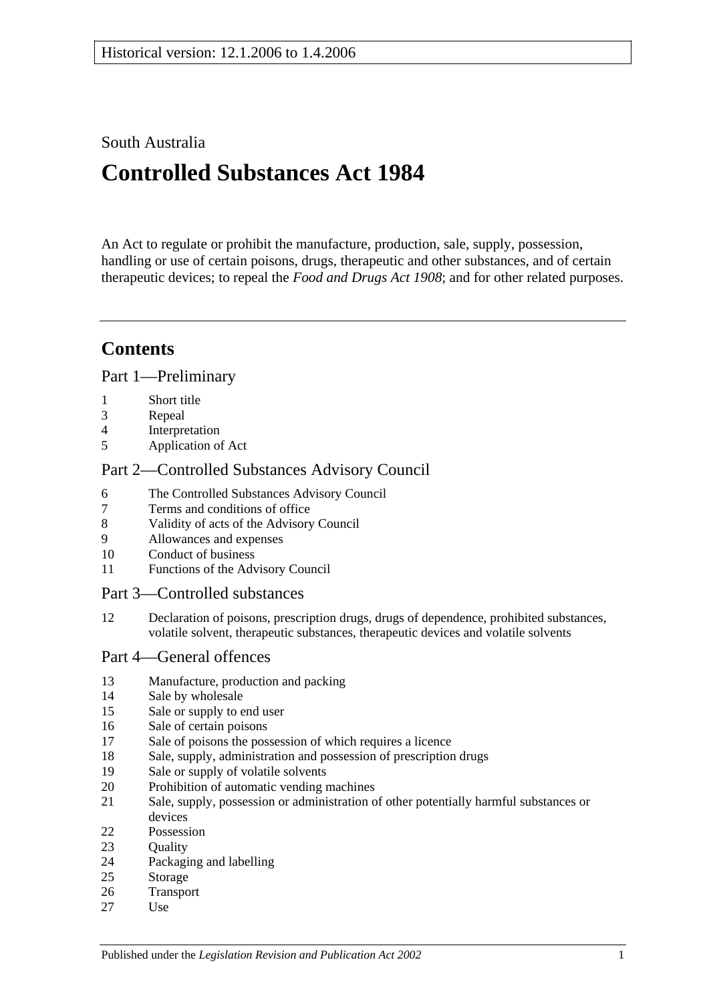## South Australia

# **Controlled Substances Act 1984**

An Act to regulate or prohibit the manufacture, production, sale, supply, possession, handling or use of certain poisons, drugs, therapeutic and other substances, and of certain therapeutic devices; to repeal the *[Food and Drugs Act](http://www.legislation.sa.gov.au/index.aspx?action=legref&type=act&legtitle=Food%20and%20Drugs%20Act%201908) 1908*; and for other related purposes.

## **Contents**

[Part 1—Preliminary](#page-2-0)

- [Short title](#page-2-1)
- [Repeal](#page-2-2)
- [Interpretation](#page-2-3)
- [Application of Act](#page-4-0)

## [Part 2—Controlled Substances Advisory Council](#page-4-1)

- [The Controlled Substances Advisory Council](#page-4-2)
- [Terms and conditions of office](#page-5-0)
- [Validity of acts of the Advisory Council](#page-5-1)
- [Allowances and expenses](#page-5-2)
- [Conduct of business](#page-5-3)
- [Functions of the Advisory Council](#page-6-0)

#### [Part 3—Controlled substances](#page-7-0)

 [Declaration of poisons, prescription drugs, drugs of dependence, prohibited substances,](#page-7-1)  [volatile solvent, therapeutic substances, therapeutic devices and volatile solvents](#page-7-1)

#### [Part 4—General offences](#page-8-0)

- [Manufacture, production and packing](#page-8-1)
- [Sale by wholesale](#page-8-2)
- [Sale or supply to end user](#page-8-3)
- [Sale of certain poisons](#page-9-0)
- [Sale of poisons the possession of which requires a licence](#page-9-1)
- [Sale, supply, administration and possession of prescription drugs](#page-9-2)
- [Sale or supply of volatile solvents](#page-10-0)
- [Prohibition of automatic vending machines](#page-10-1)
- [Sale, supply, possession or administration of other potentially harmful substances or](#page-11-0)  [devices](#page-11-0)
- [Possession](#page-11-1)
- 23 Ouality
- [Packaging and labelling](#page-12-0)
- [Storage](#page-12-1)
- [Transport](#page-12-2)
- [Use](#page-12-3)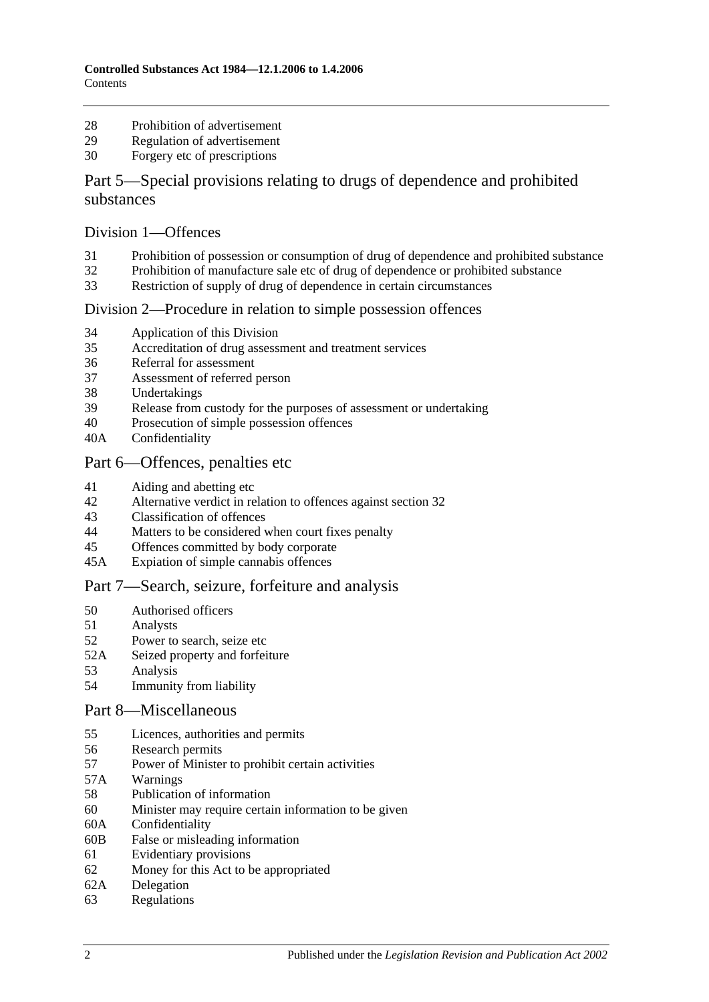- [Prohibition of advertisement](#page-12-4)
- [Regulation of advertisement](#page-12-5)
- [Forgery etc of prescriptions](#page-12-6)

## [Part 5—Special provisions relating to drugs of dependence and prohibited](#page-13-0)  [substances](#page-13-0)

#### [Division 1—Offences](#page-13-1)

- [Prohibition of possession or consumption of drug of dependence and prohibited substance](#page-13-2)
- [Prohibition of manufacture sale etc of drug of dependence or prohibited substance](#page-14-0)
- [Restriction of supply of drug of dependence in certain circumstances](#page-17-0)

#### [Division 2—Procedure in relation to simple possession offences](#page-18-0)

- [Application of this Division](#page-18-1)
- [Accreditation of drug assessment and treatment services](#page-18-2)
- [Referral for assessment](#page-19-0)
- [Assessment of referred person](#page-19-1)
- [Undertakings](#page-20-0)
- [Release from custody for the purposes of assessment or undertaking](#page-21-0)
- [Prosecution of simple possession offences](#page-21-1)
- 40A [Confidentiality](#page-21-2)

#### [Part 6—Offences, penalties etc](#page-21-3)

- [Aiding and abetting etc](#page-21-4)
- [Alternative verdict in relation to offences against section](#page-22-0) 32
- [Classification of offences](#page-22-1)
- [Matters to be considered when court fixes penalty](#page-22-2)
- [Offences committed by body corporate](#page-23-0)
- 45A [Expiation of simple cannabis offences](#page-23-1)

#### [Part 7—Search, seizure, forfeiture and analysis](#page-24-0)

- [Authorised officers](#page-24-1)
- [Analysts](#page-24-2)
- [Power to search, seize etc](#page-24-3)
- 52A [Seized property and forfeiture](#page-26-0)
- [Analysis](#page-28-0)
- [Immunity from liability](#page-28-1)

#### [Part 8—Miscellaneous](#page-28-2)

- [Licences, authorities and permits](#page-28-3)
- [Research permits](#page-29-0)
- [Power of Minister to prohibit certain activities](#page-29-1)
- 57A [Warnings](#page-30-0)
- [Publication of information](#page-31-0)
- [Minister may require certain information to be given](#page-31-1)
- 60A [Confidentiality](#page-32-0)
- 60B [False or misleading information](#page-33-0)
- [Evidentiary provisions](#page-33-1)
- [Money for this Act to be appropriated](#page-33-2)
- 62A [Delegation](#page-33-3)
- [Regulations](#page-33-4)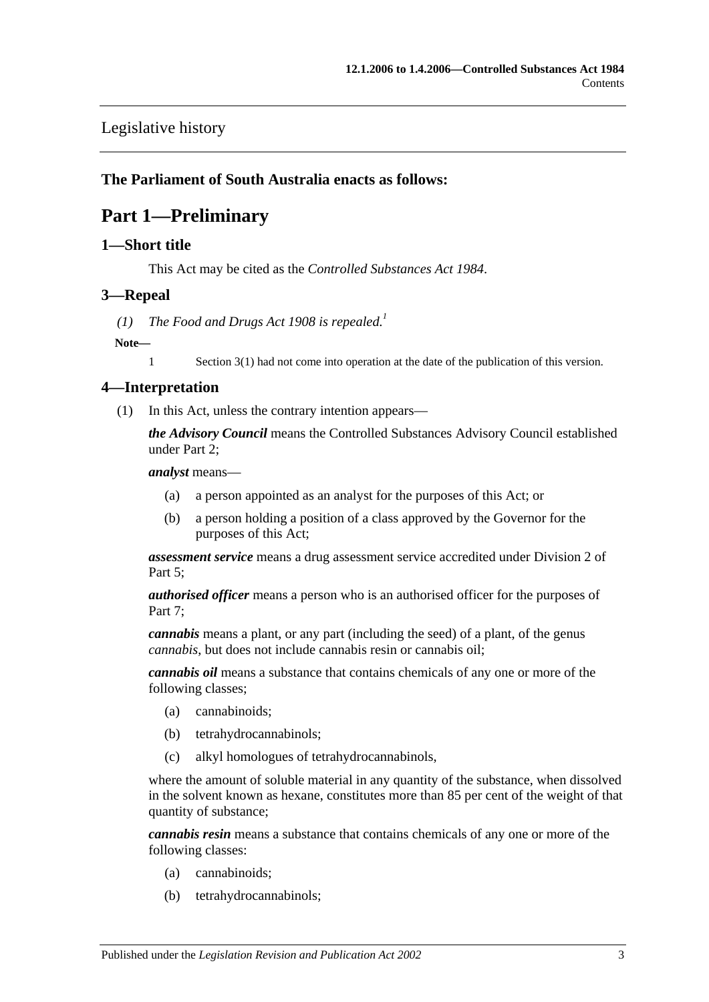## [Legislative history](#page-36-0)

## <span id="page-2-0"></span>**The Parliament of South Australia enacts as follows:**

## **Part 1—Preliminary**

#### <span id="page-2-1"></span>**1—Short title**

This Act may be cited as the *Controlled Substances Act 1984*.

#### <span id="page-2-2"></span>**3—Repeal**

(1) *The [Food and Drugs Act](http://www.legislation.sa.gov.au/index.aspx?action=legref&type=act&legtitle=Food%20and%20Drugs%20Act%201908) 1908 is repealed.*<sup>1</sup>

#### **Note—**

1 Section 3(1) had not come into operation at the date of the publication of this version.

#### <span id="page-2-3"></span>**4—Interpretation**

(1) In this Act, unless the contrary intention appears—

*the Advisory Council* means the Controlled Substances Advisory Council established under [Part 2;](#page-4-1)

*analyst* means—

- (a) a person appointed as an analyst for the purposes of this Act; or
- (b) a person holding a position of a class approved by the Governor for the purposes of this Act;

*assessment service* means a drug assessment service accredited under [Division 2](#page-18-0) of [Part 5;](#page-13-0)

*authorised officer* means a person who is an authorised officer for the purposes of Part 7:

*cannabis* means a plant, or any part (including the seed) of a plant, of the genus *cannabis*, but does not include cannabis resin or cannabis oil;

*cannabis oil* means a substance that contains chemicals of any one or more of the following classes;

- (a) cannabinoids;
- (b) tetrahydrocannabinols;
- (c) alkyl homologues of tetrahydrocannabinols,

where the amount of soluble material in any quantity of the substance, when dissolved in the solvent known as hexane, constitutes more than 85 per cent of the weight of that quantity of substance;

*cannabis resin* means a substance that contains chemicals of any one or more of the following classes:

- (a) cannabinoids;
- (b) tetrahydrocannabinols;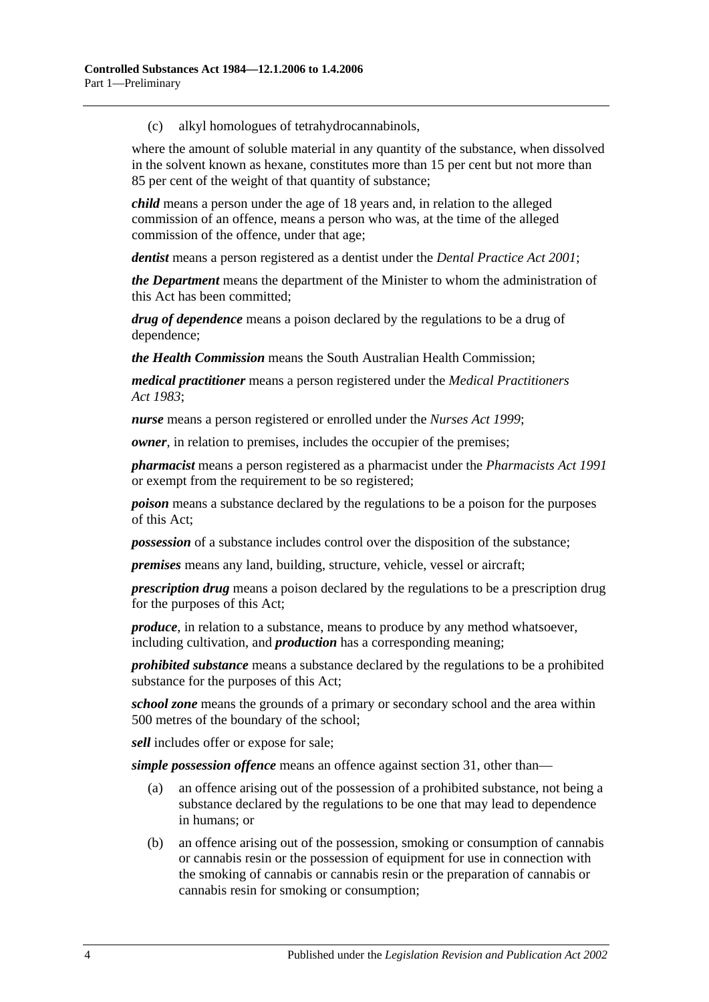(c) alkyl homologues of tetrahydrocannabinols,

where the amount of soluble material in any quantity of the substance, when dissolved in the solvent known as hexane, constitutes more than 15 per cent but not more than 85 per cent of the weight of that quantity of substance;

*child* means a person under the age of 18 years and, in relation to the alleged commission of an offence, means a person who was, at the time of the alleged commission of the offence, under that age;

*dentist* means a person registered as a dentist under the *[Dental Practice Act](http://www.legislation.sa.gov.au/index.aspx?action=legref&type=act&legtitle=Dental%20Practice%20Act%202001) 2001*;

*the Department* means the department of the Minister to whom the administration of this Act has been committed;

*drug of dependence* means a poison declared by the regulations to be a drug of dependence;

*the Health Commission* means the South Australian Health Commission;

*medical practitioner* means a person registered under the *[Medical Practitioners](http://www.legislation.sa.gov.au/index.aspx?action=legref&type=act&legtitle=Medical%20Practitioners%20Act%201983)  Act [1983](http://www.legislation.sa.gov.au/index.aspx?action=legref&type=act&legtitle=Medical%20Practitioners%20Act%201983)*;

*nurse* means a person registered or enrolled under the *[Nurses Act](http://www.legislation.sa.gov.au/index.aspx?action=legref&type=act&legtitle=Nurses%20Act%201999) 1999*;

*owner*, in relation to premises, includes the occupier of the premises;

*pharmacist* means a person registered as a pharmacist under the *[Pharmacists Act](http://www.legislation.sa.gov.au/index.aspx?action=legref&type=act&legtitle=Pharmacists%20Act%201991) 1991* or exempt from the requirement to be so registered;

*poison* means a substance declared by the regulations to be a poison for the purposes of this Act;

*possession* of a substance includes control over the disposition of the substance;

*premises* means any land, building, structure, vehicle, vessel or aircraft;

*prescription drug* means a poison declared by the regulations to be a prescription drug for the purposes of this Act;

*produce*, in relation to a substance, means to produce by any method whatsoever, including cultivation, and *production* has a corresponding meaning;

*prohibited substance* means a substance declared by the regulations to be a prohibited substance for the purposes of this Act;

*school zone* means the grounds of a primary or secondary school and the area within 500 metres of the boundary of the school;

*sell* includes offer or expose for sale;

*simple possession offence* means an offence against [section](#page-13-2) 31, other than—

- (a) an offence arising out of the possession of a prohibited substance, not being a substance declared by the regulations to be one that may lead to dependence in humans; or
- (b) an offence arising out of the possession, smoking or consumption of cannabis or cannabis resin or the possession of equipment for use in connection with the smoking of cannabis or cannabis resin or the preparation of cannabis or cannabis resin for smoking or consumption;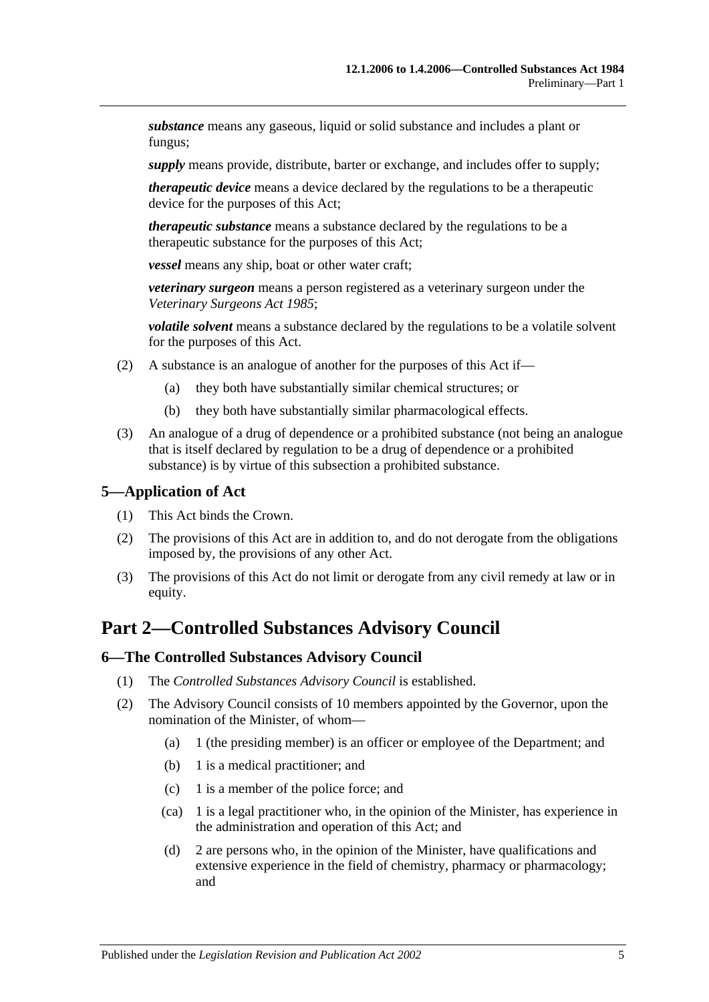*substance* means any gaseous, liquid or solid substance and includes a plant or fungus;

*supply* means provide, distribute, barter or exchange, and includes offer to supply;

*therapeutic device* means a device declared by the regulations to be a therapeutic device for the purposes of this Act;

*therapeutic substance* means a substance declared by the regulations to be a therapeutic substance for the purposes of this Act;

*vessel* means any ship, boat or other water craft;

*veterinary surgeon* means a person registered as a veterinary surgeon under the *[Veterinary Surgeons Act](http://www.legislation.sa.gov.au/index.aspx?action=legref&type=act&legtitle=Veterinary%20Surgeons%20Act%201985) 1985*;

*volatile solvent* means a substance declared by the regulations to be a volatile solvent for the purposes of this Act.

- (2) A substance is an analogue of another for the purposes of this Act if—
	- (a) they both have substantially similar chemical structures; or
	- (b) they both have substantially similar pharmacological effects.
- (3) An analogue of a drug of dependence or a prohibited substance (not being an analogue that is itself declared by regulation to be a drug of dependence or a prohibited substance) is by virtue of this subsection a prohibited substance.

## <span id="page-4-0"></span>**5—Application of Act**

- (1) This Act binds the Crown.
- (2) The provisions of this Act are in addition to, and do not derogate from the obligations imposed by, the provisions of any other Act.
- (3) The provisions of this Act do not limit or derogate from any civil remedy at law or in equity.

## <span id="page-4-1"></span>**Part 2—Controlled Substances Advisory Council**

#### <span id="page-4-2"></span>**6—The Controlled Substances Advisory Council**

- (1) The *Controlled Substances Advisory Council* is established.
- (2) The Advisory Council consists of 10 members appointed by the Governor, upon the nomination of the Minister, of whom—
	- (a) 1 (the presiding member) is an officer or employee of the Department; and
	- (b) 1 is a medical practitioner; and
	- (c) 1 is a member of the police force; and
	- (ca) 1 is a legal practitioner who, in the opinion of the Minister, has experience in the administration and operation of this Act; and
	- (d) 2 are persons who, in the opinion of the Minister, have qualifications and extensive experience in the field of chemistry, pharmacy or pharmacology; and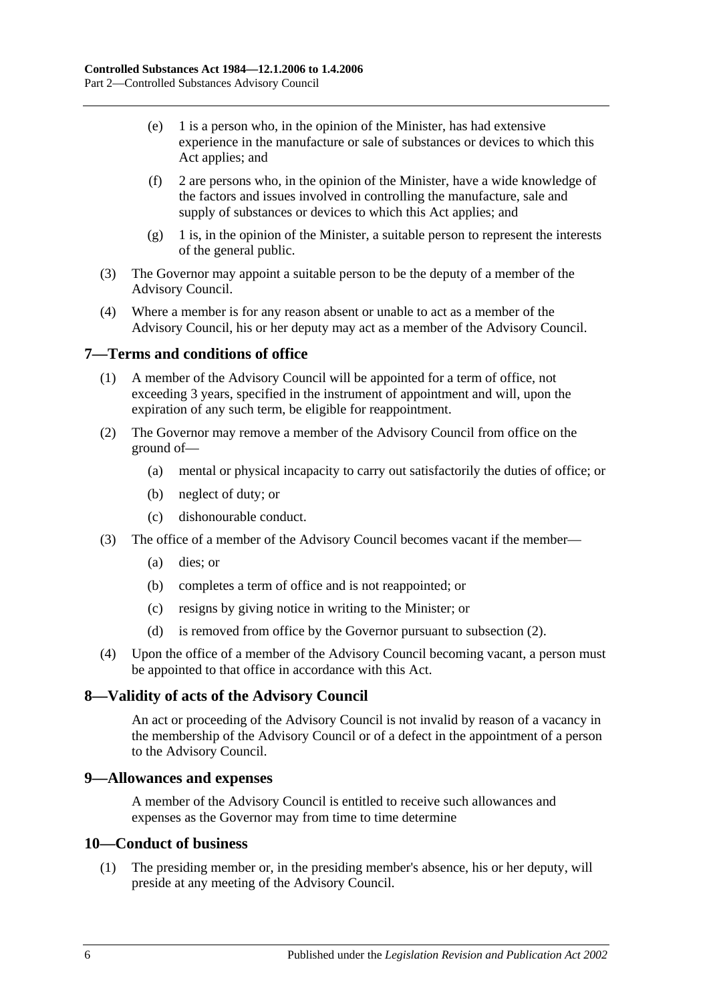- (e) 1 is a person who, in the opinion of the Minister, has had extensive experience in the manufacture or sale of substances or devices to which this Act applies; and
- (f) 2 are persons who, in the opinion of the Minister, have a wide knowledge of the factors and issues involved in controlling the manufacture, sale and supply of substances or devices to which this Act applies; and
- (g) 1 is, in the opinion of the Minister, a suitable person to represent the interests of the general public.
- (3) The Governor may appoint a suitable person to be the deputy of a member of the Advisory Council.
- (4) Where a member is for any reason absent or unable to act as a member of the Advisory Council, his or her deputy may act as a member of the Advisory Council.

## <span id="page-5-0"></span>**7—Terms and conditions of office**

- (1) A member of the Advisory Council will be appointed for a term of office, not exceeding 3 years, specified in the instrument of appointment and will, upon the expiration of any such term, be eligible for reappointment.
- <span id="page-5-4"></span>(2) The Governor may remove a member of the Advisory Council from office on the ground of—
	- (a) mental or physical incapacity to carry out satisfactorily the duties of office; or
	- (b) neglect of duty; or
	- (c) dishonourable conduct.
- (3) The office of a member of the Advisory Council becomes vacant if the member—
	- (a) dies; or
	- (b) completes a term of office and is not reappointed; or
	- (c) resigns by giving notice in writing to the Minister; or
	- (d) is removed from office by the Governor pursuant to [subsection](#page-5-4) (2).
- (4) Upon the office of a member of the Advisory Council becoming vacant, a person must be appointed to that office in accordance with this Act.

## <span id="page-5-1"></span>**8—Validity of acts of the Advisory Council**

An act or proceeding of the Advisory Council is not invalid by reason of a vacancy in the membership of the Advisory Council or of a defect in the appointment of a person to the Advisory Council.

#### <span id="page-5-2"></span>**9—Allowances and expenses**

A member of the Advisory Council is entitled to receive such allowances and expenses as the Governor may from time to time determine

#### <span id="page-5-3"></span>**10—Conduct of business**

(1) The presiding member or, in the presiding member's absence, his or her deputy, will preside at any meeting of the Advisory Council.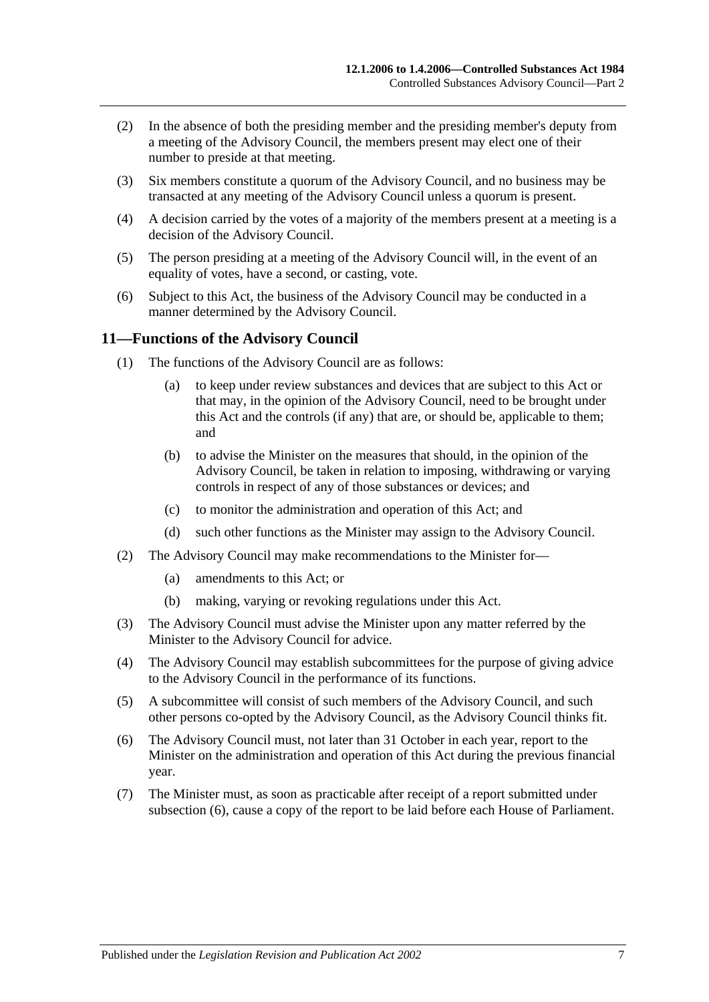- (2) In the absence of both the presiding member and the presiding member's deputy from a meeting of the Advisory Council, the members present may elect one of their number to preside at that meeting.
- (3) Six members constitute a quorum of the Advisory Council, and no business may be transacted at any meeting of the Advisory Council unless a quorum is present.
- (4) A decision carried by the votes of a majority of the members present at a meeting is a decision of the Advisory Council.
- (5) The person presiding at a meeting of the Advisory Council will, in the event of an equality of votes, have a second, or casting, vote.
- (6) Subject to this Act, the business of the Advisory Council may be conducted in a manner determined by the Advisory Council.

#### <span id="page-6-0"></span>**11—Functions of the Advisory Council**

- (1) The functions of the Advisory Council are as follows:
	- (a) to keep under review substances and devices that are subject to this Act or that may, in the opinion of the Advisory Council, need to be brought under this Act and the controls (if any) that are, or should be, applicable to them; and
	- (b) to advise the Minister on the measures that should, in the opinion of the Advisory Council, be taken in relation to imposing, withdrawing or varying controls in respect of any of those substances or devices; and
	- (c) to monitor the administration and operation of this Act; and
	- (d) such other functions as the Minister may assign to the Advisory Council.
- (2) The Advisory Council may make recommendations to the Minister for—
	- (a) amendments to this Act; or
	- (b) making, varying or revoking regulations under this Act.
- (3) The Advisory Council must advise the Minister upon any matter referred by the Minister to the Advisory Council for advice.
- (4) The Advisory Council may establish subcommittees for the purpose of giving advice to the Advisory Council in the performance of its functions.
- (5) A subcommittee will consist of such members of the Advisory Council, and such other persons co-opted by the Advisory Council, as the Advisory Council thinks fit.
- <span id="page-6-1"></span>(6) The Advisory Council must, not later than 31 October in each year, report to the Minister on the administration and operation of this Act during the previous financial year.
- (7) The Minister must, as soon as practicable after receipt of a report submitted under [subsection](#page-6-1) (6), cause a copy of the report to be laid before each House of Parliament.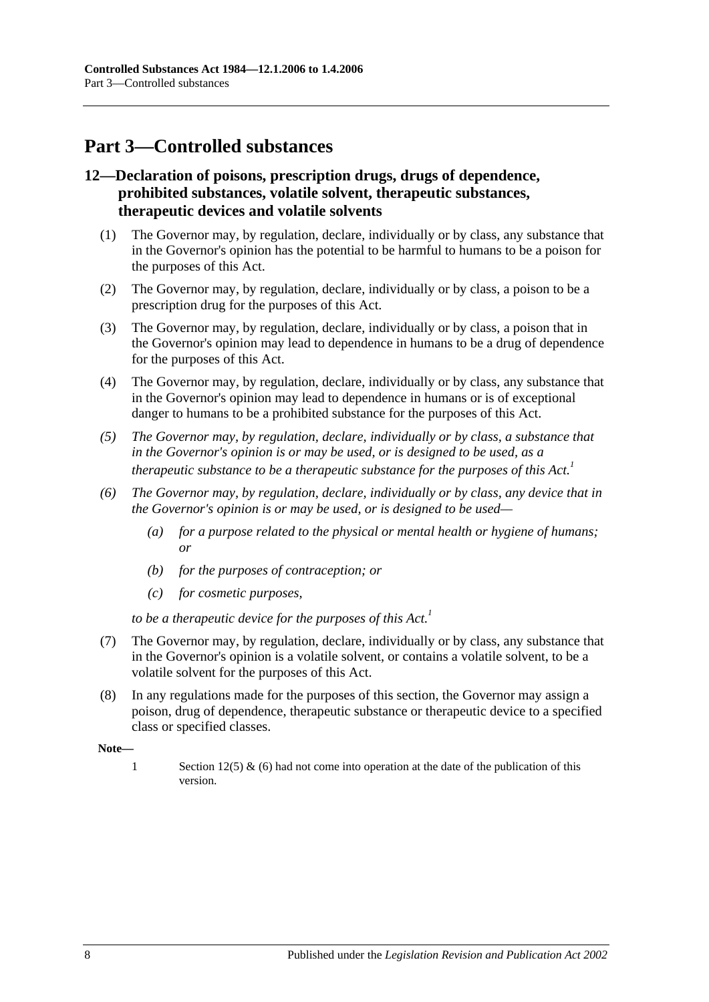# <span id="page-7-0"></span>**Part 3—Controlled substances**

## <span id="page-7-1"></span>**12—Declaration of poisons, prescription drugs, drugs of dependence, prohibited substances, volatile solvent, therapeutic substances, therapeutic devices and volatile solvents**

- (1) The Governor may, by regulation, declare, individually or by class, any substance that in the Governor's opinion has the potential to be harmful to humans to be a poison for the purposes of this Act.
- (2) The Governor may, by regulation, declare, individually or by class, a poison to be a prescription drug for the purposes of this Act.
- (3) The Governor may, by regulation, declare, individually or by class, a poison that in the Governor's opinion may lead to dependence in humans to be a drug of dependence for the purposes of this Act.
- (4) The Governor may, by regulation, declare, individually or by class, any substance that in the Governor's opinion may lead to dependence in humans or is of exceptional danger to humans to be a prohibited substance for the purposes of this Act.
- *(5) The Governor may, by regulation, declare, individually or by class, a substance that in the Governor's opinion is or may be used, or is designed to be used, as a therapeutic substance to be a therapeutic substance for the purposes of this Act.*<sup>1</sup>
- *(6) The Governor may, by regulation, declare, individually or by class, any device that in the Governor's opinion is or may be used, or is designed to be used—*
	- *(a) for a purpose related to the physical or mental health or hygiene of humans; or*
	- *(b) for the purposes of contraception; or*
	- *(c) for cosmetic purposes,*

*to be a therapeutic device for the purposes of this Act.*<sup>1</sup>

- (7) The Governor may, by regulation, declare, individually or by class, any substance that in the Governor's opinion is a volatile solvent, or contains a volatile solvent, to be a volatile solvent for the purposes of this Act.
- (8) In any regulations made for the purposes of this section, the Governor may assign a poison, drug of dependence, therapeutic substance or therapeutic device to a specified class or specified classes.

**Note—**

1 Section 12(5) & (6) had not come into operation at the date of the publication of this version.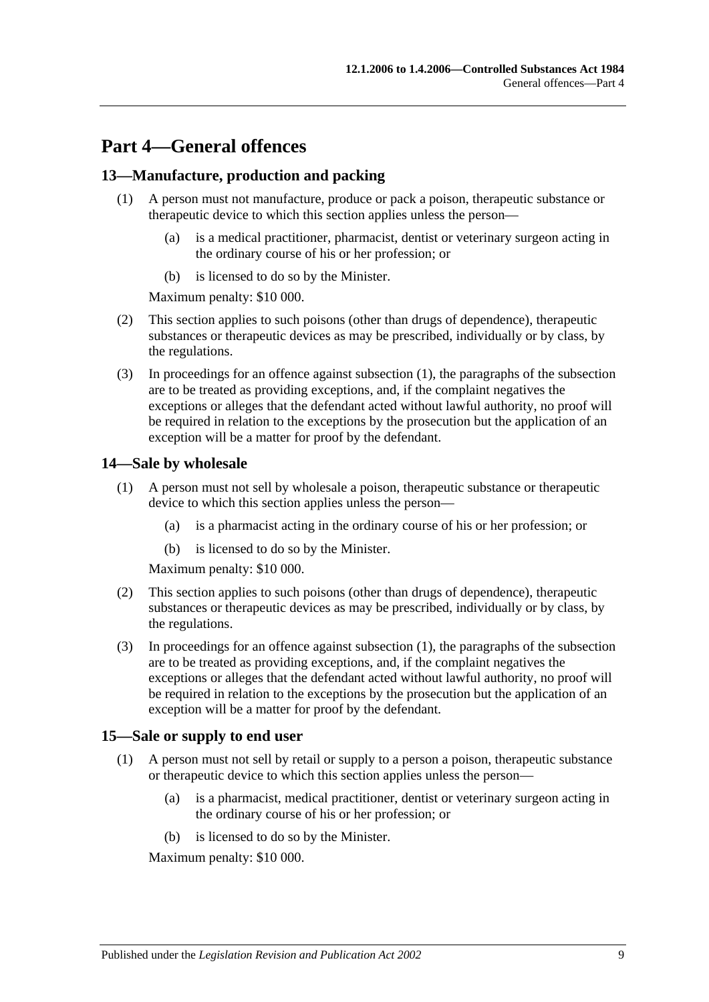# <span id="page-8-0"></span>**Part 4—General offences**

## <span id="page-8-4"></span><span id="page-8-1"></span>**13—Manufacture, production and packing**

- (1) A person must not manufacture, produce or pack a poison, therapeutic substance or therapeutic device to which this section applies unless the person—
	- (a) is a medical practitioner, pharmacist, dentist or veterinary surgeon acting in the ordinary course of his or her profession; or
	- (b) is licensed to do so by the Minister.

Maximum penalty: \$10 000.

- (2) This section applies to such poisons (other than drugs of dependence), therapeutic substances or therapeutic devices as may be prescribed, individually or by class, by the regulations.
- (3) In proceedings for an offence against [subsection](#page-8-4) (1), the paragraphs of the subsection are to be treated as providing exceptions, and, if the complaint negatives the exceptions or alleges that the defendant acted without lawful authority, no proof will be required in relation to the exceptions by the prosecution but the application of an exception will be a matter for proof by the defendant.

#### <span id="page-8-5"></span><span id="page-8-2"></span>**14—Sale by wholesale**

- (1) A person must not sell by wholesale a poison, therapeutic substance or therapeutic device to which this section applies unless the person—
	- (a) is a pharmacist acting in the ordinary course of his or her profession; or
	- (b) is licensed to do so by the Minister.

Maximum penalty: \$10 000.

- (2) This section applies to such poisons (other than drugs of dependence), therapeutic substances or therapeutic devices as may be prescribed, individually or by class, by the regulations.
- (3) In proceedings for an offence against [subsection](#page-8-5) (1), the paragraphs of the subsection are to be treated as providing exceptions, and, if the complaint negatives the exceptions or alleges that the defendant acted without lawful authority, no proof will be required in relation to the exceptions by the prosecution but the application of an exception will be a matter for proof by the defendant.

## <span id="page-8-6"></span><span id="page-8-3"></span>**15—Sale or supply to end user**

- (1) A person must not sell by retail or supply to a person a poison, therapeutic substance or therapeutic device to which this section applies unless the person—
	- (a) is a pharmacist, medical practitioner, dentist or veterinary surgeon acting in the ordinary course of his or her profession; or
	- (b) is licensed to do so by the Minister.

Maximum penalty: \$10 000.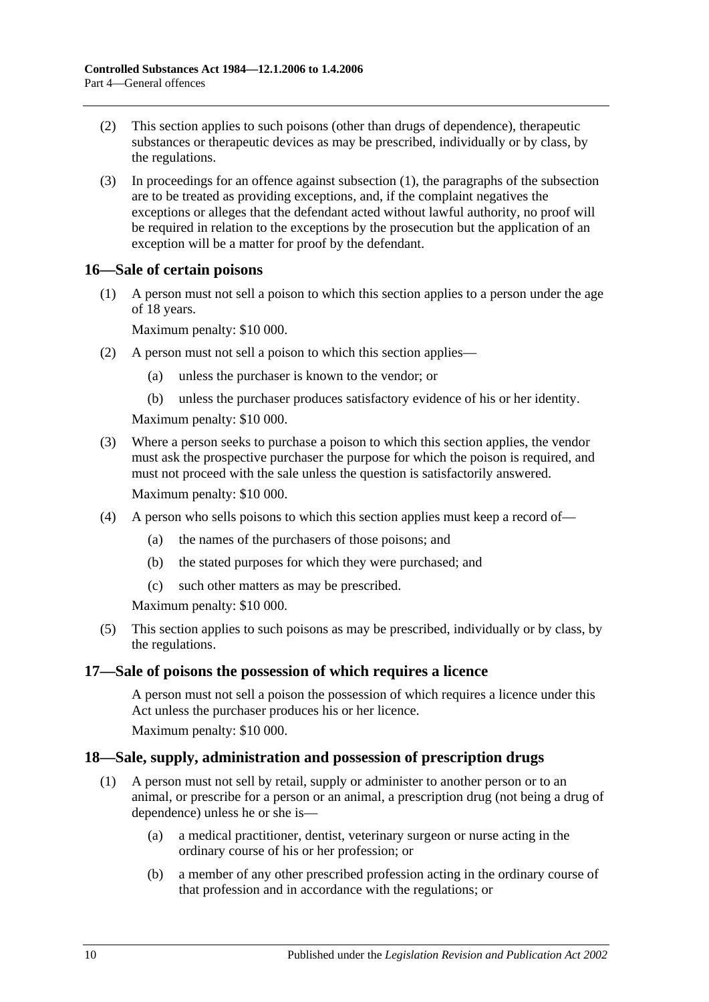- (2) This section applies to such poisons (other than drugs of dependence), therapeutic substances or therapeutic devices as may be prescribed, individually or by class, by the regulations.
- (3) In proceedings for an offence against [subsection](#page-8-6) (1), the paragraphs of the subsection are to be treated as providing exceptions, and, if the complaint negatives the exceptions or alleges that the defendant acted without lawful authority, no proof will be required in relation to the exceptions by the prosecution but the application of an exception will be a matter for proof by the defendant.

## <span id="page-9-0"></span>**16—Sale of certain poisons**

(1) A person must not sell a poison to which this section applies to a person under the age of 18 years.

Maximum penalty: \$10 000.

- (2) A person must not sell a poison to which this section applies—
	- (a) unless the purchaser is known to the vendor; or
	- (b) unless the purchaser produces satisfactory evidence of his or her identity.

Maximum penalty: \$10 000.

- (3) Where a person seeks to purchase a poison to which this section applies, the vendor must ask the prospective purchaser the purpose for which the poison is required, and must not proceed with the sale unless the question is satisfactorily answered. Maximum penalty: \$10 000.
- (4) A person who sells poisons to which this section applies must keep a record of—
	- (a) the names of the purchasers of those poisons; and
	- (b) the stated purposes for which they were purchased; and
	- (c) such other matters as may be prescribed.

Maximum penalty: \$10 000.

(5) This section applies to such poisons as may be prescribed, individually or by class, by the regulations.

## <span id="page-9-1"></span>**17—Sale of poisons the possession of which requires a licence**

A person must not sell a poison the possession of which requires a licence under this Act unless the purchaser produces his or her licence.

Maximum penalty: \$10 000.

## <span id="page-9-3"></span><span id="page-9-2"></span>**18—Sale, supply, administration and possession of prescription drugs**

- (1) A person must not sell by retail, supply or administer to another person or to an animal, or prescribe for a person or an animal, a prescription drug (not being a drug of dependence) unless he or she is—
	- (a) a medical practitioner, dentist, veterinary surgeon or nurse acting in the ordinary course of his or her profession; or
	- (b) a member of any other prescribed profession acting in the ordinary course of that profession and in accordance with the regulations; or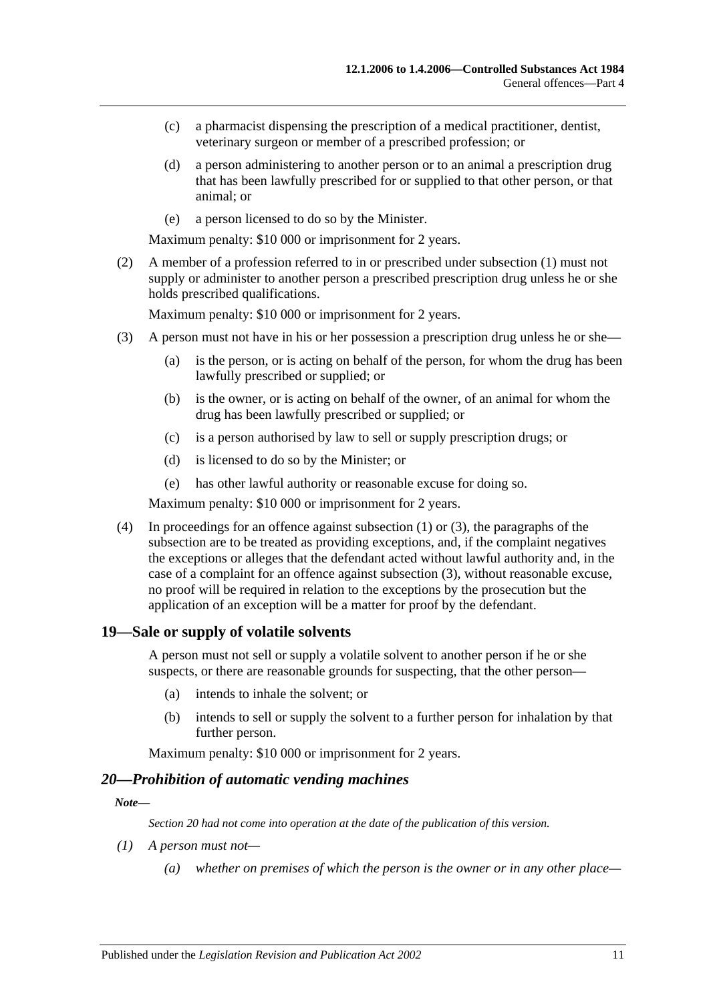- (c) a pharmacist dispensing the prescription of a medical practitioner, dentist, veterinary surgeon or member of a prescribed profession; or
- (d) a person administering to another person or to an animal a prescription drug that has been lawfully prescribed for or supplied to that other person, or that animal; or
- (e) a person licensed to do so by the Minister.

Maximum penalty: \$10 000 or imprisonment for 2 years.

(2) A member of a profession referred to in or prescribed under [subsection](#page-9-3) (1) must not supply or administer to another person a prescribed prescription drug unless he or she holds prescribed qualifications.

Maximum penalty: \$10 000 or imprisonment for 2 years.

- <span id="page-10-2"></span>(3) A person must not have in his or her possession a prescription drug unless he or she—
	- (a) is the person, or is acting on behalf of the person, for whom the drug has been lawfully prescribed or supplied; or
	- (b) is the owner, or is acting on behalf of the owner, of an animal for whom the drug has been lawfully prescribed or supplied; or
	- (c) is a person authorised by law to sell or supply prescription drugs; or
	- (d) is licensed to do so by the Minister; or
	- (e) has other lawful authority or reasonable excuse for doing so.

Maximum penalty: \$10 000 or imprisonment for 2 years.

(4) In proceedings for an offence against [subsection](#page-9-3) (1) or [\(3\),](#page-10-2) the paragraphs of the subsection are to be treated as providing exceptions, and, if the complaint negatives the exceptions or alleges that the defendant acted without lawful authority and, in the case of a complaint for an offence against [subsection](#page-10-2) (3), without reasonable excuse, no proof will be required in relation to the exceptions by the prosecution but the application of an exception will be a matter for proof by the defendant.

#### <span id="page-10-0"></span>**19—Sale or supply of volatile solvents**

A person must not sell or supply a volatile solvent to another person if he or she suspects, or there are reasonable grounds for suspecting, that the other person—

- (a) intends to inhale the solvent; or
- (b) intends to sell or supply the solvent to a further person for inhalation by that further person.

Maximum penalty: \$10 000 or imprisonment for 2 years.

#### <span id="page-10-1"></span>*20—Prohibition of automatic vending machines*

#### *Note—*

*Section 20 had not come into operation at the date of the publication of this version.*

- *(1) A person must not—*
	- *(a) whether on premises of which the person is the owner or in any other place—*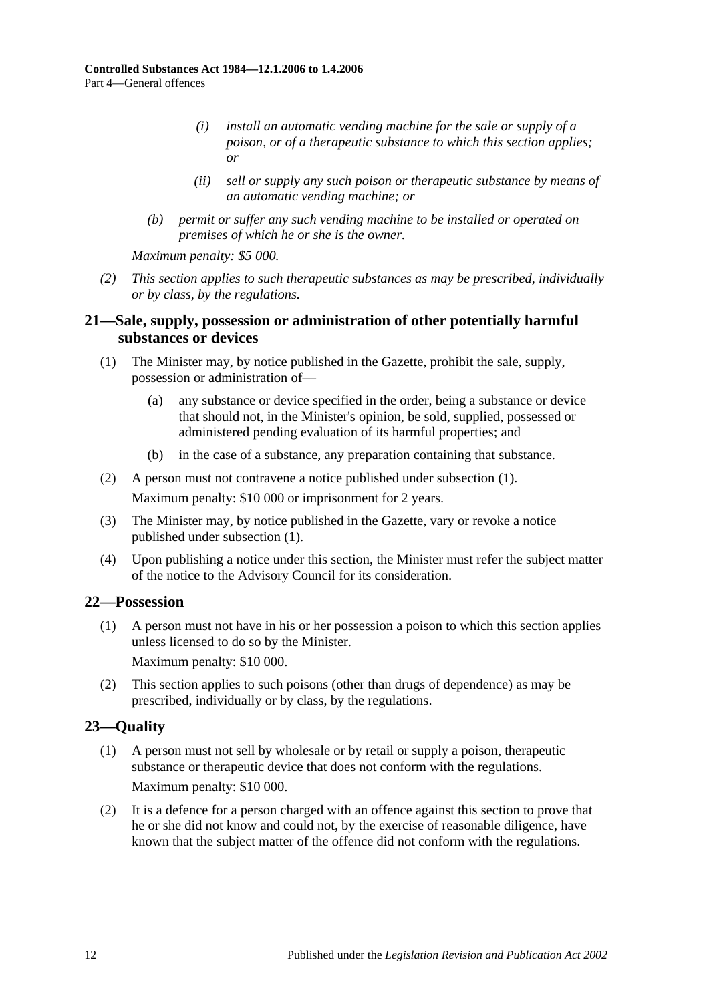- *(i) install an automatic vending machine for the sale or supply of a poison, or of a therapeutic substance to which this section applies; or*
- *(ii) sell or supply any such poison or therapeutic substance by means of an automatic vending machine; or*
- *(b) permit or suffer any such vending machine to be installed or operated on premises of which he or she is the owner.*

*Maximum penalty: \$5 000.*

*(2) This section applies to such therapeutic substances as may be prescribed, individually or by class, by the regulations.*

## <span id="page-11-0"></span>**21—Sale, supply, possession or administration of other potentially harmful substances or devices**

- <span id="page-11-3"></span>(1) The Minister may, by notice published in the Gazette, prohibit the sale, supply, possession or administration of—
	- (a) any substance or device specified in the order, being a substance or device that should not, in the Minister's opinion, be sold, supplied, possessed or administered pending evaluation of its harmful properties; and
	- (b) in the case of a substance, any preparation containing that substance.
- (2) A person must not contravene a notice published under [subsection](#page-11-3) (1). Maximum penalty: \$10 000 or imprisonment for 2 years.
- (3) The Minister may, by notice published in the Gazette, vary or revoke a notice published under [subsection](#page-11-3) (1).
- (4) Upon publishing a notice under this section, the Minister must refer the subject matter of the notice to the Advisory Council for its consideration.

## <span id="page-11-1"></span>**22—Possession**

(1) A person must not have in his or her possession a poison to which this section applies unless licensed to do so by the Minister.

Maximum penalty: \$10 000.

(2) This section applies to such poisons (other than drugs of dependence) as may be prescribed, individually or by class, by the regulations.

## <span id="page-11-2"></span>**23—Quality**

- (1) A person must not sell by wholesale or by retail or supply a poison, therapeutic substance or therapeutic device that does not conform with the regulations. Maximum penalty: \$10 000.
- (2) It is a defence for a person charged with an offence against this section to prove that he or she did not know and could not, by the exercise of reasonable diligence, have known that the subject matter of the offence did not conform with the regulations.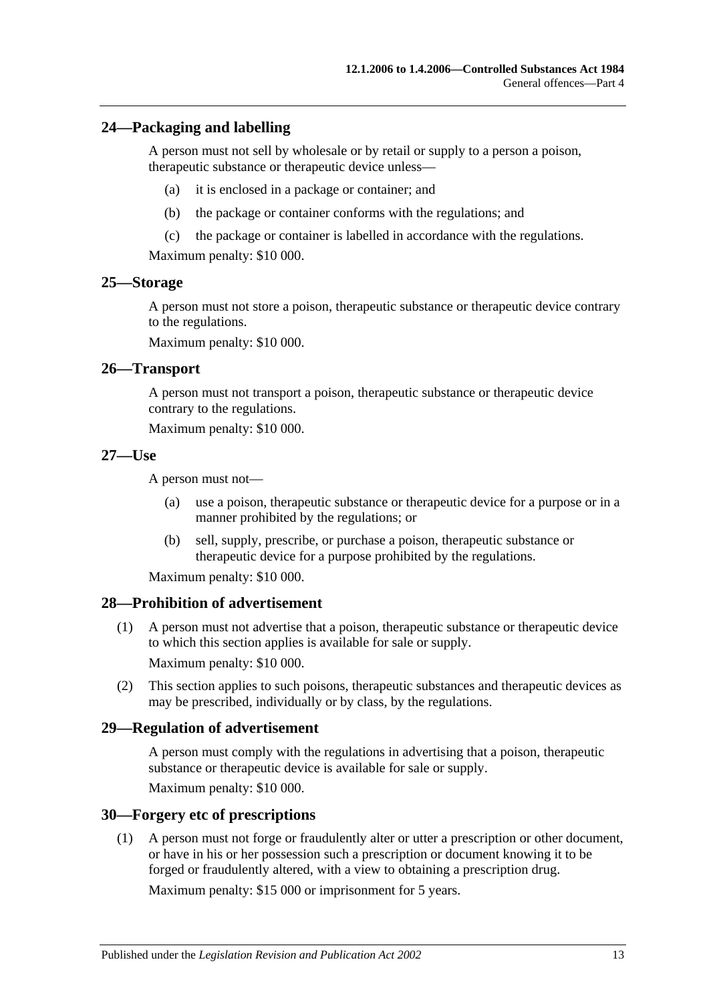#### <span id="page-12-0"></span>**24—Packaging and labelling**

A person must not sell by wholesale or by retail or supply to a person a poison, therapeutic substance or therapeutic device unless—

- (a) it is enclosed in a package or container; and
- (b) the package or container conforms with the regulations; and
- (c) the package or container is labelled in accordance with the regulations.

Maximum penalty: \$10 000.

#### <span id="page-12-1"></span>**25—Storage**

A person must not store a poison, therapeutic substance or therapeutic device contrary to the regulations.

Maximum penalty: \$10 000.

#### <span id="page-12-2"></span>**26—Transport**

A person must not transport a poison, therapeutic substance or therapeutic device contrary to the regulations.

Maximum penalty: \$10 000.

#### <span id="page-12-3"></span>**27—Use**

A person must not—

- (a) use a poison, therapeutic substance or therapeutic device for a purpose or in a manner prohibited by the regulations; or
- (b) sell, supply, prescribe, or purchase a poison, therapeutic substance or therapeutic device for a purpose prohibited by the regulations.

Maximum penalty: \$10 000.

#### <span id="page-12-4"></span>**28—Prohibition of advertisement**

(1) A person must not advertise that a poison, therapeutic substance or therapeutic device to which this section applies is available for sale or supply.

Maximum penalty: \$10 000.

(2) This section applies to such poisons, therapeutic substances and therapeutic devices as may be prescribed, individually or by class, by the regulations.

#### <span id="page-12-5"></span>**29—Regulation of advertisement**

A person must comply with the regulations in advertising that a poison, therapeutic substance or therapeutic device is available for sale or supply.

Maximum penalty: \$10 000.

#### <span id="page-12-6"></span>**30—Forgery etc of prescriptions**

(1) A person must not forge or fraudulently alter or utter a prescription or other document, or have in his or her possession such a prescription or document knowing it to be forged or fraudulently altered, with a view to obtaining a prescription drug.

Maximum penalty: \$15 000 or imprisonment for 5 years.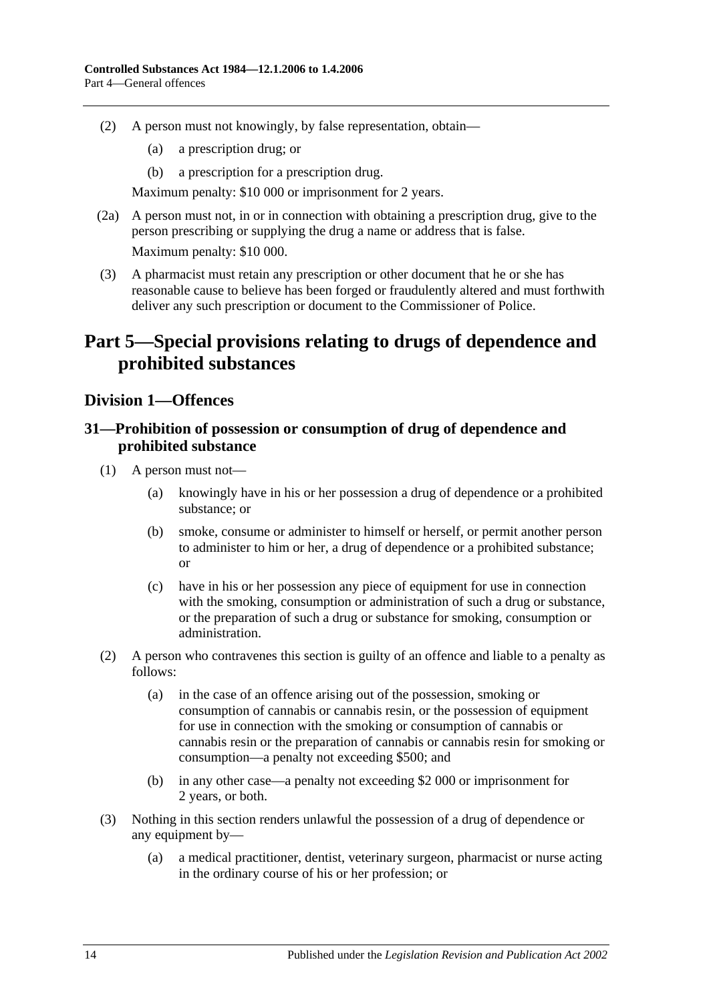- (2) A person must not knowingly, by false representation, obtain—
	- (a) a prescription drug; or
	- (b) a prescription for a prescription drug.

Maximum penalty: \$10 000 or imprisonment for 2 years.

- (2a) A person must not, in or in connection with obtaining a prescription drug, give to the person prescribing or supplying the drug a name or address that is false. Maximum penalty: \$10 000.
- (3) A pharmacist must retain any prescription or other document that he or she has reasonable cause to believe has been forged or fraudulently altered and must forthwith deliver any such prescription or document to the Commissioner of Police.

# <span id="page-13-0"></span>**Part 5—Special provisions relating to drugs of dependence and prohibited substances**

## <span id="page-13-1"></span>**Division 1—Offences**

## <span id="page-13-2"></span>**31—Prohibition of possession or consumption of drug of dependence and prohibited substance**

- (1) A person must not—
	- (a) knowingly have in his or her possession a drug of dependence or a prohibited substance; or
	- (b) smoke, consume or administer to himself or herself, or permit another person to administer to him or her, a drug of dependence or a prohibited substance; or
	- (c) have in his or her possession any piece of equipment for use in connection with the smoking, consumption or administration of such a drug or substance, or the preparation of such a drug or substance for smoking, consumption or administration.
- <span id="page-13-3"></span>(2) A person who contravenes this section is guilty of an offence and liable to a penalty as follows:
	- (a) in the case of an offence arising out of the possession, smoking or consumption of cannabis or cannabis resin, or the possession of equipment for use in connection with the smoking or consumption of cannabis or cannabis resin or the preparation of cannabis or cannabis resin for smoking or consumption—a penalty not exceeding \$500; and
	- (b) in any other case—a penalty not exceeding \$2 000 or imprisonment for 2 years, or both.
- <span id="page-13-4"></span>(3) Nothing in this section renders unlawful the possession of a drug of dependence or any equipment by—
	- (a) a medical practitioner, dentist, veterinary surgeon, pharmacist or nurse acting in the ordinary course of his or her profession; or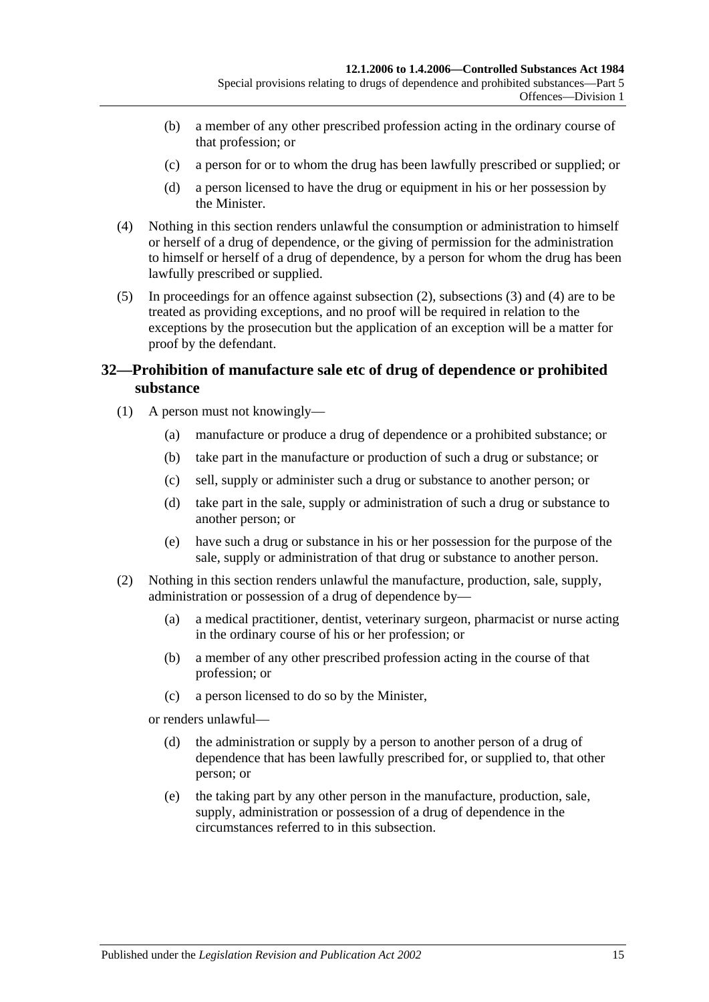- (b) a member of any other prescribed profession acting in the ordinary course of that profession; or
- (c) a person for or to whom the drug has been lawfully prescribed or supplied; or
- (d) a person licensed to have the drug or equipment in his or her possession by the Minister.
- <span id="page-14-1"></span>(4) Nothing in this section renders unlawful the consumption or administration to himself or herself of a drug of dependence, or the giving of permission for the administration to himself or herself of a drug of dependence, by a person for whom the drug has been lawfully prescribed or supplied.
- (5) In proceedings for an offence against [subsection](#page-13-3) (2), [subsections](#page-13-4) (3) and [\(4\)](#page-14-1) are to be treated as providing exceptions, and no proof will be required in relation to the exceptions by the prosecution but the application of an exception will be a matter for proof by the defendant.

## <span id="page-14-0"></span>**32—Prohibition of manufacture sale etc of drug of dependence or prohibited substance**

- (1) A person must not knowingly—
	- (a) manufacture or produce a drug of dependence or a prohibited substance; or
	- (b) take part in the manufacture or production of such a drug or substance; or
	- (c) sell, supply or administer such a drug or substance to another person; or
	- (d) take part in the sale, supply or administration of such a drug or substance to another person; or
	- (e) have such a drug or substance in his or her possession for the purpose of the sale, supply or administration of that drug or substance to another person.
- <span id="page-14-2"></span>(2) Nothing in this section renders unlawful the manufacture, production, sale, supply, administration or possession of a drug of dependence by—
	- (a) a medical practitioner, dentist, veterinary surgeon, pharmacist or nurse acting in the ordinary course of his or her profession; or
	- (b) a member of any other prescribed profession acting in the course of that profession; or
	- (c) a person licensed to do so by the Minister,
	- or renders unlawful—
		- (d) the administration or supply by a person to another person of a drug of dependence that has been lawfully prescribed for, or supplied to, that other person; or
		- (e) the taking part by any other person in the manufacture, production, sale, supply, administration or possession of a drug of dependence in the circumstances referred to in this subsection.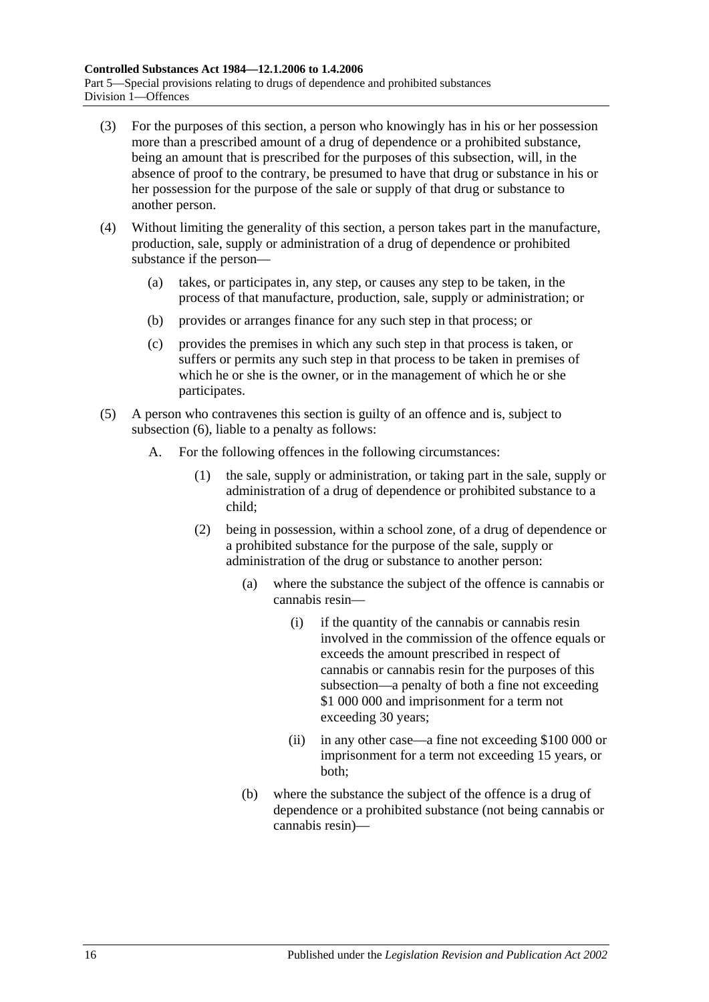- (3) For the purposes of this section, a person who knowingly has in his or her possession more than a prescribed amount of a drug of dependence or a prohibited substance, being an amount that is prescribed for the purposes of this subsection, will, in the absence of proof to the contrary, be presumed to have that drug or substance in his or her possession for the purpose of the sale or supply of that drug or substance to another person.
- (4) Without limiting the generality of this section, a person takes part in the manufacture, production, sale, supply or administration of a drug of dependence or prohibited substance if the person—
	- (a) takes, or participates in, any step, or causes any step to be taken, in the process of that manufacture, production, sale, supply or administration; or
	- (b) provides or arranges finance for any such step in that process; or
	- (c) provides the premises in which any such step in that process is taken, or suffers or permits any such step in that process to be taken in premises of which he or she is the owner, or in the management of which he or she participates.
- <span id="page-15-0"></span>(5) A person who contravenes this section is guilty of an offence and is, subject to [subsection](#page-17-1) (6), liable to a penalty as follows:
	- A. For the following offences in the following circumstances:
		- (1) the sale, supply or administration, or taking part in the sale, supply or administration of a drug of dependence or prohibited substance to a child;
		- (2) being in possession, within a school zone, of a drug of dependence or a prohibited substance for the purpose of the sale, supply or administration of the drug or substance to another person:
			- (a) where the substance the subject of the offence is cannabis or cannabis resin—
				- (i) if the quantity of the cannabis or cannabis resin involved in the commission of the offence equals or exceeds the amount prescribed in respect of cannabis or cannabis resin for the purposes of this subsection—a penalty of both a fine not exceeding \$1 000 000 and imprisonment for a term not exceeding 30 years;
				- (ii) in any other case—a fine not exceeding \$100 000 or imprisonment for a term not exceeding 15 years, or both;
			- (b) where the substance the subject of the offence is a drug of dependence or a prohibited substance (not being cannabis or cannabis resin)—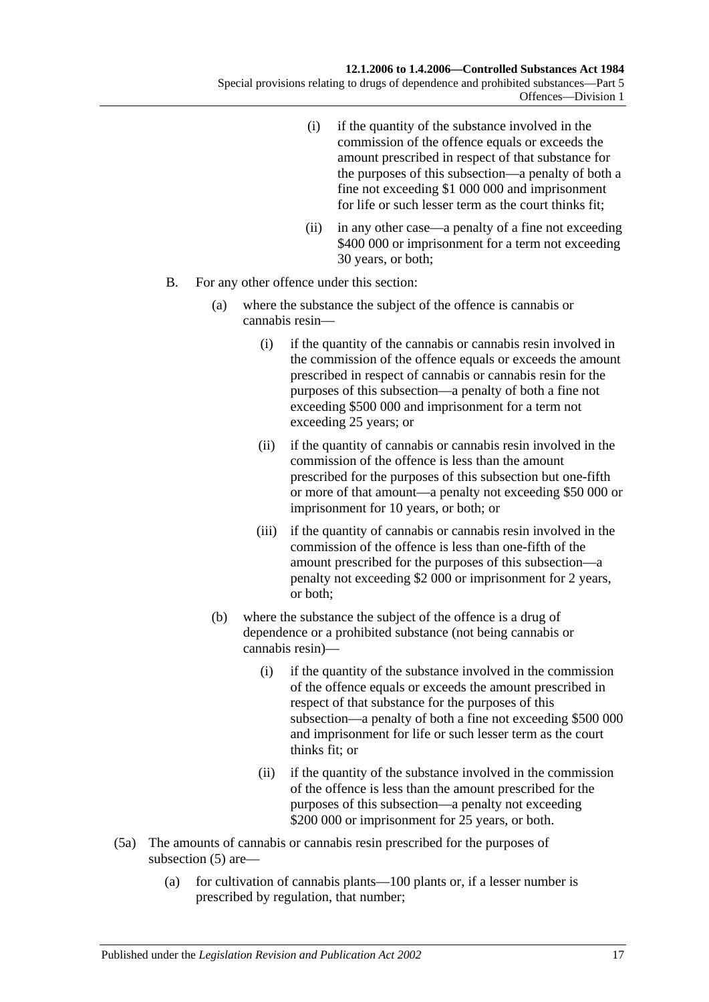- (i) if the quantity of the substance involved in the commission of the offence equals or exceeds the amount prescribed in respect of that substance for the purposes of this subsection—a penalty of both a fine not exceeding \$1 000 000 and imprisonment for life or such lesser term as the court thinks fit;
- (ii) in any other case—a penalty of a fine not exceeding \$400 000 or imprisonment for a term not exceeding 30 years, or both;
- B. For any other offence under this section:
	- (a) where the substance the subject of the offence is cannabis or cannabis resin—
		- (i) if the quantity of the cannabis or cannabis resin involved in the commission of the offence equals or exceeds the amount prescribed in respect of cannabis or cannabis resin for the purposes of this subsection—a penalty of both a fine not exceeding \$500 000 and imprisonment for a term not exceeding 25 years; or
		- (ii) if the quantity of cannabis or cannabis resin involved in the commission of the offence is less than the amount prescribed for the purposes of this subsection but one-fifth or more of that amount—a penalty not exceeding \$50 000 or imprisonment for 10 years, or both; or
		- (iii) if the quantity of cannabis or cannabis resin involved in the commission of the offence is less than one-fifth of the amount prescribed for the purposes of this subsection—a penalty not exceeding \$2 000 or imprisonment for 2 years, or both;
	- (b) where the substance the subject of the offence is a drug of dependence or a prohibited substance (not being cannabis or cannabis resin)—
		- (i) if the quantity of the substance involved in the commission of the offence equals or exceeds the amount prescribed in respect of that substance for the purposes of this subsection—a penalty of both a fine not exceeding \$500 000 and imprisonment for life or such lesser term as the court thinks fit; or
		- (ii) if the quantity of the substance involved in the commission of the offence is less than the amount prescribed for the purposes of this subsection—a penalty not exceeding \$200 000 or imprisonment for 25 years, or both.
- (5a) The amounts of cannabis or cannabis resin prescribed for the purposes of [subsection](#page-15-0) (5) are—
	- (a) for cultivation of cannabis plants—100 plants or, if a lesser number is prescribed by regulation, that number;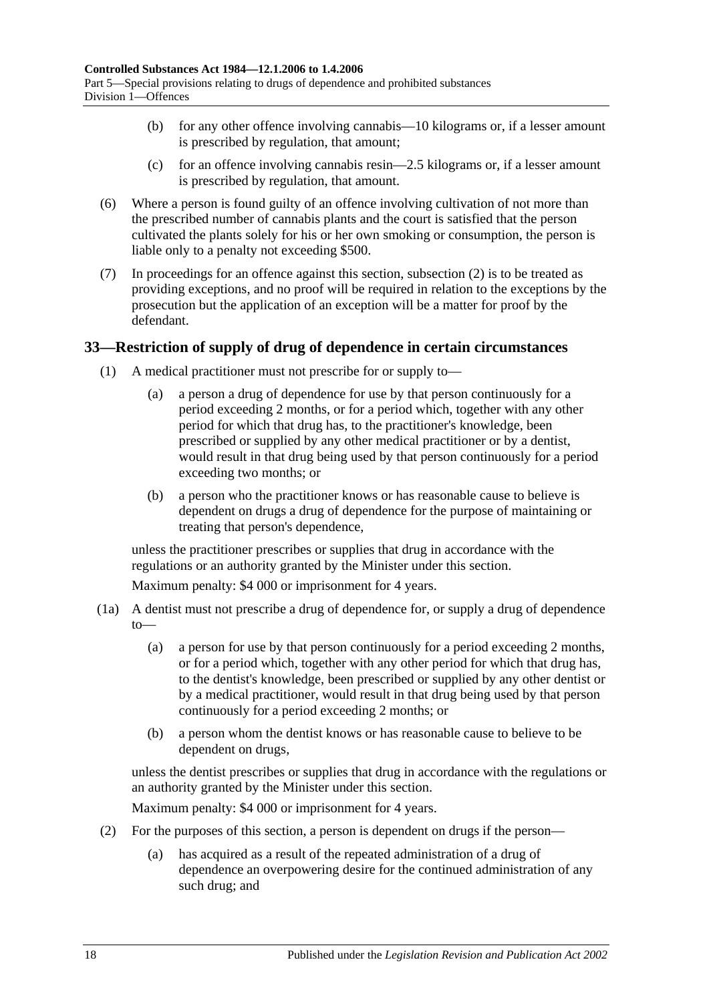- (b) for any other offence involving cannabis—10 kilograms or, if a lesser amount is prescribed by regulation, that amount;
- (c) for an offence involving cannabis resin—2.5 kilograms or, if a lesser amount is prescribed by regulation, that amount.
- <span id="page-17-1"></span>(6) Where a person is found guilty of an offence involving cultivation of not more than the prescribed number of cannabis plants and the court is satisfied that the person cultivated the plants solely for his or her own smoking or consumption, the person is liable only to a penalty not exceeding \$500.
- (7) In proceedings for an offence against this section, [subsection](#page-14-2) (2) is to be treated as providing exceptions, and no proof will be required in relation to the exceptions by the prosecution but the application of an exception will be a matter for proof by the defendant.

## <span id="page-17-0"></span>**33—Restriction of supply of drug of dependence in certain circumstances**

- (1) A medical practitioner must not prescribe for or supply to—
	- (a) a person a drug of dependence for use by that person continuously for a period exceeding 2 months, or for a period which, together with any other period for which that drug has, to the practitioner's knowledge, been prescribed or supplied by any other medical practitioner or by a dentist, would result in that drug being used by that person continuously for a period exceeding two months; or
	- (b) a person who the practitioner knows or has reasonable cause to believe is dependent on drugs a drug of dependence for the purpose of maintaining or treating that person's dependence,

unless the practitioner prescribes or supplies that drug in accordance with the regulations or an authority granted by the Minister under this section.

Maximum penalty: \$4 000 or imprisonment for 4 years.

- (1a) A dentist must not prescribe a drug of dependence for, or supply a drug of dependence  $to$ 
	- (a) a person for use by that person continuously for a period exceeding 2 months, or for a period which, together with any other period for which that drug has, to the dentist's knowledge, been prescribed or supplied by any other dentist or by a medical practitioner, would result in that drug being used by that person continuously for a period exceeding 2 months; or
	- (b) a person whom the dentist knows or has reasonable cause to believe to be dependent on drugs,

unless the dentist prescribes or supplies that drug in accordance with the regulations or an authority granted by the Minister under this section.

Maximum penalty: \$4 000 or imprisonment for 4 years.

- (2) For the purposes of this section, a person is dependent on drugs if the person—
	- (a) has acquired as a result of the repeated administration of a drug of dependence an overpowering desire for the continued administration of any such drug; and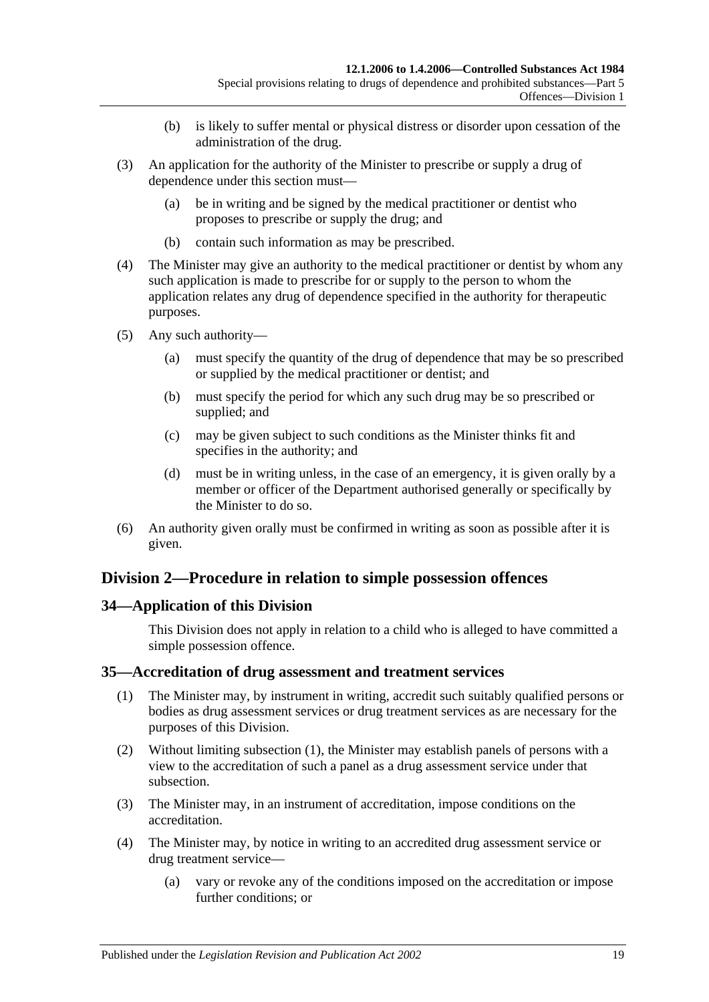- (b) is likely to suffer mental or physical distress or disorder upon cessation of the administration of the drug.
- (3) An application for the authority of the Minister to prescribe or supply a drug of dependence under this section must—
	- (a) be in writing and be signed by the medical practitioner or dentist who proposes to prescribe or supply the drug; and
	- (b) contain such information as may be prescribed.
- (4) The Minister may give an authority to the medical practitioner or dentist by whom any such application is made to prescribe for or supply to the person to whom the application relates any drug of dependence specified in the authority for therapeutic purposes.
- (5) Any such authority—
	- (a) must specify the quantity of the drug of dependence that may be so prescribed or supplied by the medical practitioner or dentist; and
	- (b) must specify the period for which any such drug may be so prescribed or supplied; and
	- (c) may be given subject to such conditions as the Minister thinks fit and specifies in the authority; and
	- (d) must be in writing unless, in the case of an emergency, it is given orally by a member or officer of the Department authorised generally or specifically by the Minister to do so.
- (6) An authority given orally must be confirmed in writing as soon as possible after it is given.

## <span id="page-18-0"></span>**Division 2—Procedure in relation to simple possession offences**

## <span id="page-18-1"></span>**34—Application of this Division**

This Division does not apply in relation to a child who is alleged to have committed a simple possession offence.

#### <span id="page-18-3"></span><span id="page-18-2"></span>**35—Accreditation of drug assessment and treatment services**

- (1) The Minister may, by instrument in writing, accredit such suitably qualified persons or bodies as drug assessment services or drug treatment services as are necessary for the purposes of this Division.
- (2) Without limiting [subsection](#page-18-3) (1), the Minister may establish panels of persons with a view to the accreditation of such a panel as a drug assessment service under that subsection.
- (3) The Minister may, in an instrument of accreditation, impose conditions on the accreditation.
- (4) The Minister may, by notice in writing to an accredited drug assessment service or drug treatment service—
	- (a) vary or revoke any of the conditions imposed on the accreditation or impose further conditions; or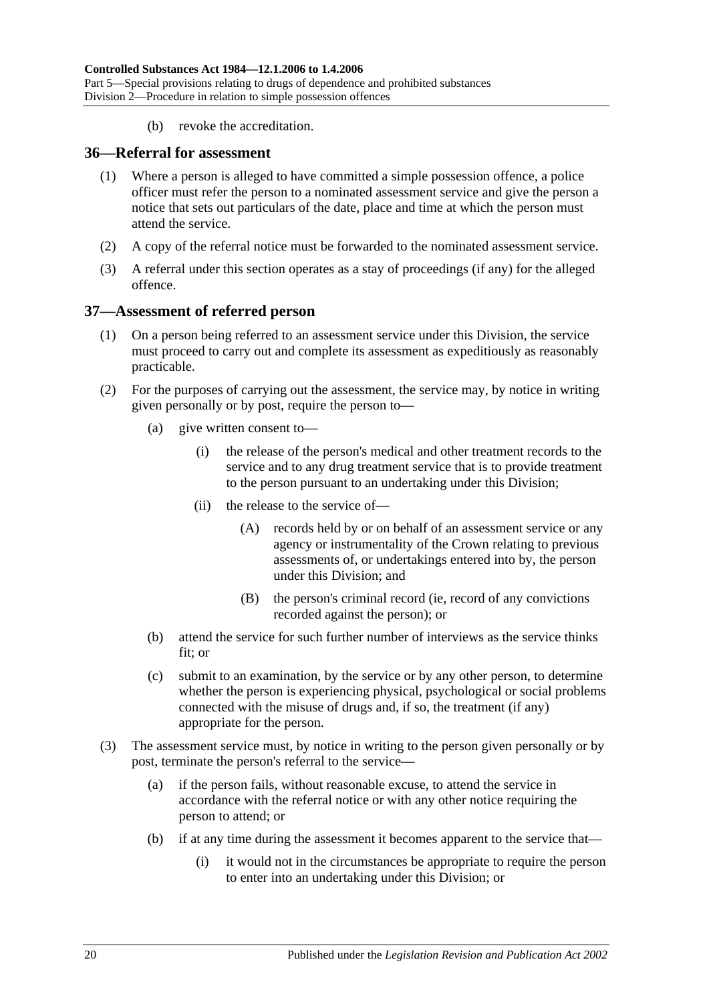(b) revoke the accreditation.

#### <span id="page-19-0"></span>**36—Referral for assessment**

- (1) Where a person is alleged to have committed a simple possession offence, a police officer must refer the person to a nominated assessment service and give the person a notice that sets out particulars of the date, place and time at which the person must attend the service.
- (2) A copy of the referral notice must be forwarded to the nominated assessment service.
- (3) A referral under this section operates as a stay of proceedings (if any) for the alleged offence.

#### <span id="page-19-1"></span>**37—Assessment of referred person**

- (1) On a person being referred to an assessment service under this Division, the service must proceed to carry out and complete its assessment as expeditiously as reasonably practicable.
- (2) For the purposes of carrying out the assessment, the service may, by notice in writing given personally or by post, require the person to—
	- (a) give written consent to—
		- (i) the release of the person's medical and other treatment records to the service and to any drug treatment service that is to provide treatment to the person pursuant to an undertaking under this Division;
		- (ii) the release to the service of—
			- (A) records held by or on behalf of an assessment service or any agency or instrumentality of the Crown relating to previous assessments of, or undertakings entered into by, the person under this Division; and
			- (B) the person's criminal record (ie, record of any convictions recorded against the person); or
	- (b) attend the service for such further number of interviews as the service thinks fit; or
	- (c) submit to an examination, by the service or by any other person, to determine whether the person is experiencing physical, psychological or social problems connected with the misuse of drugs and, if so, the treatment (if any) appropriate for the person.
- <span id="page-19-2"></span>(3) The assessment service must, by notice in writing to the person given personally or by post, terminate the person's referral to the service—
	- (a) if the person fails, without reasonable excuse, to attend the service in accordance with the referral notice or with any other notice requiring the person to attend; or
	- (b) if at any time during the assessment it becomes apparent to the service that—
		- (i) it would not in the circumstances be appropriate to require the person to enter into an undertaking under this Division; or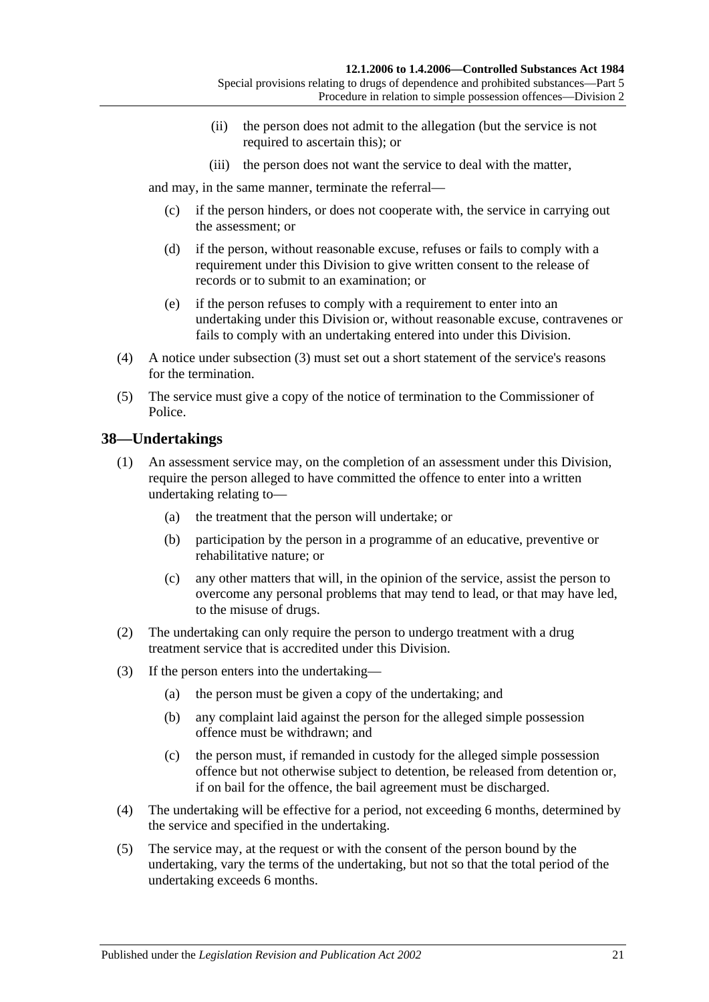- (ii) the person does not admit to the allegation (but the service is not required to ascertain this); or
- (iii) the person does not want the service to deal with the matter,

and may, in the same manner, terminate the referral—

- (c) if the person hinders, or does not cooperate with, the service in carrying out the assessment; or
- (d) if the person, without reasonable excuse, refuses or fails to comply with a requirement under this Division to give written consent to the release of records or to submit to an examination; or
- (e) if the person refuses to comply with a requirement to enter into an undertaking under this Division or, without reasonable excuse, contravenes or fails to comply with an undertaking entered into under this Division.
- (4) A notice under [subsection](#page-19-2) (3) must set out a short statement of the service's reasons for the termination.
- (5) The service must give a copy of the notice of termination to the Commissioner of Police.

## <span id="page-20-0"></span>**38—Undertakings**

- (1) An assessment service may, on the completion of an assessment under this Division, require the person alleged to have committed the offence to enter into a written undertaking relating to—
	- (a) the treatment that the person will undertake; or
	- (b) participation by the person in a programme of an educative, preventive or rehabilitative nature; or
	- (c) any other matters that will, in the opinion of the service, assist the person to overcome any personal problems that may tend to lead, or that may have led, to the misuse of drugs.
- (2) The undertaking can only require the person to undergo treatment with a drug treatment service that is accredited under this Division.
- (3) If the person enters into the undertaking—
	- (a) the person must be given a copy of the undertaking; and
	- (b) any complaint laid against the person for the alleged simple possession offence must be withdrawn; and
	- (c) the person must, if remanded in custody for the alleged simple possession offence but not otherwise subject to detention, be released from detention or, if on bail for the offence, the bail agreement must be discharged.
- (4) The undertaking will be effective for a period, not exceeding 6 months, determined by the service and specified in the undertaking.
- (5) The service may, at the request or with the consent of the person bound by the undertaking, vary the terms of the undertaking, but not so that the total period of the undertaking exceeds 6 months.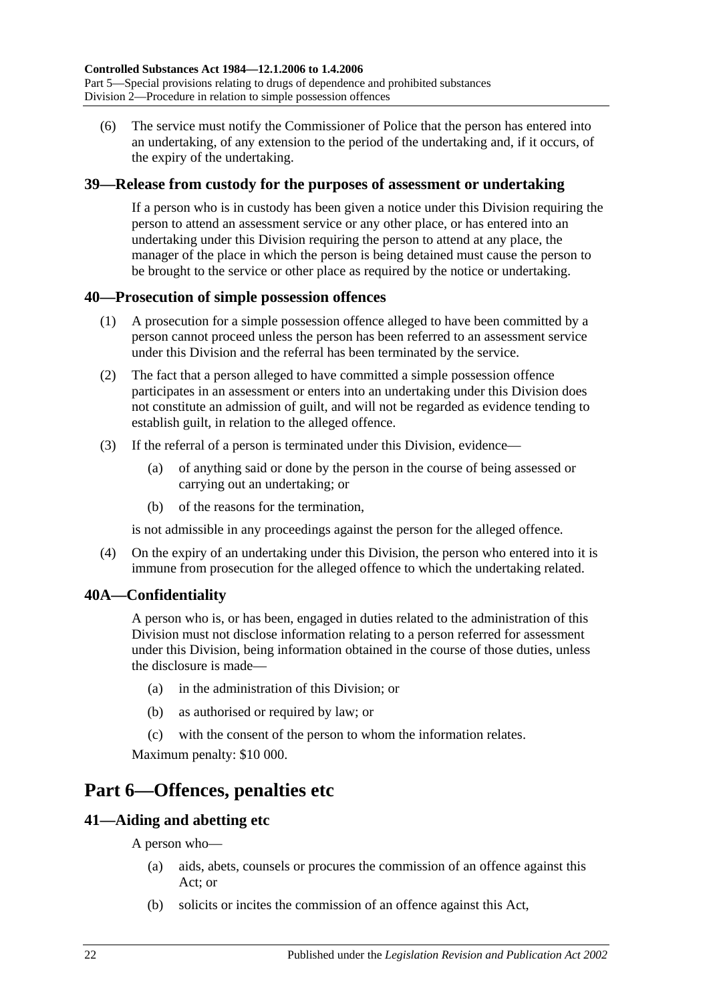(6) The service must notify the Commissioner of Police that the person has entered into an undertaking, of any extension to the period of the undertaking and, if it occurs, of the expiry of the undertaking.

## <span id="page-21-0"></span>**39—Release from custody for the purposes of assessment or undertaking**

If a person who is in custody has been given a notice under this Division requiring the person to attend an assessment service or any other place, or has entered into an undertaking under this Division requiring the person to attend at any place, the manager of the place in which the person is being detained must cause the person to be brought to the service or other place as required by the notice or undertaking.

## <span id="page-21-1"></span>**40—Prosecution of simple possession offences**

- (1) A prosecution for a simple possession offence alleged to have been committed by a person cannot proceed unless the person has been referred to an assessment service under this Division and the referral has been terminated by the service.
- (2) The fact that a person alleged to have committed a simple possession offence participates in an assessment or enters into an undertaking under this Division does not constitute an admission of guilt, and will not be regarded as evidence tending to establish guilt, in relation to the alleged offence.
- (3) If the referral of a person is terminated under this Division, evidence—
	- (a) of anything said or done by the person in the course of being assessed or carrying out an undertaking; or
	- (b) of the reasons for the termination,

is not admissible in any proceedings against the person for the alleged offence.

(4) On the expiry of an undertaking under this Division, the person who entered into it is immune from prosecution for the alleged offence to which the undertaking related.

## <span id="page-21-2"></span>**40A—Confidentiality**

A person who is, or has been, engaged in duties related to the administration of this Division must not disclose information relating to a person referred for assessment under this Division, being information obtained in the course of those duties, unless the disclosure is made—

- (a) in the administration of this Division; or
- (b) as authorised or required by law; or
- (c) with the consent of the person to whom the information relates.

Maximum penalty: \$10 000.

# <span id="page-21-3"></span>**Part 6—Offences, penalties etc**

## <span id="page-21-4"></span>**41—Aiding and abetting etc**

A person who—

- (a) aids, abets, counsels or procures the commission of an offence against this Act; or
- (b) solicits or incites the commission of an offence against this Act,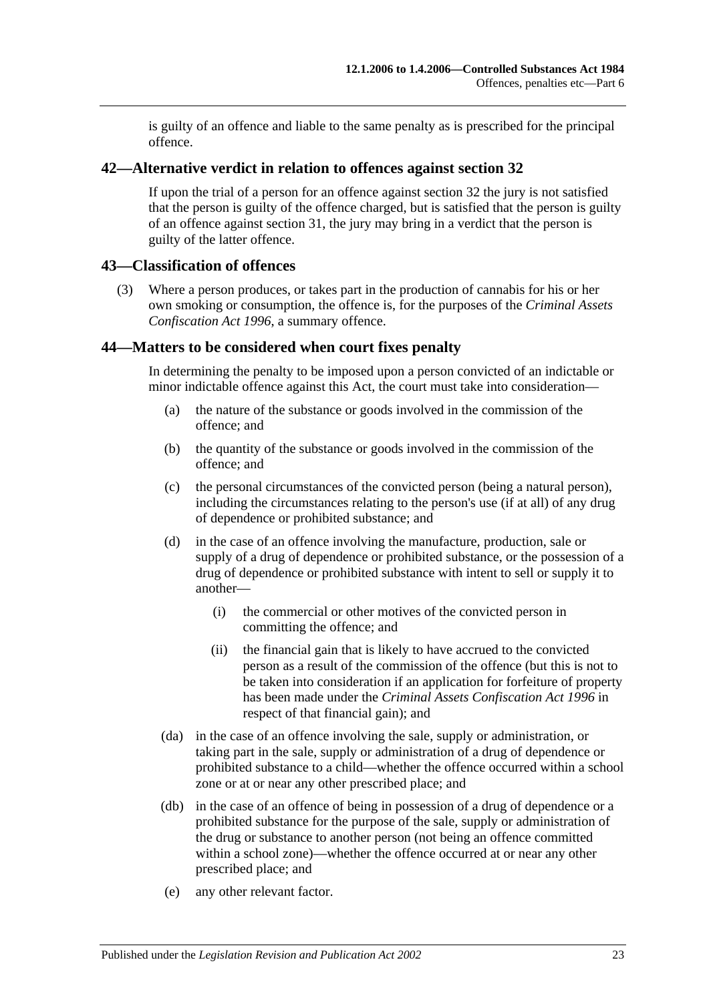is guilty of an offence and liable to the same penalty as is prescribed for the principal offence.

#### <span id="page-22-0"></span>**42—Alternative verdict in relation to offences against [section](#page-14-0) 32**

If upon the trial of a person for an offence against [section](#page-14-0) 32 the jury is not satisfied that the person is guilty of the offence charged, but is satisfied that the person is guilty of an offence against [section](#page-13-2) 31, the jury may bring in a verdict that the person is guilty of the latter offence.

#### <span id="page-22-1"></span>**43—Classification of offences**

(3) Where a person produces, or takes part in the production of cannabis for his or her own smoking or consumption, the offence is, for the purposes of the *[Criminal Assets](http://www.legislation.sa.gov.au/index.aspx?action=legref&type=act&legtitle=Criminal%20Assets%20Confiscation%20Act%201996)  [Confiscation Act](http://www.legislation.sa.gov.au/index.aspx?action=legref&type=act&legtitle=Criminal%20Assets%20Confiscation%20Act%201996) 1996*, a summary offence.

#### <span id="page-22-2"></span>**44—Matters to be considered when court fixes penalty**

In determining the penalty to be imposed upon a person convicted of an indictable or minor indictable offence against this Act, the court must take into consideration—

- (a) the nature of the substance or goods involved in the commission of the offence; and
- (b) the quantity of the substance or goods involved in the commission of the offence; and
- (c) the personal circumstances of the convicted person (being a natural person), including the circumstances relating to the person's use (if at all) of any drug of dependence or prohibited substance; and
- (d) in the case of an offence involving the manufacture, production, sale or supply of a drug of dependence or prohibited substance, or the possession of a drug of dependence or prohibited substance with intent to sell or supply it to another—
	- (i) the commercial or other motives of the convicted person in committing the offence; and
	- (ii) the financial gain that is likely to have accrued to the convicted person as a result of the commission of the offence (but this is not to be taken into consideration if an application for forfeiture of property has been made under the *[Criminal Assets Confiscation Act](http://www.legislation.sa.gov.au/index.aspx?action=legref&type=act&legtitle=Criminal%20Assets%20Confiscation%20Act%201996) 1996* in respect of that financial gain); and
- (da) in the case of an offence involving the sale, supply or administration, or taking part in the sale, supply or administration of a drug of dependence or prohibited substance to a child—whether the offence occurred within a school zone or at or near any other prescribed place; and
- (db) in the case of an offence of being in possession of a drug of dependence or a prohibited substance for the purpose of the sale, supply or administration of the drug or substance to another person (not being an offence committed within a school zone)—whether the offence occurred at or near any other prescribed place; and
- (e) any other relevant factor.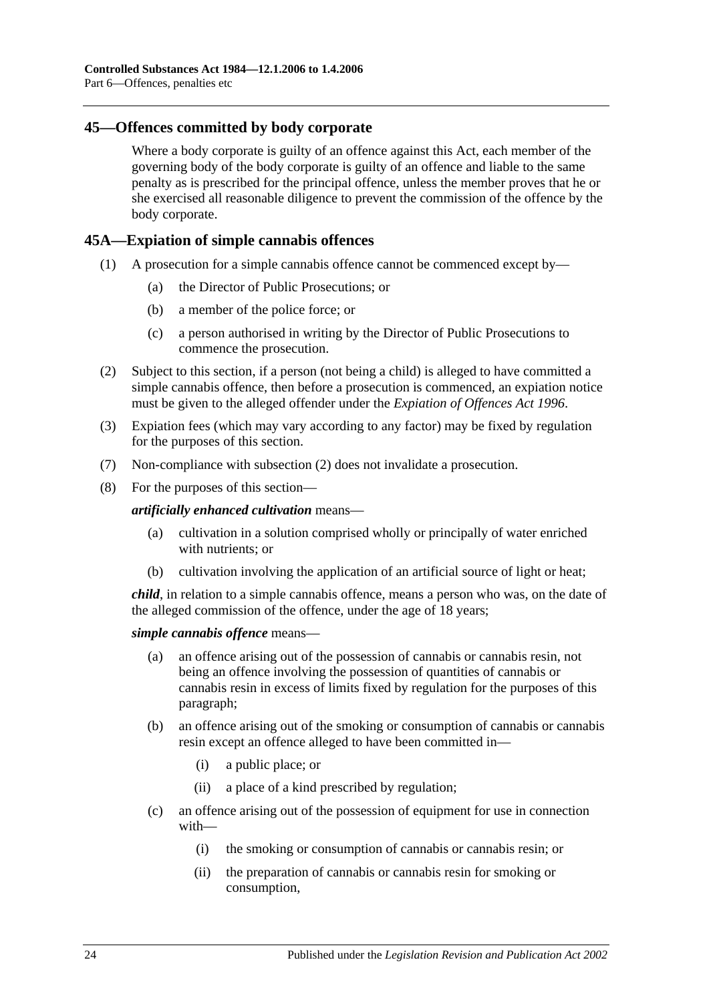#### <span id="page-23-0"></span>**45—Offences committed by body corporate**

Where a body corporate is guilty of an offence against this Act, each member of the governing body of the body corporate is guilty of an offence and liable to the same penalty as is prescribed for the principal offence, unless the member proves that he or she exercised all reasonable diligence to prevent the commission of the offence by the body corporate.

#### <span id="page-23-1"></span>**45A—Expiation of simple cannabis offences**

- (1) A prosecution for a simple cannabis offence cannot be commenced except by—
	- (a) the Director of Public Prosecutions; or
	- (b) a member of the police force; or
	- (c) a person authorised in writing by the Director of Public Prosecutions to commence the prosecution.
- <span id="page-23-2"></span>(2) Subject to this section, if a person (not being a child) is alleged to have committed a simple cannabis offence, then before a prosecution is commenced, an expiation notice must be given to the alleged offender under the *[Expiation of Offences Act](http://www.legislation.sa.gov.au/index.aspx?action=legref&type=act&legtitle=Expiation%20of%20Offences%20Act%201996) 1996*.
- (3) Expiation fees (which may vary according to any factor) may be fixed by regulation for the purposes of this section.
- (7) Non-compliance with [subsection](#page-23-2) (2) does not invalidate a prosecution.
- (8) For the purposes of this section—

*artificially enhanced cultivation* means—

- (a) cultivation in a solution comprised wholly or principally of water enriched with nutrients; or
- (b) cultivation involving the application of an artificial source of light or heat;

*child*, in relation to a simple cannabis offence, means a person who was, on the date of the alleged commission of the offence, under the age of 18 years;

#### *simple cannabis offence* means—

- (a) an offence arising out of the possession of cannabis or cannabis resin, not being an offence involving the possession of quantities of cannabis or cannabis resin in excess of limits fixed by regulation for the purposes of this paragraph;
- (b) an offence arising out of the smoking or consumption of cannabis or cannabis resin except an offence alleged to have been committed in—
	- (i) a public place; or
	- (ii) a place of a kind prescribed by regulation;
- (c) an offence arising out of the possession of equipment for use in connection with—
	- (i) the smoking or consumption of cannabis or cannabis resin; or
	- (ii) the preparation of cannabis or cannabis resin for smoking or consumption,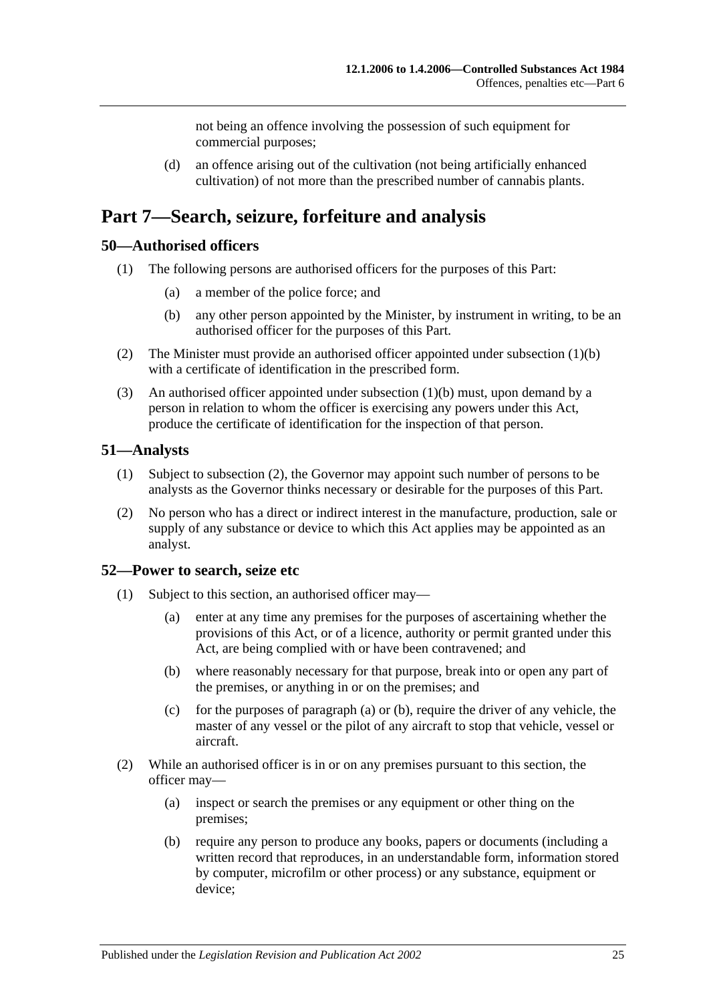not being an offence involving the possession of such equipment for commercial purposes;

(d) an offence arising out of the cultivation (not being artificially enhanced cultivation) of not more than the prescribed number of cannabis plants.

# <span id="page-24-0"></span>**Part 7—Search, seizure, forfeiture and analysis**

#### <span id="page-24-1"></span>**50—Authorised officers**

- <span id="page-24-4"></span>(1) The following persons are authorised officers for the purposes of this Part:
	- (a) a member of the police force; and
	- (b) any other person appointed by the Minister, by instrument in writing, to be an authorised officer for the purposes of this Part.
- (2) The Minister must provide an authorised officer appointed under [subsection](#page-24-4) (1)(b) with a certificate of identification in the prescribed form.
- (3) An authorised officer appointed under [subsection](#page-24-4) (1)(b) must, upon demand by a person in relation to whom the officer is exercising any powers under this Act, produce the certificate of identification for the inspection of that person.

#### <span id="page-24-2"></span>**51—Analysts**

- (1) Subject to [subsection](#page-24-5) (2), the Governor may appoint such number of persons to be analysts as the Governor thinks necessary or desirable for the purposes of this Part.
- <span id="page-24-5"></span>(2) No person who has a direct or indirect interest in the manufacture, production, sale or supply of any substance or device to which this Act applies may be appointed as an analyst.

#### <span id="page-24-3"></span>**52—Power to search, seize etc**

- <span id="page-24-7"></span><span id="page-24-6"></span>(1) Subject to this section, an authorised officer may—
	- (a) enter at any time any premises for the purposes of ascertaining whether the provisions of this Act, or of a licence, authority or permit granted under this Act, are being complied with or have been contravened; and
	- (b) where reasonably necessary for that purpose, break into or open any part of the premises, or anything in or on the premises; and
	- (c) for the purposes of [paragraph](#page-24-6) (a) or [\(b\),](#page-24-7) require the driver of any vehicle, the master of any vessel or the pilot of any aircraft to stop that vehicle, vessel or aircraft.
- (2) While an authorised officer is in or on any premises pursuant to this section, the officer may—
	- (a) inspect or search the premises or any equipment or other thing on the premises;
	- (b) require any person to produce any books, papers or documents (including a written record that reproduces, in an understandable form, information stored by computer, microfilm or other process) or any substance, equipment or device;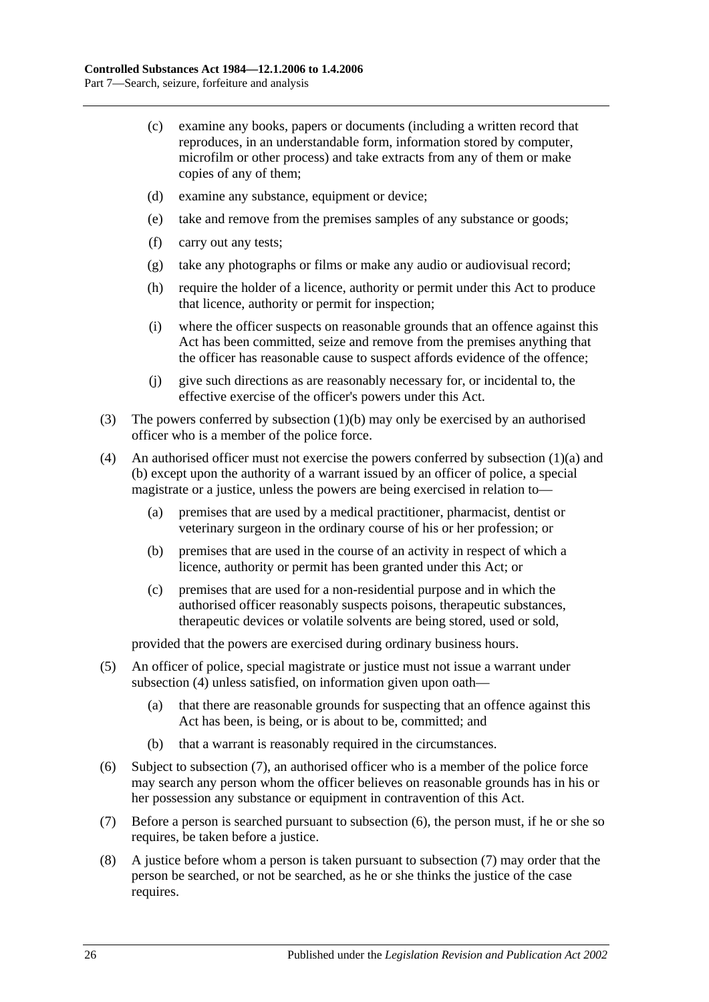- (c) examine any books, papers or documents (including a written record that reproduces, in an understandable form, information stored by computer, microfilm or other process) and take extracts from any of them or make copies of any of them;
- (d) examine any substance, equipment or device;
- (e) take and remove from the premises samples of any substance or goods;
- (f) carry out any tests;
- (g) take any photographs or films or make any audio or audiovisual record;
- (h) require the holder of a licence, authority or permit under this Act to produce that licence, authority or permit for inspection;
- (i) where the officer suspects on reasonable grounds that an offence against this Act has been committed, seize and remove from the premises anything that the officer has reasonable cause to suspect affords evidence of the offence;
- (j) give such directions as are reasonably necessary for, or incidental to, the effective exercise of the officer's powers under this Act.
- (3) The powers conferred by [subsection](#page-24-7) (1)(b) may only be exercised by an authorised officer who is a member of the police force.
- <span id="page-25-0"></span>(4) An authorised officer must not exercise the powers conferred by [subsection](#page-24-6) (1)(a) and [\(b\)](#page-24-7) except upon the authority of a warrant issued by an officer of police, a special magistrate or a justice, unless the powers are being exercised in relation to—
	- (a) premises that are used by a medical practitioner, pharmacist, dentist or veterinary surgeon in the ordinary course of his or her profession; or
	- (b) premises that are used in the course of an activity in respect of which a licence, authority or permit has been granted under this Act; or
	- (c) premises that are used for a non-residential purpose and in which the authorised officer reasonably suspects poisons, therapeutic substances, therapeutic devices or volatile solvents are being stored, used or sold,

provided that the powers are exercised during ordinary business hours.

- (5) An officer of police, special magistrate or justice must not issue a warrant under [subsection](#page-25-0) (4) unless satisfied, on information given upon oath—
	- (a) that there are reasonable grounds for suspecting that an offence against this Act has been, is being, or is about to be, committed; and
	- (b) that a warrant is reasonably required in the circumstances.
- <span id="page-25-2"></span>(6) Subject to [subsection](#page-25-1) (7), an authorised officer who is a member of the police force may search any person whom the officer believes on reasonable grounds has in his or her possession any substance or equipment in contravention of this Act.
- <span id="page-25-1"></span>(7) Before a person is searched pursuant to [subsection](#page-25-2) (6), the person must, if he or she so requires, be taken before a justice.
- (8) A justice before whom a person is taken pursuant to [subsection](#page-25-1) (7) may order that the person be searched, or not be searched, as he or she thinks the justice of the case requires.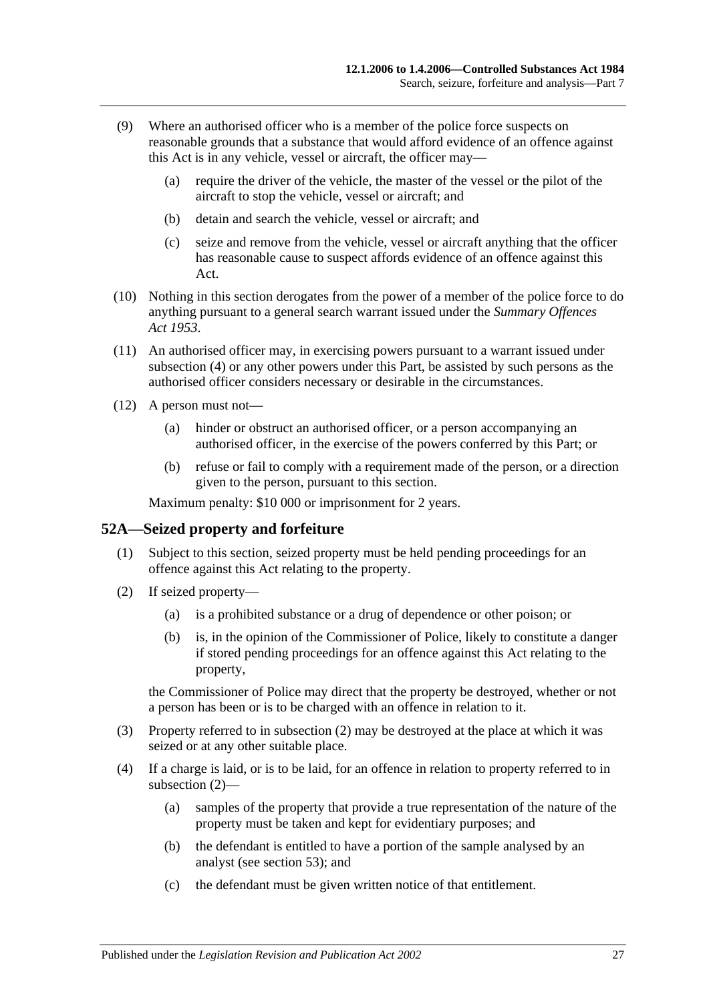- (9) Where an authorised officer who is a member of the police force suspects on reasonable grounds that a substance that would afford evidence of an offence against this Act is in any vehicle, vessel or aircraft, the officer may—
	- (a) require the driver of the vehicle, the master of the vessel or the pilot of the aircraft to stop the vehicle, vessel or aircraft; and
	- (b) detain and search the vehicle, vessel or aircraft; and
	- (c) seize and remove from the vehicle, vessel or aircraft anything that the officer has reasonable cause to suspect affords evidence of an offence against this Act.
- (10) Nothing in this section derogates from the power of a member of the police force to do anything pursuant to a general search warrant issued under the *[Summary Offences](http://www.legislation.sa.gov.au/index.aspx?action=legref&type=act&legtitle=Summary%20Offences%20Act%201953)  Act [1953](http://www.legislation.sa.gov.au/index.aspx?action=legref&type=act&legtitle=Summary%20Offences%20Act%201953)*.
- (11) An authorised officer may, in exercising powers pursuant to a warrant issued under [subsection](#page-25-0) (4) or any other powers under this Part, be assisted by such persons as the authorised officer considers necessary or desirable in the circumstances.
- (12) A person must not—
	- (a) hinder or obstruct an authorised officer, or a person accompanying an authorised officer, in the exercise of the powers conferred by this Part; or
	- (b) refuse or fail to comply with a requirement made of the person, or a direction given to the person, pursuant to this section.

Maximum penalty: \$10 000 or imprisonment for 2 years.

## <span id="page-26-0"></span>**52A—Seized property and forfeiture**

- (1) Subject to this section, seized property must be held pending proceedings for an offence against this Act relating to the property.
- <span id="page-26-1"></span>(2) If seized property—
	- (a) is a prohibited substance or a drug of dependence or other poison; or
	- (b) is, in the opinion of the Commissioner of Police, likely to constitute a danger if stored pending proceedings for an offence against this Act relating to the property,

the Commissioner of Police may direct that the property be destroyed, whether or not a person has been or is to be charged with an offence in relation to it.

- (3) Property referred to in [subsection](#page-26-1) (2) may be destroyed at the place at which it was seized or at any other suitable place.
- (4) If a charge is laid, or is to be laid, for an offence in relation to property referred to in [subsection](#page-26-1) (2)—
	- (a) samples of the property that provide a true representation of the nature of the property must be taken and kept for evidentiary purposes; and
	- (b) the defendant is entitled to have a portion of the sample analysed by an analyst (see [section](#page-28-0) 53); and
	- (c) the defendant must be given written notice of that entitlement.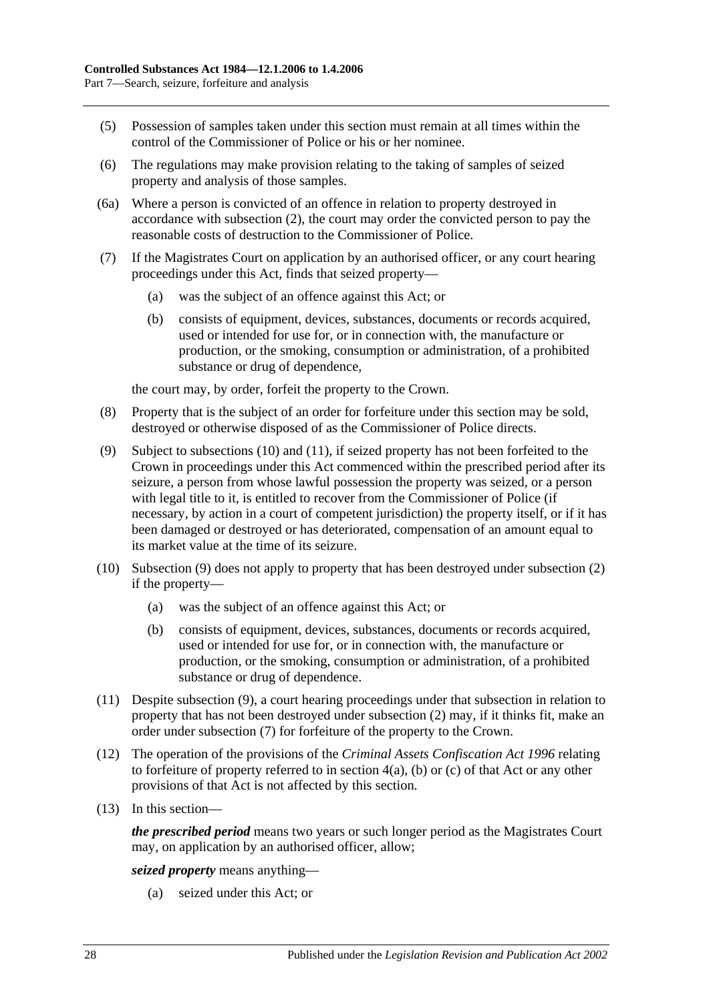- (5) Possession of samples taken under this section must remain at all times within the control of the Commissioner of Police or his or her nominee.
- (6) The regulations may make provision relating to the taking of samples of seized property and analysis of those samples.
- (6a) Where a person is convicted of an offence in relation to property destroyed in accordance with [subsection](#page-26-1) (2), the court may order the convicted person to pay the reasonable costs of destruction to the Commissioner of Police.
- <span id="page-27-3"></span>(7) If the Magistrates Court on application by an authorised officer, or any court hearing proceedings under this Act, finds that seized property—
	- (a) was the subject of an offence against this Act; or
	- (b) consists of equipment, devices, substances, documents or records acquired, used or intended for use for, or in connection with, the manufacture or production, or the smoking, consumption or administration, of a prohibited substance or drug of dependence,

the court may, by order, forfeit the property to the Crown.

- (8) Property that is the subject of an order for forfeiture under this section may be sold, destroyed or otherwise disposed of as the Commissioner of Police directs.
- <span id="page-27-2"></span>(9) Subject to [subsections](#page-27-0) (10) and [\(11\),](#page-27-1) if seized property has not been forfeited to the Crown in proceedings under this Act commenced within the prescribed period after its seizure, a person from whose lawful possession the property was seized, or a person with legal title to it, is entitled to recover from the Commissioner of Police (if necessary, by action in a court of competent jurisdiction) the property itself, or if it has been damaged or destroyed or has deteriorated, compensation of an amount equal to its market value at the time of its seizure.
- <span id="page-27-0"></span>(10) [Subsection](#page-27-2) (9) does not apply to property that has been destroyed under [subsection](#page-26-1) (2) if the property—
	- (a) was the subject of an offence against this Act; or
	- (b) consists of equipment, devices, substances, documents or records acquired, used or intended for use for, or in connection with, the manufacture or production, or the smoking, consumption or administration, of a prohibited substance or drug of dependence.
- <span id="page-27-1"></span>(11) Despite [subsection](#page-27-2) (9), a court hearing proceedings under that subsection in relation to property that has not been destroyed under [subsection](#page-26-1) (2) may, if it thinks fit, make an order under [subsection](#page-27-3) (7) for forfeiture of the property to the Crown.
- (12) The operation of the provisions of the *[Criminal Assets Confiscation Act](http://www.legislation.sa.gov.au/index.aspx?action=legref&type=act&legtitle=Criminal%20Assets%20Confiscation%20Act%201996) 1996* relating to forfeiture of property referred to in section 4(a), (b) or (c) of that Act or any other provisions of that Act is not affected by this section.
- (13) In this section—

*the prescribed period* means two years or such longer period as the Magistrates Court may, on application by an authorised officer, allow;

*seized property* means anything—

(a) seized under this Act; or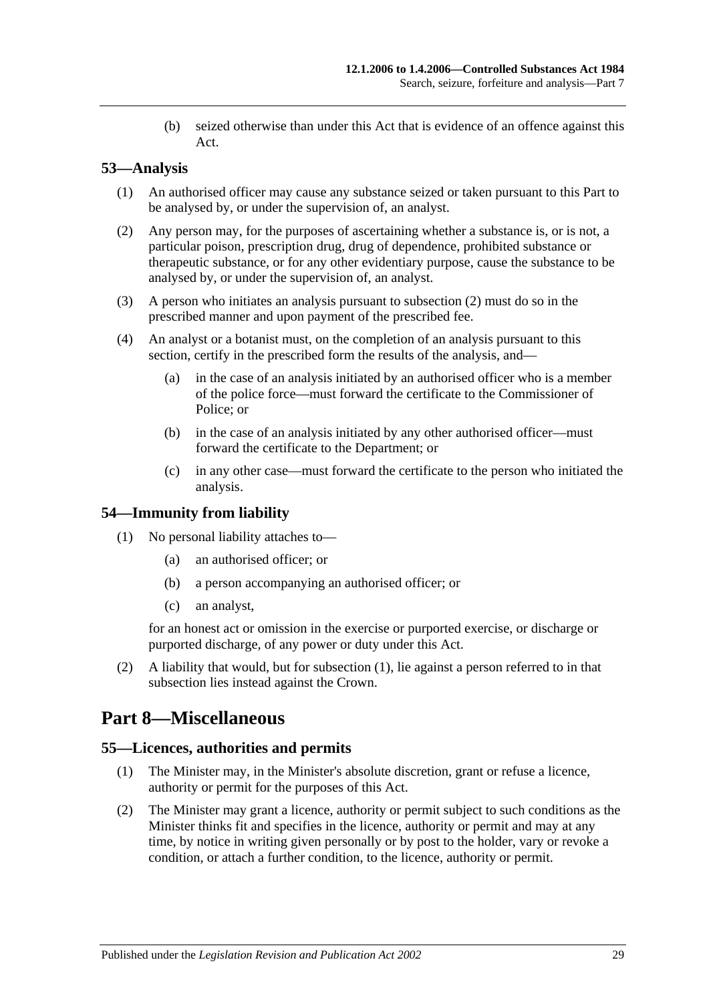(b) seized otherwise than under this Act that is evidence of an offence against this Act.

## <span id="page-28-0"></span>**53—Analysis**

- (1) An authorised officer may cause any substance seized or taken pursuant to this Part to be analysed by, or under the supervision of, an analyst.
- <span id="page-28-4"></span>(2) Any person may, for the purposes of ascertaining whether a substance is, or is not, a particular poison, prescription drug, drug of dependence, prohibited substance or therapeutic substance, or for any other evidentiary purpose, cause the substance to be analysed by, or under the supervision of, an analyst.
- (3) A person who initiates an analysis pursuant to [subsection](#page-28-4) (2) must do so in the prescribed manner and upon payment of the prescribed fee.
- (4) An analyst or a botanist must, on the completion of an analysis pursuant to this section, certify in the prescribed form the results of the analysis, and—
	- (a) in the case of an analysis initiated by an authorised officer who is a member of the police force—must forward the certificate to the Commissioner of Police; or
	- (b) in the case of an analysis initiated by any other authorised officer—must forward the certificate to the Department; or
	- (c) in any other case—must forward the certificate to the person who initiated the analysis.

## <span id="page-28-5"></span><span id="page-28-1"></span>**54—Immunity from liability**

- (1) No personal liability attaches to—
	- (a) an authorised officer; or
	- (b) a person accompanying an authorised officer; or
	- (c) an analyst,

for an honest act or omission in the exercise or purported exercise, or discharge or purported discharge, of any power or duty under this Act.

(2) A liability that would, but for [subsection](#page-28-5) (1), lie against a person referred to in that subsection lies instead against the Crown.

## <span id="page-28-2"></span>**Part 8—Miscellaneous**

#### <span id="page-28-3"></span>**55—Licences, authorities and permits**

- (1) The Minister may, in the Minister's absolute discretion, grant or refuse a licence, authority or permit for the purposes of this Act.
- (2) The Minister may grant a licence, authority or permit subject to such conditions as the Minister thinks fit and specifies in the licence, authority or permit and may at any time, by notice in writing given personally or by post to the holder, vary or revoke a condition, or attach a further condition, to the licence, authority or permit.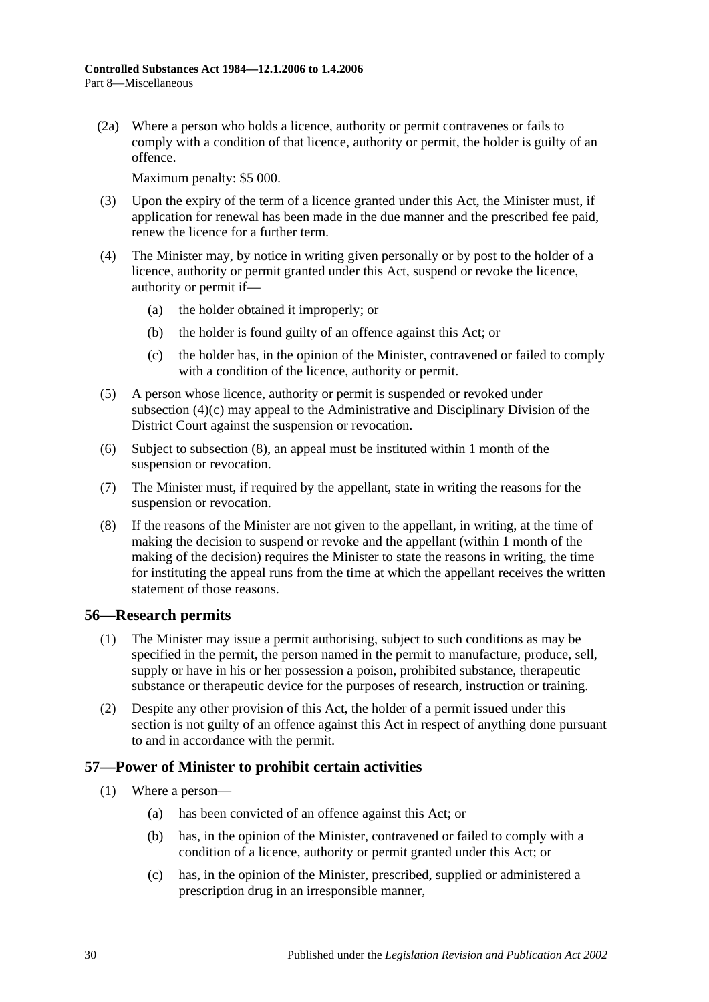(2a) Where a person who holds a licence, authority or permit contravenes or fails to comply with a condition of that licence, authority or permit, the holder is guilty of an offence.

Maximum penalty: \$5 000.

- (3) Upon the expiry of the term of a licence granted under this Act, the Minister must, if application for renewal has been made in the due manner and the prescribed fee paid, renew the licence for a further term.
- (4) The Minister may, by notice in writing given personally or by post to the holder of a licence, authority or permit granted under this Act, suspend or revoke the licence, authority or permit if—
	- (a) the holder obtained it improperly; or
	- (b) the holder is found guilty of an offence against this Act; or
	- (c) the holder has, in the opinion of the Minister, contravened or failed to comply with a condition of the licence, authority or permit.
- <span id="page-29-2"></span>(5) A person whose licence, authority or permit is suspended or revoked under [subsection](#page-29-2) (4)(c) may appeal to the Administrative and Disciplinary Division of the District Court against the suspension or revocation.
- (6) Subject to [subsection](#page-29-3) (8), an appeal must be instituted within 1 month of the suspension or revocation.
- (7) The Minister must, if required by the appellant, state in writing the reasons for the suspension or revocation.
- <span id="page-29-3"></span>(8) If the reasons of the Minister are not given to the appellant, in writing, at the time of making the decision to suspend or revoke and the appellant (within 1 month of the making of the decision) requires the Minister to state the reasons in writing, the time for instituting the appeal runs from the time at which the appellant receives the written statement of those reasons.

## <span id="page-29-0"></span>**56—Research permits**

- (1) The Minister may issue a permit authorising, subject to such conditions as may be specified in the permit, the person named in the permit to manufacture, produce, sell, supply or have in his or her possession a poison, prohibited substance, therapeutic substance or therapeutic device for the purposes of research, instruction or training.
- (2) Despite any other provision of this Act, the holder of a permit issued under this section is not guilty of an offence against this Act in respect of anything done pursuant to and in accordance with the permit.

## <span id="page-29-4"></span><span id="page-29-1"></span>**57—Power of Minister to prohibit certain activities**

- (1) Where a person—
	- (a) has been convicted of an offence against this Act; or
	- (b) has, in the opinion of the Minister, contravened or failed to comply with a condition of a licence, authority or permit granted under this Act; or
	- (c) has, in the opinion of the Minister, prescribed, supplied or administered a prescription drug in an irresponsible manner,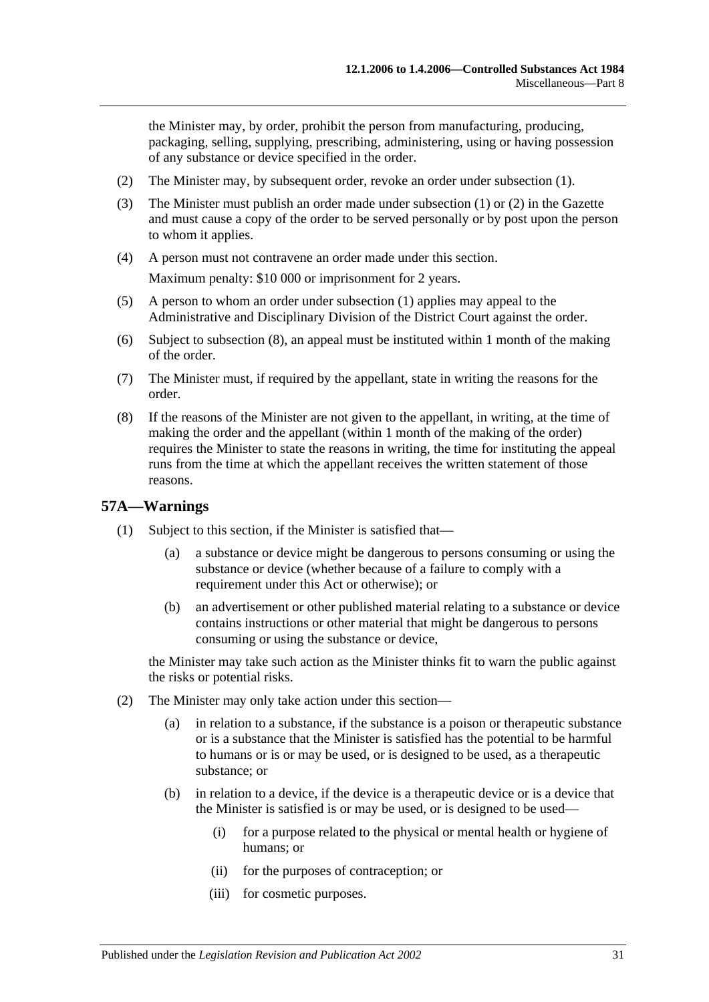the Minister may, by order, prohibit the person from manufacturing, producing, packaging, selling, supplying, prescribing, administering, using or having possession of any substance or device specified in the order.

- <span id="page-30-1"></span>(2) The Minister may, by subsequent order, revoke an order under [subsection](#page-29-4) (1).
- (3) The Minister must publish an order made under [subsection](#page-29-4) (1) or [\(2\)](#page-30-1) in the Gazette and must cause a copy of the order to be served personally or by post upon the person to whom it applies.
- (4) A person must not contravene an order made under this section. Maximum penalty: \$10 000 or imprisonment for 2 years.
- (5) A person to whom an order under [subsection](#page-29-4) (1) applies may appeal to the Administrative and Disciplinary Division of the District Court against the order.
- (6) Subject to [subsection](#page-30-2) (8), an appeal must be instituted within 1 month of the making of the order.
- (7) The Minister must, if required by the appellant, state in writing the reasons for the order.
- <span id="page-30-2"></span>(8) If the reasons of the Minister are not given to the appellant, in writing, at the time of making the order and the appellant (within 1 month of the making of the order) requires the Minister to state the reasons in writing, the time for instituting the appeal runs from the time at which the appellant receives the written statement of those reasons.

#### <span id="page-30-3"></span><span id="page-30-0"></span>**57A—Warnings**

- (1) Subject to this section, if the Minister is satisfied that—
	- (a) a substance or device might be dangerous to persons consuming or using the substance or device (whether because of a failure to comply with a requirement under this Act or otherwise); or
	- (b) an advertisement or other published material relating to a substance or device contains instructions or other material that might be dangerous to persons consuming or using the substance or device,

the Minister may take such action as the Minister thinks fit to warn the public against the risks or potential risks.

- (2) The Minister may only take action under this section—
	- (a) in relation to a substance, if the substance is a poison or therapeutic substance or is a substance that the Minister is satisfied has the potential to be harmful to humans or is or may be used, or is designed to be used, as a therapeutic substance; or
	- (b) in relation to a device, if the device is a therapeutic device or is a device that the Minister is satisfied is or may be used, or is designed to be used—
		- (i) for a purpose related to the physical or mental health or hygiene of humans; or
		- (ii) for the purposes of contraception; or
		- (iii) for cosmetic purposes.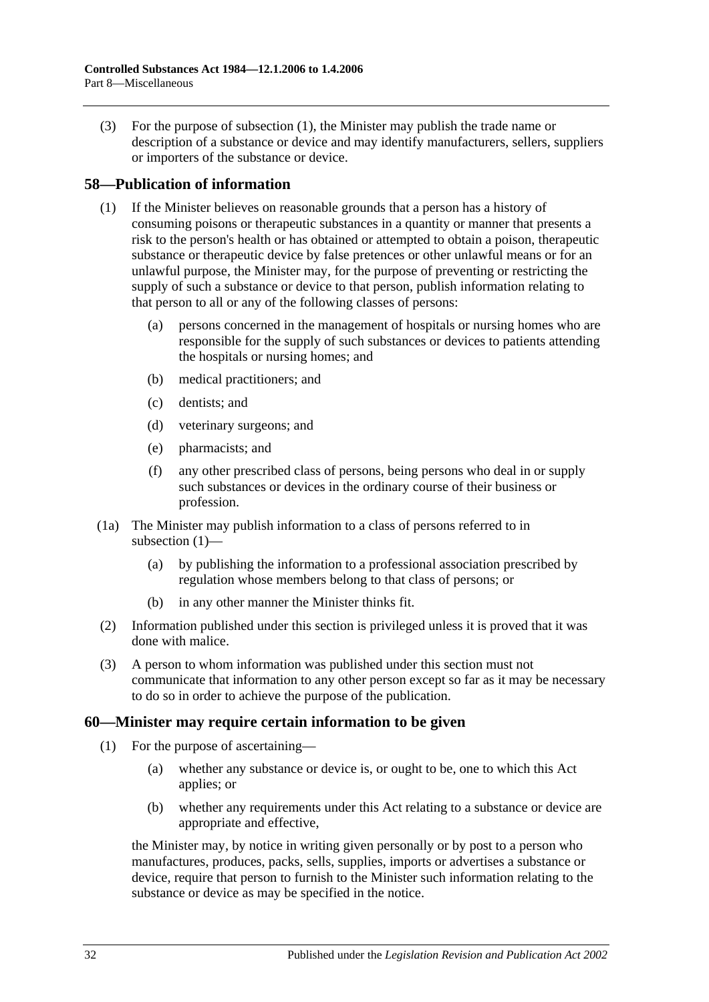(3) For the purpose of [subsection](#page-30-3) (1), the Minister may publish the trade name or description of a substance or device and may identify manufacturers, sellers, suppliers or importers of the substance or device.

## <span id="page-31-2"></span><span id="page-31-0"></span>**58—Publication of information**

- (1) If the Minister believes on reasonable grounds that a person has a history of consuming poisons or therapeutic substances in a quantity or manner that presents a risk to the person's health or has obtained or attempted to obtain a poison, therapeutic substance or therapeutic device by false pretences or other unlawful means or for an unlawful purpose, the Minister may, for the purpose of preventing or restricting the supply of such a substance or device to that person, publish information relating to that person to all or any of the following classes of persons:
	- (a) persons concerned in the management of hospitals or nursing homes who are responsible for the supply of such substances or devices to patients attending the hospitals or nursing homes; and
	- (b) medical practitioners; and
	- (c) dentists; and
	- (d) veterinary surgeons; and
	- (e) pharmacists; and
	- (f) any other prescribed class of persons, being persons who deal in or supply such substances or devices in the ordinary course of their business or profession.
- (1a) The Minister may publish information to a class of persons referred to in [subsection](#page-31-2) (1)—
	- (a) by publishing the information to a professional association prescribed by regulation whose members belong to that class of persons; or
	- (b) in any other manner the Minister thinks fit.
- (2) Information published under this section is privileged unless it is proved that it was done with malice.
- (3) A person to whom information was published under this section must not communicate that information to any other person except so far as it may be necessary to do so in order to achieve the purpose of the publication.

## <span id="page-31-1"></span>**60—Minister may require certain information to be given**

- (1) For the purpose of ascertaining—
	- (a) whether any substance or device is, or ought to be, one to which this Act applies; or
	- (b) whether any requirements under this Act relating to a substance or device are appropriate and effective,

the Minister may, by notice in writing given personally or by post to a person who manufactures, produces, packs, sells, supplies, imports or advertises a substance or device, require that person to furnish to the Minister such information relating to the substance or device as may be specified in the notice.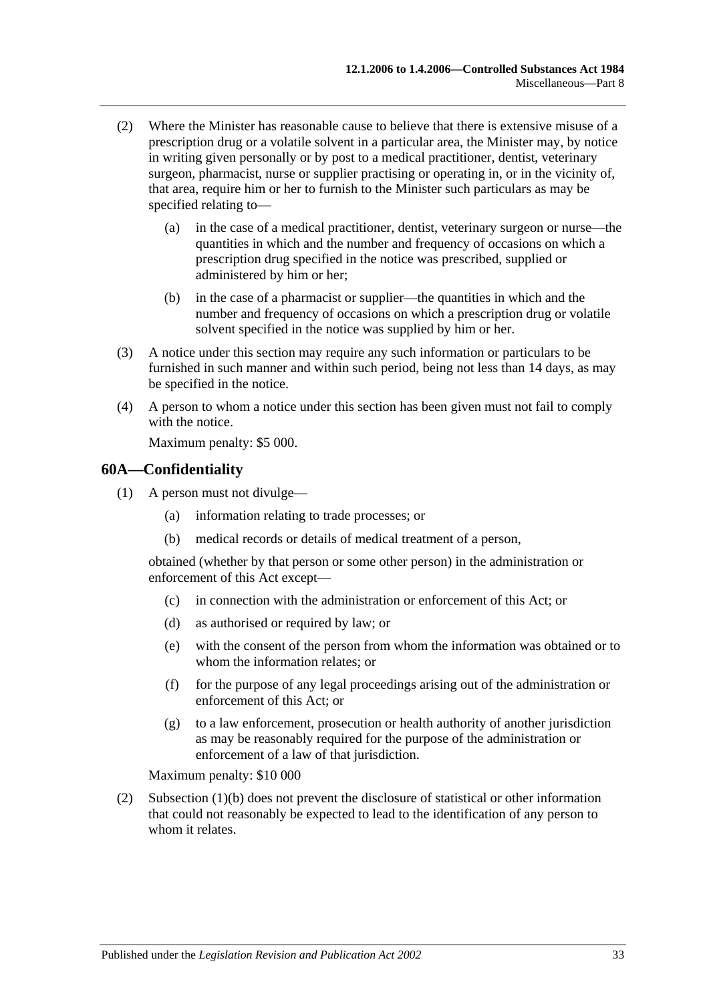- (2) Where the Minister has reasonable cause to believe that there is extensive misuse of a prescription drug or a volatile solvent in a particular area, the Minister may, by notice in writing given personally or by post to a medical practitioner, dentist, veterinary surgeon, pharmacist, nurse or supplier practising or operating in, or in the vicinity of, that area, require him or her to furnish to the Minister such particulars as may be specified relating to—
	- (a) in the case of a medical practitioner, dentist, veterinary surgeon or nurse—the quantities in which and the number and frequency of occasions on which a prescription drug specified in the notice was prescribed, supplied or administered by him or her;
	- (b) in the case of a pharmacist or supplier—the quantities in which and the number and frequency of occasions on which a prescription drug or volatile solvent specified in the notice was supplied by him or her.
- (3) A notice under this section may require any such information or particulars to be furnished in such manner and within such period, being not less than 14 days, as may be specified in the notice.
- (4) A person to whom a notice under this section has been given must not fail to comply with the notice.

Maximum penalty: \$5 000.

## <span id="page-32-0"></span>**60A—Confidentiality**

- <span id="page-32-1"></span>(1) A person must not divulge—
	- (a) information relating to trade processes; or
	- (b) medical records or details of medical treatment of a person,

obtained (whether by that person or some other person) in the administration or enforcement of this Act except—

- (c) in connection with the administration or enforcement of this Act; or
- (d) as authorised or required by law; or
- (e) with the consent of the person from whom the information was obtained or to whom the information relates; or
- (f) for the purpose of any legal proceedings arising out of the administration or enforcement of this Act; or
- (g) to a law enforcement, prosecution or health authority of another jurisdiction as may be reasonably required for the purpose of the administration or enforcement of a law of that jurisdiction.

Maximum penalty: \$10 000

(2) [Subsection](#page-32-1) (1)(b) does not prevent the disclosure of statistical or other information that could not reasonably be expected to lead to the identification of any person to whom it relates.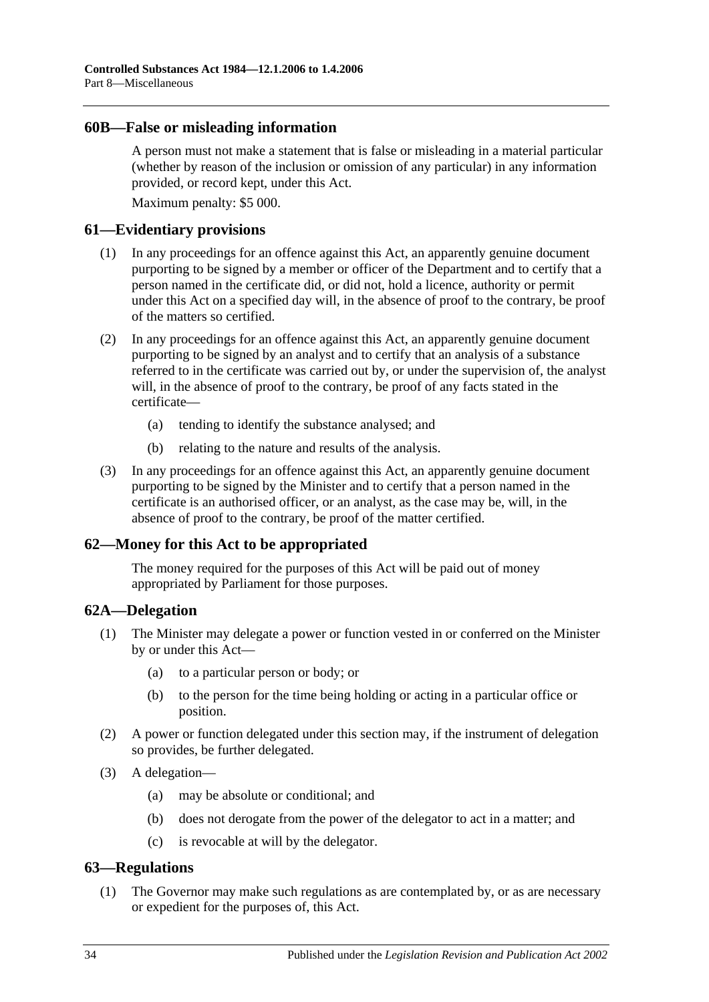#### <span id="page-33-0"></span>**60B—False or misleading information**

A person must not make a statement that is false or misleading in a material particular (whether by reason of the inclusion or omission of any particular) in any information provided, or record kept, under this Act.

Maximum penalty: \$5 000.

#### <span id="page-33-1"></span>**61—Evidentiary provisions**

- (1) In any proceedings for an offence against this Act, an apparently genuine document purporting to be signed by a member or officer of the Department and to certify that a person named in the certificate did, or did not, hold a licence, authority or permit under this Act on a specified day will, in the absence of proof to the contrary, be proof of the matters so certified.
- (2) In any proceedings for an offence against this Act, an apparently genuine document purporting to be signed by an analyst and to certify that an analysis of a substance referred to in the certificate was carried out by, or under the supervision of, the analyst will, in the absence of proof to the contrary, be proof of any facts stated in the certificate—
	- (a) tending to identify the substance analysed; and
	- (b) relating to the nature and results of the analysis.
- (3) In any proceedings for an offence against this Act, an apparently genuine document purporting to be signed by the Minister and to certify that a person named in the certificate is an authorised officer, or an analyst, as the case may be, will, in the absence of proof to the contrary, be proof of the matter certified.

## <span id="page-33-2"></span>**62—Money for this Act to be appropriated**

The money required for the purposes of this Act will be paid out of money appropriated by Parliament for those purposes.

#### <span id="page-33-3"></span>**62A—Delegation**

- (1) The Minister may delegate a power or function vested in or conferred on the Minister by or under this Act—
	- (a) to a particular person or body; or
	- (b) to the person for the time being holding or acting in a particular office or position.
- (2) A power or function delegated under this section may, if the instrument of delegation so provides, be further delegated.
- (3) A delegation—
	- (a) may be absolute or conditional; and
	- (b) does not derogate from the power of the delegator to act in a matter; and
	- (c) is revocable at will by the delegator.

## <span id="page-33-5"></span><span id="page-33-4"></span>**63—Regulations**

(1) The Governor may make such regulations as are contemplated by, or as are necessary or expedient for the purposes of, this Act.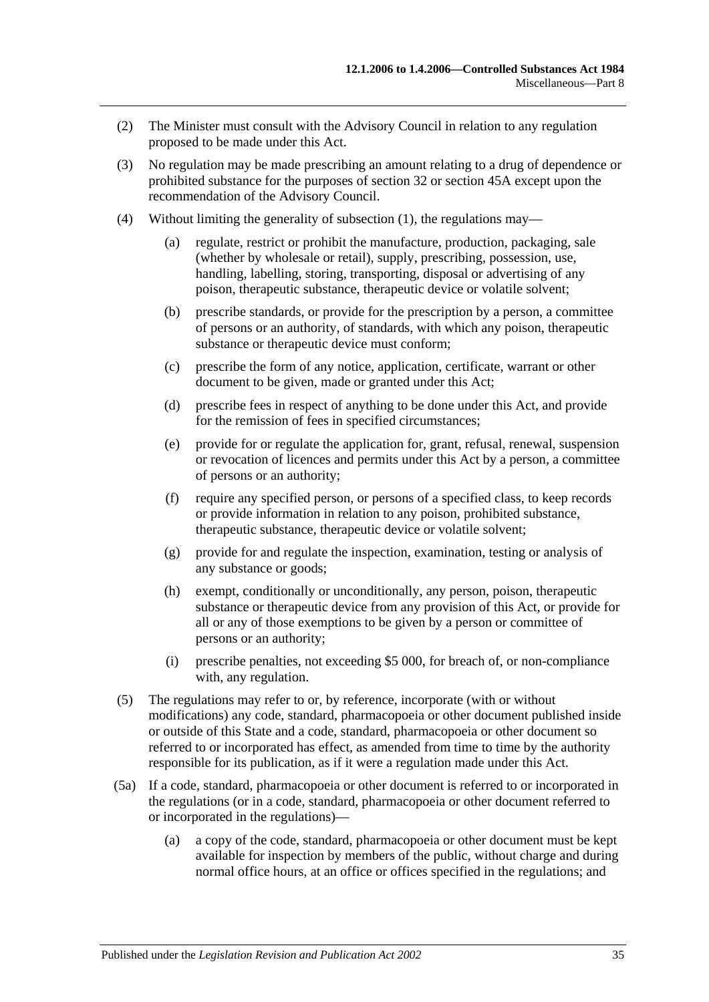- (2) The Minister must consult with the Advisory Council in relation to any regulation proposed to be made under this Act.
- (3) No regulation may be made prescribing an amount relating to a drug of dependence or prohibited substance for the purposes of [section](#page-14-0) 32 or [section](#page-23-1) 45A except upon the recommendation of the Advisory Council.
- (4) Without limiting the generality of [subsection](#page-33-5) (1), the regulations may—
	- (a) regulate, restrict or prohibit the manufacture, production, packaging, sale (whether by wholesale or retail), supply, prescribing, possession, use, handling, labelling, storing, transporting, disposal or advertising of any poison, therapeutic substance, therapeutic device or volatile solvent;
	- (b) prescribe standards, or provide for the prescription by a person, a committee of persons or an authority, of standards, with which any poison, therapeutic substance or therapeutic device must conform;
	- (c) prescribe the form of any notice, application, certificate, warrant or other document to be given, made or granted under this Act;
	- (d) prescribe fees in respect of anything to be done under this Act, and provide for the remission of fees in specified circumstances;
	- (e) provide for or regulate the application for, grant, refusal, renewal, suspension or revocation of licences and permits under this Act by a person, a committee of persons or an authority;
	- (f) require any specified person, or persons of a specified class, to keep records or provide information in relation to any poison, prohibited substance, therapeutic substance, therapeutic device or volatile solvent;
	- (g) provide for and regulate the inspection, examination, testing or analysis of any substance or goods;
	- (h) exempt, conditionally or unconditionally, any person, poison, therapeutic substance or therapeutic device from any provision of this Act, or provide for all or any of those exemptions to be given by a person or committee of persons or an authority;
	- (i) prescribe penalties, not exceeding \$5 000, for breach of, or non-compliance with, any regulation.
- (5) The regulations may refer to or, by reference, incorporate (with or without modifications) any code, standard, pharmacopoeia or other document published inside or outside of this State and a code, standard, pharmacopoeia or other document so referred to or incorporated has effect, as amended from time to time by the authority responsible for its publication, as if it were a regulation made under this Act.
- (5a) If a code, standard, pharmacopoeia or other document is referred to or incorporated in the regulations (or in a code, standard, pharmacopoeia or other document referred to or incorporated in the regulations)—
	- (a) a copy of the code, standard, pharmacopoeia or other document must be kept available for inspection by members of the public, without charge and during normal office hours, at an office or offices specified in the regulations; and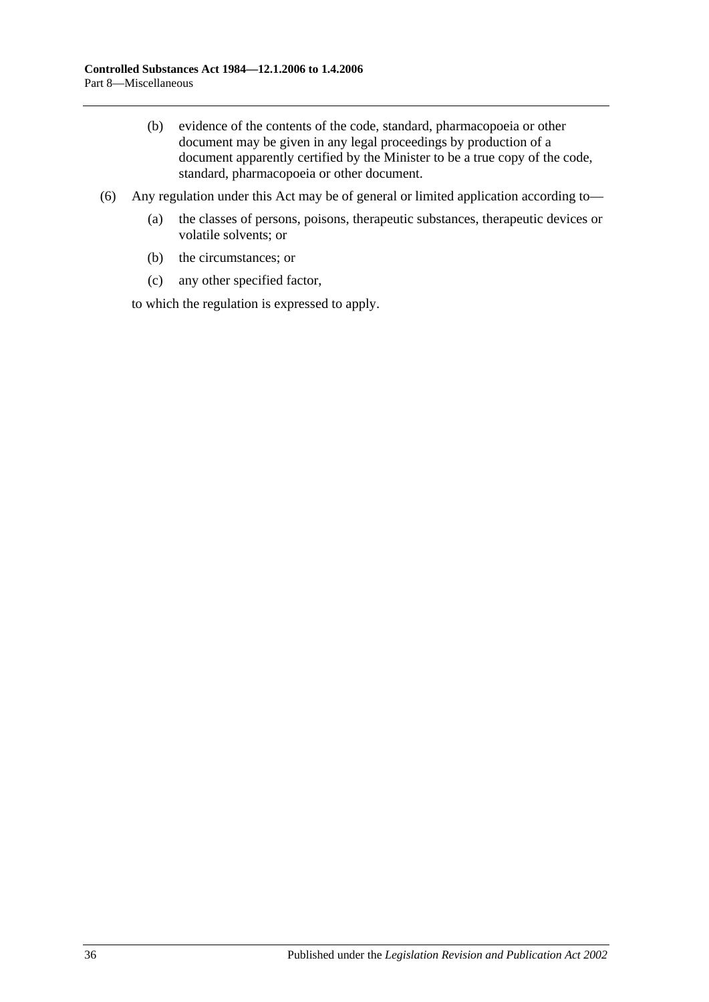- (b) evidence of the contents of the code, standard, pharmacopoeia or other document may be given in any legal proceedings by production of a document apparently certified by the Minister to be a true copy of the code, standard, pharmacopoeia or other document.
- (6) Any regulation under this Act may be of general or limited application according to—
	- (a) the classes of persons, poisons, therapeutic substances, therapeutic devices or volatile solvents; or
	- (b) the circumstances; or
	- (c) any other specified factor,

to which the regulation is expressed to apply.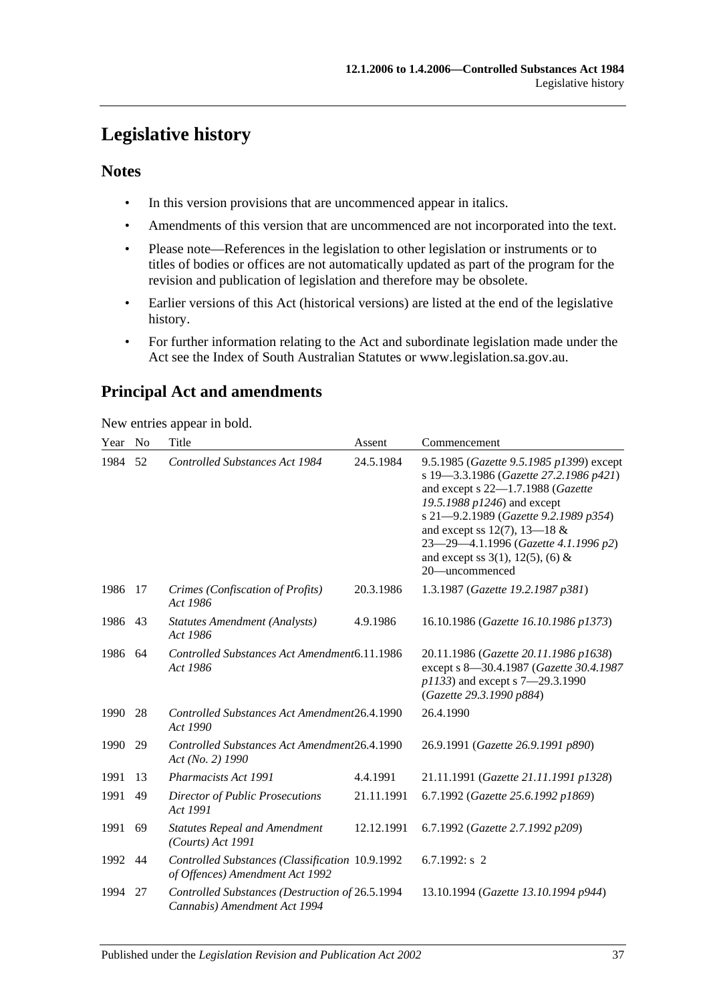# <span id="page-36-0"></span>**Legislative history**

## **Notes**

- In this version provisions that are uncommenced appear in italics.
- Amendments of this version that are uncommenced are not incorporated into the text.
- Please note—References in the legislation to other legislation or instruments or to titles of bodies or offices are not automatically updated as part of the program for the revision and publication of legislation and therefore may be obsolete.
- Earlier versions of this Act (historical versions) are listed at the end of the legislative history.
- For further information relating to the Act and subordinate legislation made under the Act see the Index of South Australian Statutes or www.legislation.sa.gov.au.

## **Principal Act and amendments**

New entries appear in bold.

| Year | N <sub>0</sub> | Title                                                                              | Assent     | Commencement                                                                                                                                                                                                                                                                                                                            |
|------|----------------|------------------------------------------------------------------------------------|------------|-----------------------------------------------------------------------------------------------------------------------------------------------------------------------------------------------------------------------------------------------------------------------------------------------------------------------------------------|
| 1984 | 52             | Controlled Substances Act 1984                                                     | 24.5.1984  | 9.5.1985 (Gazette 9.5.1985 p1399) except<br>s 19-3.3.1986 (Gazette 27.2.1986 p421)<br>and except s 22-1.7.1988 (Gazette<br>19.5.1988 p1246) and except<br>s 21-9.2.1989 (Gazette 9.2.1989 p354)<br>and except ss 12(7), 13–18 $&$<br>23-29-4.1.1996 (Gazette 4.1.1996 p2)<br>and except ss $3(1)$ , $12(5)$ , $(6)$ &<br>20-uncommenced |
| 1986 | 17             | Crimes (Confiscation of Profits)<br>Act 1986                                       | 20.3.1986  | 1.3.1987 (Gazette 19.2.1987 p381)                                                                                                                                                                                                                                                                                                       |
| 1986 | 43             | <b>Statutes Amendment (Analysts)</b><br>Act 1986                                   | 4.9.1986   | 16.10.1986 (Gazette 16.10.1986 p1373)                                                                                                                                                                                                                                                                                                   |
| 1986 | 64             | Controlled Substances Act Amendment6.11.1986<br>Act 1986                           |            | 20.11.1986 (Gazette 20.11.1986 p1638)<br>except s 8-30.4.1987 (Gazette 30.4.1987<br>p1133) and except s 7-29.3.1990<br>(Gazette 29.3.1990 p884)                                                                                                                                                                                         |
| 1990 | 28             | Controlled Substances Act Amendment26.4.1990<br>Act 1990                           |            | 26.4.1990                                                                                                                                                                                                                                                                                                                               |
| 1990 | 29             | Controlled Substances Act Amendment26.4.1990<br>Act (No. 2) 1990                   |            | 26.9.1991 (Gazette 26.9.1991 p890)                                                                                                                                                                                                                                                                                                      |
| 1991 | 13             | Pharmacists Act 1991                                                               | 4.4.1991   | 21.11.1991 (Gazette 21.11.1991 p1328)                                                                                                                                                                                                                                                                                                   |
| 1991 | 49             | <b>Director of Public Prosecutions</b><br>Act 1991                                 | 21.11.1991 | 6.7.1992 (Gazette 25.6.1992 p1869)                                                                                                                                                                                                                                                                                                      |
| 1991 | 69             | <b>Statutes Repeal and Amendment</b><br>$(Courts)$ Act 1991                        | 12.12.1991 | 6.7.1992 (Gazette 2.7.1992 p209)                                                                                                                                                                                                                                                                                                        |
| 1992 | 44             | Controlled Substances (Classification 10.9.1992<br>of Offences) Amendment Act 1992 |            | 6.7.1992: $s$ 2                                                                                                                                                                                                                                                                                                                         |
| 1994 | 27             | Controlled Substances (Destruction of 26.5.1994<br>Cannabis) Amendment Act 1994    |            | 13.10.1994 (Gazette 13.10.1994 p944)                                                                                                                                                                                                                                                                                                    |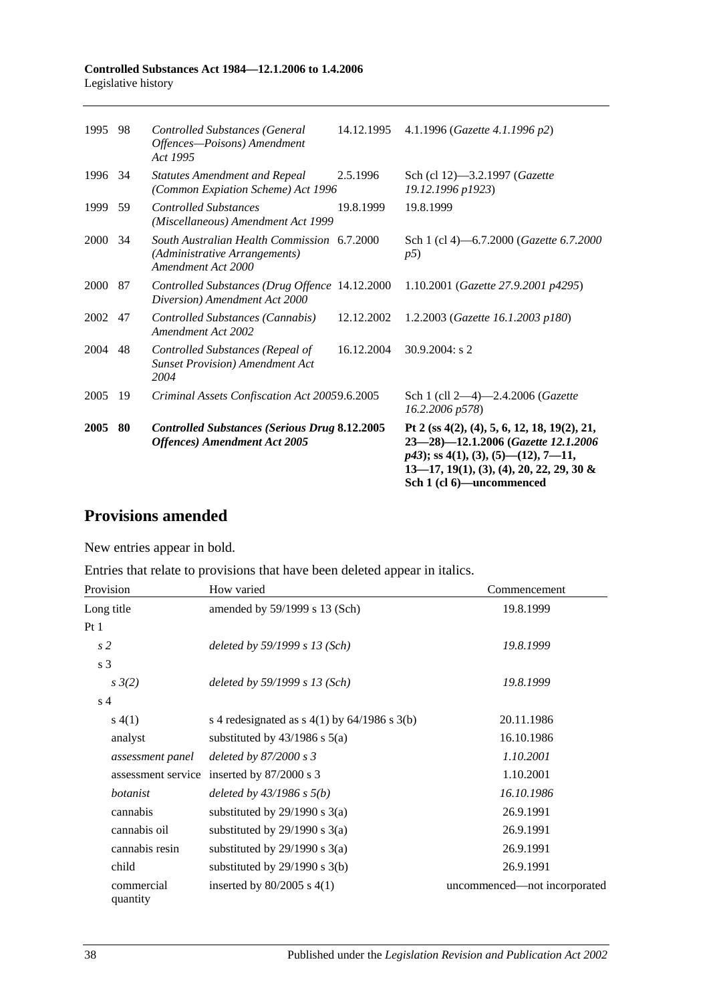|         |    | <b>Offences</b> ) Amendment Act 2005                                                               |            | 23-28)-12.1.2006 (Gazette 12.1.2006<br>$p43$ ; ss 4(1), (3), (5)—(12), 7—11,<br>$13-17$ , $19(1)$ , $(3)$ , $(4)$ , $20$ , $22$ , $29$ , $30$ &<br>Sch 1 (cl 6)—uncommenced |
|---------|----|----------------------------------------------------------------------------------------------------|------------|-----------------------------------------------------------------------------------------------------------------------------------------------------------------------------|
| 2005    | 80 | <b>Controlled Substances (Serious Drug 8.12.2005</b>                                               |            | Pt 2 (ss $4(2)$ , (4), 5, 6, 12, 18, 19(2), 21,                                                                                                                             |
| 2005    | 19 | Criminal Assets Confiscation Act 20059.6.2005                                                      |            | Sch 1 (cll 2-4)-2.4.2006 ( <i>Gazette</i><br>16.2.2006 p578)                                                                                                                |
| 2004    | 48 | Controlled Substances (Repeal of<br><b>Sunset Provision) Amendment Act</b><br>2004                 | 16.12.2004 | 30.9.2004: s 2                                                                                                                                                              |
| 2002 47 |    | Controlled Substances (Cannabis)<br>Amendment Act 2002                                             | 12.12.2002 | 1.2.2003 (Gazette 16.1.2003 p180)                                                                                                                                           |
| 2000 87 |    | Controlled Substances (Drug Offence 14.12.2000<br>Diversion) Amendment Act 2000                    |            | 1.10.2001 (Gazette 27.9.2001 p4295)                                                                                                                                         |
| 2000    | 34 | South Australian Health Commission 6.7.2000<br>(Administrative Arrangements)<br>Amendment Act 2000 |            | Sch 1 (cl 4)–6.7.2000 ( <i>Gazette 6.7.2000</i><br>p5)                                                                                                                      |
| 1999    | 59 | <b>Controlled Substances</b><br>(Miscellaneous) Amendment Act 1999                                 | 19.8.1999  | 19.8.1999                                                                                                                                                                   |
| 1996 34 |    | <b>Statutes Amendment and Repeal</b><br>(Common Expiation Scheme) Act 1996                         | 2.5.1996   | Sch (cl 12)-3.2.1997 (Gazette<br>19.12.1996 p1923)                                                                                                                          |
| 1995    | 98 | <b>Controlled Substances (General</b><br>Offences-Poisons) Amendment<br>Act 1995                   | 14.12.1995 | 4.1.1996 (Gazette 4.1.1996 p2)                                                                                                                                              |
|         |    |                                                                                                    |            |                                                                                                                                                                             |

## **Provisions amended**

New entries appear in bold.

Entries that relate to provisions that have been deleted appear in italics.

| Provision              | How varied                                     | Commencement                 |  |
|------------------------|------------------------------------------------|------------------------------|--|
| Long title             | amended by 59/1999 s 13 (Sch)                  | 19.8.1999                    |  |
| Pt1                    |                                                |                              |  |
| s <sub>2</sub>         | deleted by $59/1999 s 13$ (Sch)                | 19.8.1999                    |  |
| s 3                    |                                                |                              |  |
| $s \frac{3}{2}$        | deleted by $59/1999 s 13$ (Sch)                | 19.8.1999                    |  |
| s <sub>4</sub>         |                                                |                              |  |
| s(4(1))                | s 4 redesignated as $s$ 4(1) by 64/1986 s 3(b) | 20.11.1986                   |  |
| analyst                | substituted by $43/1986$ s $5(a)$              | 16.10.1986                   |  |
| assessment panel       | deleted by $87/2000 s3$                        | 1.10.2001                    |  |
| assessment service     | inserted by $87/2000$ s 3                      | 1.10.2001                    |  |
| botanist               | deleted by $43/1986$ s $5(b)$                  | 16.10.1986                   |  |
| cannabis               | substituted by $29/1990$ s $3(a)$              | 26.9.1991                    |  |
| cannabis oil           | substituted by $29/1990$ s $3(a)$              | 26.9.1991                    |  |
| cannabis resin         | substituted by $29/1990$ s $3(a)$              | 26.9.1991                    |  |
| child                  | substituted by $29/1990$ s $3(b)$              | 26.9.1991                    |  |
| commercial<br>quantity | inserted by $80/2005$ s $4(1)$                 | uncommenced—not incorporated |  |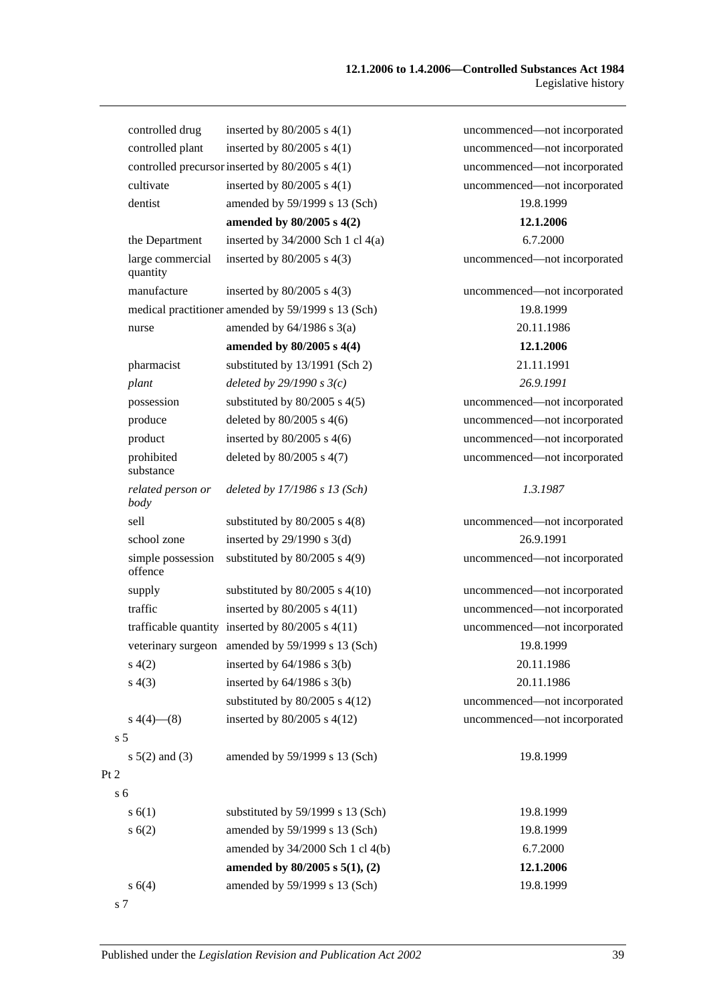|                | controlled drug              | inserted by $80/2005$ s $4(1)$                       | uncommenced—not incorporated |
|----------------|------------------------------|------------------------------------------------------|------------------------------|
|                | controlled plant             | inserted by $80/2005$ s $4(1)$                       | uncommenced-not incorporated |
|                |                              | controlled precursor inserted by 80/2005 s 4(1)      | uncommenced-not incorporated |
|                | cultivate                    | inserted by $80/2005$ s $4(1)$                       | uncommenced-not incorporated |
|                | dentist                      | amended by 59/1999 s 13 (Sch)                        | 19.8.1999                    |
|                |                              | amended by 80/2005 s 4(2)                            | 12.1.2006                    |
|                | the Department               | inserted by $34/2000$ Sch 1 cl $4(a)$                | 6.7.2000                     |
|                | large commercial<br>quantity | inserted by $80/2005$ s $4(3)$                       | uncommenced-not incorporated |
|                | manufacture                  | inserted by $80/2005$ s $4(3)$                       | uncommenced-not incorporated |
|                |                              | medical practitioner amended by 59/1999 s 13 (Sch)   | 19.8.1999                    |
|                | nurse                        | amended by $64/1986$ s $3(a)$                        | 20.11.1986                   |
|                |                              | amended by 80/2005 s 4(4)                            | 12.1.2006                    |
|                | pharmacist                   | substituted by 13/1991 (Sch 2)                       | 21.11.1991                   |
|                | plant                        | deleted by $29/1990 s3(c)$                           | 26.9.1991                    |
|                | possession                   | substituted by $80/2005$ s $4(5)$                    | uncommenced-not incorporated |
|                | produce                      | deleted by $80/2005$ s $4(6)$                        | uncommenced-not incorporated |
|                | product                      | inserted by $80/2005$ s $4(6)$                       | uncommenced-not incorporated |
|                | prohibited<br>substance      | deleted by 80/2005 s 4(7)                            | uncommenced-not incorporated |
|                | related person or<br>body    | deleted by 17/1986 s 13 (Sch)                        | 1.3.1987                     |
|                | sell                         | substituted by $80/2005$ s $4(8)$                    | uncommenced-not incorporated |
|                | school zone                  | inserted by $29/1990$ s $3(d)$                       | 26.9.1991                    |
|                | simple possession<br>offence | substituted by $80/2005$ s $4(9)$                    | uncommenced-not incorporated |
|                | supply                       | substituted by $80/2005$ s $4(10)$                   | uncommenced—not incorporated |
|                | traffic                      | inserted by $80/2005$ s $4(11)$                      | uncommenced-not incorporated |
|                |                              | trafficable quantity inserted by $80/2005$ s $4(11)$ | uncommenced-not incorporated |
|                |                              | veterinary surgeon amended by 59/1999 s 13 (Sch)     | 19.8.1999                    |
|                | s(4(2)                       | inserted by $64/1986$ s $3(b)$                       | 20.11.1986                   |
|                | s(4(3))                      | inserted by $64/1986$ s $3(b)$                       | 20.11.1986                   |
|                |                              | substituted by $80/2005$ s $4(12)$                   | uncommenced-not incorporated |
|                | $s\ 4(4)$ (8)                | inserted by $80/2005$ s $4(12)$                      | uncommenced-not incorporated |
| s <sub>5</sub> |                              |                                                      |                              |
|                | $s\ 5(2)$ and (3)            | amended by 59/1999 s 13 (Sch)                        | 19.8.1999                    |
| Pt 2           |                              |                                                      |                              |
| s <sub>6</sub> |                              |                                                      |                              |
|                | s(6(1))                      | substituted by 59/1999 s 13 (Sch)                    | 19.8.1999                    |
|                | s(6(2))                      | amended by 59/1999 s 13 (Sch)                        | 19.8.1999                    |
|                |                              | amended by 34/2000 Sch 1 cl 4(b)                     | 6.7.2000                     |
|                |                              | amended by $80/2005$ s $5(1)$ , (2)                  | 12.1.2006                    |
|                | s 6(4)                       | amended by 59/1999 s 13 (Sch)                        | 19.8.1999                    |
|                |                              |                                                      |                              |

s 7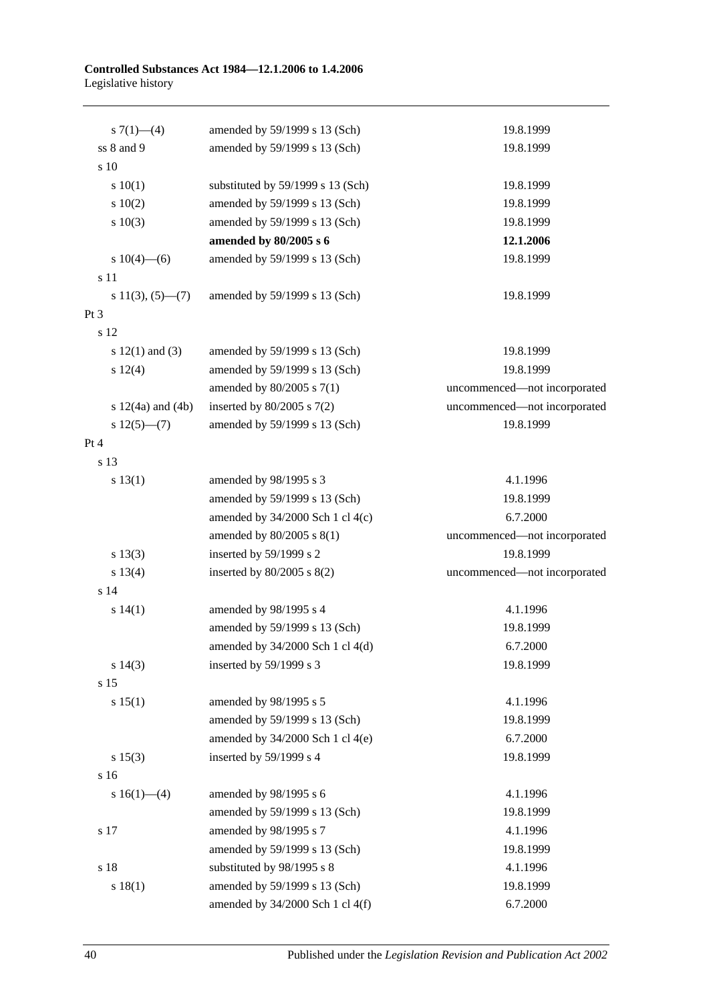| s $7(1)$ —(4)         | amended by 59/1999 s 13 (Sch)        | 19.8.1999                    |
|-----------------------|--------------------------------------|------------------------------|
| ss 8 and 9            | amended by 59/1999 s 13 (Sch)        | 19.8.1999                    |
| s 10                  |                                      |                              |
| 10(1)                 | substituted by 59/1999 s 13 (Sch)    | 19.8.1999                    |
| 10(2)                 | amended by 59/1999 s 13 (Sch)        | 19.8.1999                    |
| s 10(3)               | amended by 59/1999 s 13 (Sch)        | 19.8.1999                    |
|                       | amended by 80/2005 s 6               | 12.1.2006                    |
| s $10(4)$ —(6)        | amended by 59/1999 s 13 (Sch)        | 19.8.1999                    |
| s 11                  |                                      |                              |
| $s\ 11(3), (5)$ —(7)  | amended by 59/1999 s 13 (Sch)        | 19.8.1999                    |
| Pt <sub>3</sub>       |                                      |                              |
| s 12                  |                                      |                              |
| s $12(1)$ and $(3)$   | amended by 59/1999 s 13 (Sch)        | 19.8.1999                    |
| s 12(4)               | amended by 59/1999 s 13 (Sch)        | 19.8.1999                    |
|                       | amended by $80/2005$ s $7(1)$        | uncommenced-not incorporated |
| s $12(4a)$ and $(4b)$ | inserted by $80/2005$ s $7(2)$       | uncommenced-not incorporated |
| $s 12(5)$ (7)         | amended by 59/1999 s 13 (Sch)        | 19.8.1999                    |
| Pt 4                  |                                      |                              |
| s 13                  |                                      |                              |
| s 13(1)               | amended by 98/1995 s 3               | 4.1.1996                     |
|                       | amended by 59/1999 s 13 (Sch)        | 19.8.1999                    |
|                       | amended by $34/2000$ Sch 1 cl 4(c)   | 6.7.2000                     |
|                       | amended by 80/2005 s 8(1)            | uncommenced-not incorporated |
| s 13(3)               | inserted by 59/1999 s 2              | 19.8.1999                    |
| s 13(4)               | inserted by $80/2005$ s $8(2)$       | uncommenced-not incorporated |
| s 14                  |                                      |                              |
| s 14(1)               | amended by 98/1995 s 4               | 4.1.1996                     |
|                       | amended by 59/1999 s 13 (Sch)        | 19.8.1999                    |
|                       | amended by $34/2000$ Sch 1 cl $4(d)$ | 6.7.2000                     |
| s 14(3)               | inserted by 59/1999 s 3              | 19.8.1999                    |
| s 15                  |                                      |                              |
| s 15(1)               | amended by 98/1995 s 5               | 4.1.1996                     |
|                       | amended by 59/1999 s 13 (Sch)        | 19.8.1999                    |
|                       | amended by $34/2000$ Sch 1 cl 4(e)   | 6.7.2000                     |
| s 15(3)               | inserted by 59/1999 s 4              | 19.8.1999                    |
| s 16                  |                                      |                              |
| s $16(1)$ — $(4)$     | amended by 98/1995 s 6               | 4.1.1996                     |
|                       | amended by 59/1999 s 13 (Sch)        | 19.8.1999                    |
| s 17                  | amended by 98/1995 s 7               | 4.1.1996                     |
|                       | amended by 59/1999 s 13 (Sch)        | 19.8.1999                    |
| s 18                  | substituted by 98/1995 s 8           | 4.1.1996                     |
| s 18(1)               | amended by 59/1999 s 13 (Sch)        | 19.8.1999                    |
|                       | amended by 34/2000 Sch 1 cl 4(f)     | 6.7.2000                     |
|                       |                                      |                              |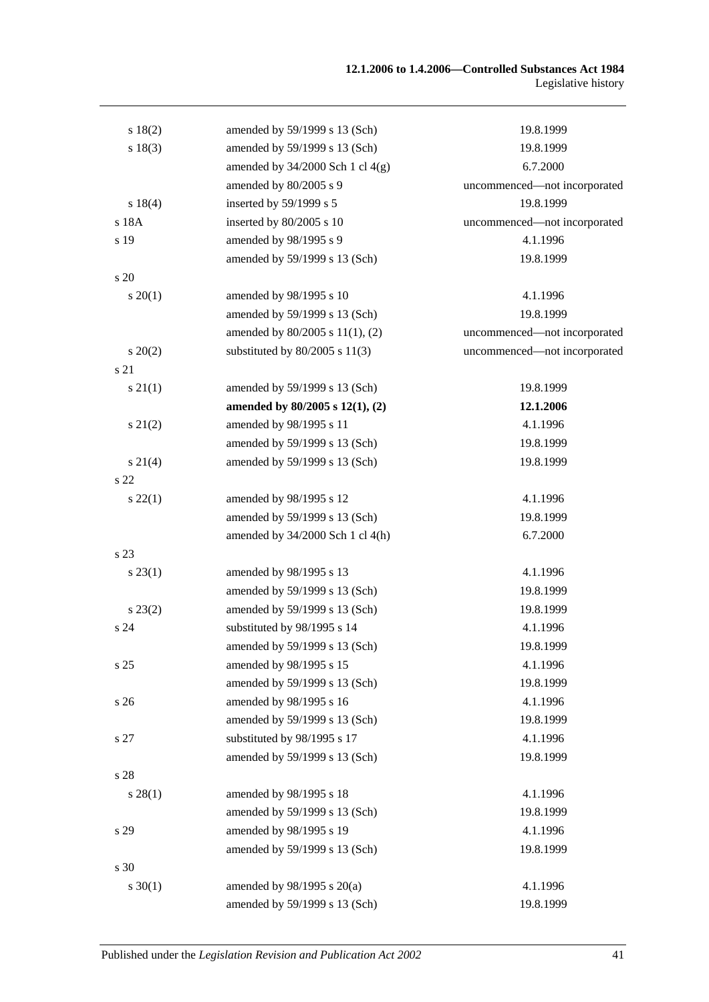| s 18(2)         | amended by 59/1999 s 13 (Sch)        | 19.8.1999                    |
|-----------------|--------------------------------------|------------------------------|
| s 18(3)         | amended by 59/1999 s 13 (Sch)        | 19.8.1999                    |
|                 | amended by $34/2000$ Sch 1 cl $4(g)$ | 6.7.2000                     |
|                 | amended by 80/2005 s 9               | uncommenced-not incorporated |
| s 18(4)         | inserted by 59/1999 s 5              | 19.8.1999                    |
| s 18A           | inserted by 80/2005 s 10             | uncommenced-not incorporated |
| s 19            | amended by 98/1995 s 9               | 4.1.1996                     |
|                 | amended by 59/1999 s 13 (Sch)        | 19.8.1999                    |
| s 20            |                                      |                              |
| $s \ 20(1)$     | amended by 98/1995 s 10              | 4.1.1996                     |
|                 | amended by 59/1999 s 13 (Sch)        | 19.8.1999                    |
|                 | amended by 80/2005 s 11(1), (2)      | uncommenced-not incorporated |
| $s \ 20(2)$     | substituted by $80/2005$ s $11(3)$   | uncommenced-not incorporated |
| s 21            |                                      |                              |
| $s \, 21(1)$    | amended by 59/1999 s 13 (Sch)        | 19.8.1999                    |
|                 | amended by 80/2005 s 12(1), (2)      | 12.1.2006                    |
| $s\ 21(2)$      | amended by 98/1995 s 11              | 4.1.1996                     |
|                 | amended by 59/1999 s 13 (Sch)        | 19.8.1999                    |
| $s \, 21(4)$    | amended by 59/1999 s 13 (Sch)        | 19.8.1999                    |
| s <sub>22</sub> |                                      |                              |
| $s\,22(1)$      | amended by 98/1995 s 12              | 4.1.1996                     |
|                 | amended by 59/1999 s 13 (Sch)        | 19.8.1999                    |
|                 | amended by 34/2000 Sch 1 cl 4(h)     | 6.7.2000                     |
| s 23            |                                      |                              |
| $s\,23(1)$      | amended by 98/1995 s 13              | 4.1.1996                     |
|                 | amended by 59/1999 s 13 (Sch)        | 19.8.1999                    |
| $s\,23(2)$      | amended by 59/1999 s 13 (Sch)        | 19.8.1999                    |
| s 24            | substituted by 98/1995 s 14          | 4.1.1996                     |
|                 | amended by 59/1999 s 13 (Sch)        | 19.8.1999                    |
| s 25            | amended by 98/1995 s 15              | 4.1.1996                     |
|                 | amended by 59/1999 s 13 (Sch)        | 19.8.1999                    |
| s 26            | amended by 98/1995 s 16              | 4.1.1996                     |
|                 | amended by 59/1999 s 13 (Sch)        | 19.8.1999                    |
| s 27            | substituted by 98/1995 s 17          | 4.1.1996                     |
|                 | amended by 59/1999 s 13 (Sch)        | 19.8.1999                    |
| s 28            |                                      |                              |
| $s\,28(1)$      | amended by 98/1995 s 18              | 4.1.1996                     |
|                 | amended by 59/1999 s 13 (Sch)        | 19.8.1999                    |
| s 29            | amended by 98/1995 s 19              | 4.1.1996                     |
|                 | amended by 59/1999 s 13 (Sch)        | 19.8.1999                    |
| s 30            |                                      |                              |
| $s \ 30(1)$     | amended by $98/1995$ s $20(a)$       | 4.1.1996                     |
|                 | amended by 59/1999 s 13 (Sch)        | 19.8.1999                    |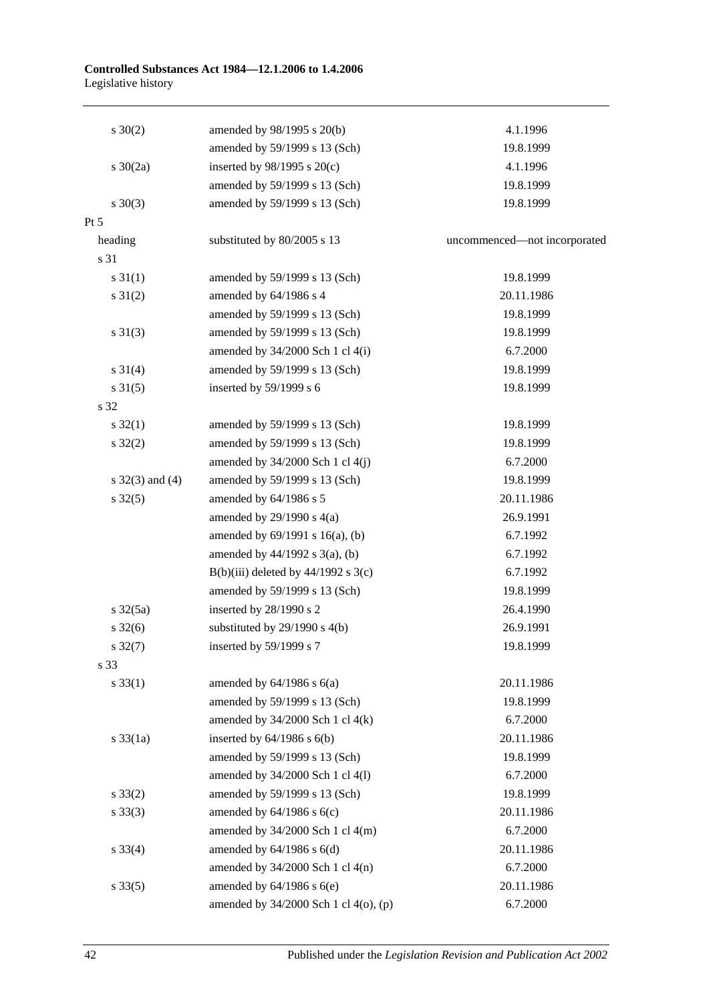| $s \ 30(2)$          | amended by 98/1995 s 20(b)            | 4.1.1996                     |
|----------------------|---------------------------------------|------------------------------|
|                      | amended by 59/1999 s 13 (Sch)         | 19.8.1999                    |
| s $30(2a)$           | inserted by $98/1995$ s $20(c)$       | 4.1.1996                     |
|                      | amended by 59/1999 s 13 (Sch)         | 19.8.1999                    |
| $s \ 30(3)$          | amended by 59/1999 s 13 (Sch)         | 19.8.1999                    |
| Pt 5                 |                                       |                              |
| heading              | substituted by 80/2005 s 13           | uncommenced-not incorporated |
| s 31                 |                                       |                              |
| $s \, 31(1)$         | amended by 59/1999 s 13 (Sch)         | 19.8.1999                    |
| $s \ 31(2)$          | amended by 64/1986 s 4                | 20.11.1986                   |
|                      | amended by 59/1999 s 13 (Sch)         | 19.8.1999                    |
| $s \ 31(3)$          | amended by 59/1999 s 13 (Sch)         | 19.8.1999                    |
|                      | amended by $34/2000$ Sch 1 cl $4(i)$  | 6.7.2000                     |
| $s \ 31(4)$          | amended by 59/1999 s 13 (Sch)         | 19.8.1999                    |
| $s \ 31(5)$          | inserted by 59/1999 s 6               | 19.8.1999                    |
| s 32                 |                                       |                              |
| $s \, 32(1)$         | amended by 59/1999 s 13 (Sch)         | 19.8.1999                    |
| $s \, 32(2)$         | amended by 59/1999 s 13 (Sch)         | 19.8.1999                    |
|                      | amended by $34/2000$ Sch 1 cl $4(j)$  | 6.7.2000                     |
| s $32(3)$ and (4)    | amended by 59/1999 s 13 (Sch)         | 19.8.1999                    |
| $s \, 32(5)$         | amended by 64/1986 s 5                | 20.11.1986                   |
|                      | amended by $29/1990$ s $4(a)$         | 26.9.1991                    |
|                      | amended by $69/1991$ s $16(a)$ , (b)  | 6.7.1992                     |
|                      | amended by $44/1992$ s $3(a)$ , (b)   | 6.7.1992                     |
|                      | B(b)(iii) deleted by $44/1992$ s 3(c) | 6.7.1992                     |
|                      | amended by 59/1999 s 13 (Sch)         | 19.8.1999                    |
| $s \frac{32(5a)}{2}$ | inserted by 28/1990 s 2               | 26.4.1990                    |
| $s \, 32(6)$         | substituted by $29/1990$ s $4(b)$     | 26.9.1991                    |
| $s \, 32(7)$         | inserted by 59/1999 s 7               | 19.8.1999                    |
| s 33                 |                                       |                              |
| $s \, 33(1)$         | amended by $64/1986$ s $6(a)$         | 20.11.1986                   |
|                      | amended by 59/1999 s 13 (Sch)         | 19.8.1999                    |
|                      | amended by $34/2000$ Sch 1 cl $4(k)$  | 6.7.2000                     |
| $s \frac{33}{1a}$    | inserted by $64/1986$ s $6(b)$        | 20.11.1986                   |
|                      | amended by 59/1999 s 13 (Sch)         | 19.8.1999                    |
|                      | amended by 34/2000 Sch 1 cl 4(l)      | 6.7.2000                     |
| $s \, 33(2)$         | amended by 59/1999 s 13 (Sch)         | 19.8.1999                    |
| $s \, 33(3)$         | amended by $64/1986$ s $6(c)$         | 20.11.1986                   |
|                      | amended by $34/2000$ Sch 1 cl $4(m)$  | 6.7.2000                     |
| $s \, 33(4)$         | amended by $64/1986$ s $6(d)$         | 20.11.1986                   |
|                      | amended by $34/2000$ Sch 1 cl $4(n)$  | 6.7.2000                     |
| $s \, 33(5)$         | amended by $64/1986$ s $6(e)$         | 20.11.1986                   |
|                      | amended by 34/2000 Sch 1 cl 4(o), (p) | 6.7.2000                     |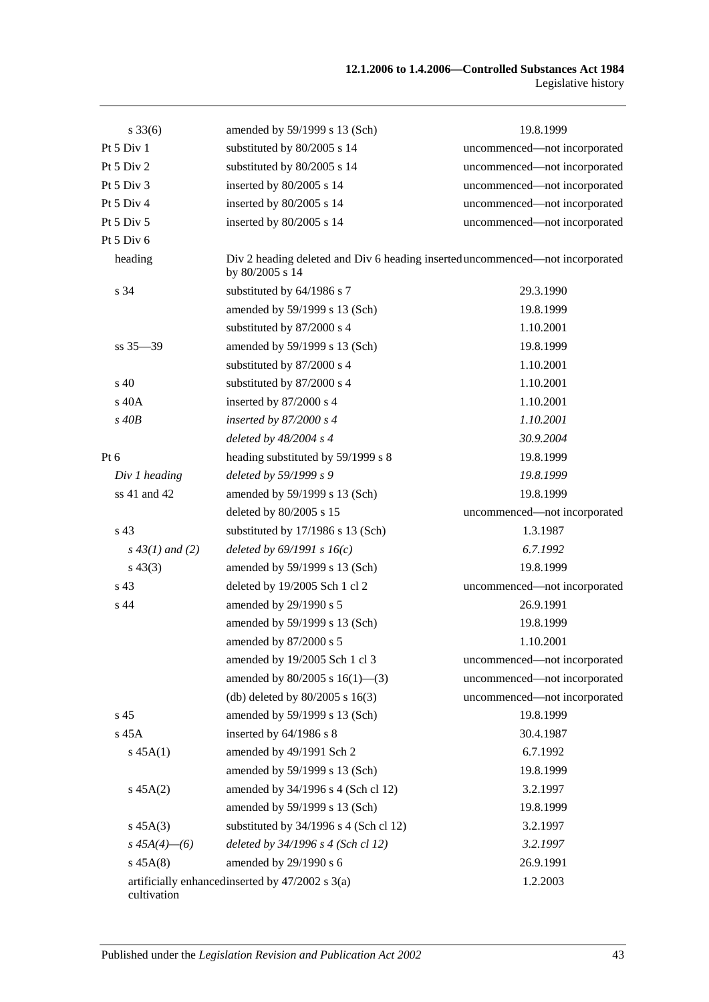| $s \, 33(6)$       | amended by 59/1999 s 13 (Sch)                                                                    | 19.8.1999                    |
|--------------------|--------------------------------------------------------------------------------------------------|------------------------------|
| Pt 5 Div 1         | substituted by 80/2005 s 14                                                                      | uncommenced-not incorporated |
| Pt 5 Div 2         | substituted by 80/2005 s 14                                                                      | uncommenced-not incorporated |
| Pt 5 Div 3         | inserted by 80/2005 s 14                                                                         | uncommenced-not incorporated |
| Pt 5 Div 4         | inserted by 80/2005 s 14                                                                         | uncommenced-not incorporated |
| Pt 5 Div 5         | inserted by 80/2005 s 14                                                                         | uncommenced-not incorporated |
| Pt 5 Div 6         |                                                                                                  |                              |
| heading            | Div 2 heading deleted and Div 6 heading inserted uncommenced—not incorporated<br>by 80/2005 s 14 |                              |
| s 34               | substituted by 64/1986 s 7                                                                       | 29.3.1990                    |
|                    | amended by 59/1999 s 13 (Sch)                                                                    | 19.8.1999                    |
|                    | substituted by 87/2000 s 4                                                                       | 1.10.2001                    |
| $ss 35 - 39$       | amended by 59/1999 s 13 (Sch)                                                                    | 19.8.1999                    |
|                    | substituted by 87/2000 s 4                                                                       | 1.10.2001                    |
| $\mathrm{s}$ 40    | substituted by 87/2000 s 4                                                                       | 1.10.2001                    |
| $s$ 40 $A$         | inserted by 87/2000 s 4                                                                          | 1.10.2001                    |
| $s$ 40 $B$         | inserted by $87/2000 s4$                                                                         | 1.10.2001                    |
|                    | deleted by 48/2004 s 4                                                                           | 30.9.2004                    |
| Pt $6$             | heading substituted by 59/1999 s 8                                                               | 19.8.1999                    |
| Div 1 heading      | deleted by 59/1999 s 9                                                                           | 19.8.1999                    |
| ss 41 and 42       | amended by 59/1999 s 13 (Sch)                                                                    | 19.8.1999                    |
|                    | deleted by 80/2005 s 15                                                                          | uncommenced-not incorporated |
| s <sub>43</sub>    | substituted by 17/1986 s 13 (Sch)                                                                | 1.3.1987                     |
| $s\,43(1)$ and (2) | deleted by $69/1991 s 16(c)$                                                                     | 6.7.1992                     |
| $s\,43(3)$         | amended by 59/1999 s 13 (Sch)                                                                    | 19.8.1999                    |
| s 43               | deleted by 19/2005 Sch 1 cl 2                                                                    | uncommenced-not incorporated |
| s <sub>44</sub>    | amended by 29/1990 s 5                                                                           | 26.9.1991                    |
|                    | amended by 59/1999 s 13 (Sch)                                                                    | 19.8.1999                    |
|                    | amended by 87/2000 s 5                                                                           | 1.10.2001                    |
|                    | amended by 19/2005 Sch 1 cl 3                                                                    | uncommenced-not incorporated |
|                    | amended by $80/2005$ s $16(1)$ —(3)                                                              | uncommenced-not incorporated |
|                    | (db) deleted by $80/2005$ s $16(3)$                                                              | uncommenced-not incorporated |
| s <sub>45</sub>    | amended by 59/1999 s 13 (Sch)                                                                    | 19.8.1999                    |
| s 45A              | inserted by 64/1986 s 8                                                                          | 30.4.1987                    |
| $s\,45A(1)$        | amended by 49/1991 Sch 2                                                                         | 6.7.1992                     |
|                    | amended by 59/1999 s 13 (Sch)                                                                    | 19.8.1999                    |
| $s\,45A(2)$        | amended by 34/1996 s 4 (Sch cl 12)                                                               | 3.2.1997                     |
|                    | amended by 59/1999 s 13 (Sch)                                                                    | 19.8.1999                    |
| $s\,45A(3)$        | substituted by $34/1996$ s 4 (Sch cl 12)                                                         | 3.2.1997                     |
| $s\,45A(4)$ - (6)  | deleted by 34/1996 s 4 (Sch cl 12)                                                               | 3.2.1997                     |
| $s\,45A(8)$        | amended by 29/1990 s 6                                                                           | 26.9.1991                    |
| cultivation        | artificially enhanced inserted by 47/2002 s 3(a)                                                 | 1.2.2003                     |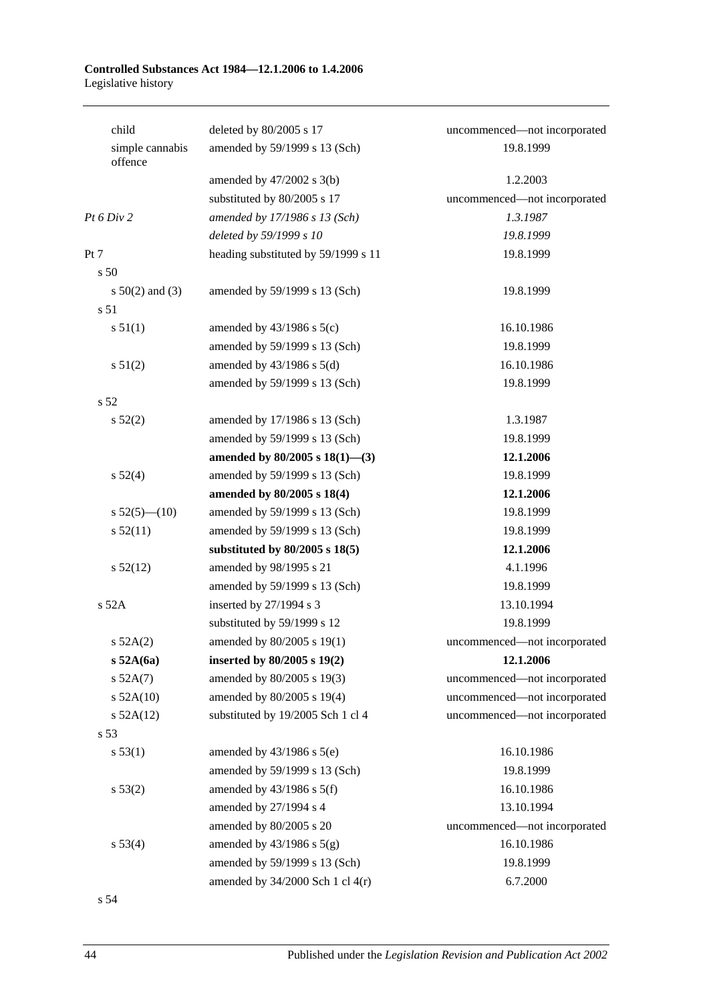| child                      | deleted by 80/2005 s 17              | uncommenced-not incorporated |
|----------------------------|--------------------------------------|------------------------------|
| simple cannabis<br>offence | amended by 59/1999 s 13 (Sch)        | 19.8.1999                    |
|                            | amended by $47/2002$ s 3(b)          | 1.2.2003                     |
|                            | substituted by 80/2005 s 17          | uncommenced-not incorporated |
| Pt 6 Div 2                 | amended by 17/1986 s 13 (Sch)        | 1.3.1987                     |
|                            | deleted by 59/1999 s 10              | 19.8.1999                    |
| Pt 7                       | heading substituted by 59/1999 s 11  | 19.8.1999                    |
| s 50                       |                                      |                              |
| s $50(2)$ and (3)          | amended by 59/1999 s 13 (Sch)        | 19.8.1999                    |
| s 51                       |                                      |                              |
| s 51(1)                    | amended by $43/1986$ s $5(c)$        | 16.10.1986                   |
|                            | amended by 59/1999 s 13 (Sch)        | 19.8.1999                    |
| s 51(2)                    | amended by $43/1986$ s $5(d)$        | 16.10.1986                   |
|                            | amended by 59/1999 s 13 (Sch)        | 19.8.1999                    |
| s 52                       |                                      |                              |
| s 52(2)                    | amended by 17/1986 s 13 (Sch)        | 1.3.1987                     |
|                            | amended by 59/1999 s 13 (Sch)        | 19.8.1999                    |
|                            | amended by $80/2005$ s $18(1)$ —(3)  | 12.1.2006                    |
| s 52(4)                    | amended by 59/1999 s 13 (Sch)        | 19.8.1999                    |
|                            | amended by 80/2005 s 18(4)           | 12.1.2006                    |
| s $52(5)$ (10)             | amended by 59/1999 s 13 (Sch)        | 19.8.1999                    |
| s 52(11)                   | amended by 59/1999 s 13 (Sch)        | 19.8.1999                    |
|                            | substituted by $80/2005$ s $18(5)$   | 12.1.2006                    |
| $s\,52(12)$                | amended by 98/1995 s 21              | 4.1.1996                     |
|                            | amended by 59/1999 s 13 (Sch)        | 19.8.1999                    |
| s 52A                      | inserted by 27/1994 s 3              | 13.10.1994                   |
|                            | substituted by 59/1999 s 12          | 19.8.1999                    |
| $s\,52A(2)$                | amended by 80/2005 s 19(1)           | uncommenced-not incorporated |
| $s$ 52A(6a)                | inserted by 80/2005 s 19(2)          | 12.1.2006                    |
| s 52A(7)                   | amended by 80/2005 s 19(3)           | uncommenced-not incorporated |
| $s$ 52A(10)                | amended by 80/2005 s 19(4)           | uncommenced-not incorporated |
| $s$ 52A(12)                | substituted by 19/2005 Sch 1 cl 4    | uncommenced-not incorporated |
| s 53                       |                                      |                              |
| s 53(1)                    | amended by $43/1986$ s $5(e)$        | 16.10.1986                   |
|                            | amended by 59/1999 s 13 (Sch)        | 19.8.1999                    |
| s 53(2)                    | amended by $43/1986$ s $5(f)$        | 16.10.1986                   |
|                            | amended by 27/1994 s 4               | 13.10.1994                   |
|                            | amended by 80/2005 s 20              | uncommenced-not incorporated |
| s 53(4)                    | amended by $43/1986$ s $5(g)$        | 16.10.1986                   |
|                            | amended by 59/1999 s 13 (Sch)        | 19.8.1999                    |
|                            | amended by $34/2000$ Sch 1 cl $4(r)$ | 6.7.2000                     |
|                            |                                      |                              |

s 54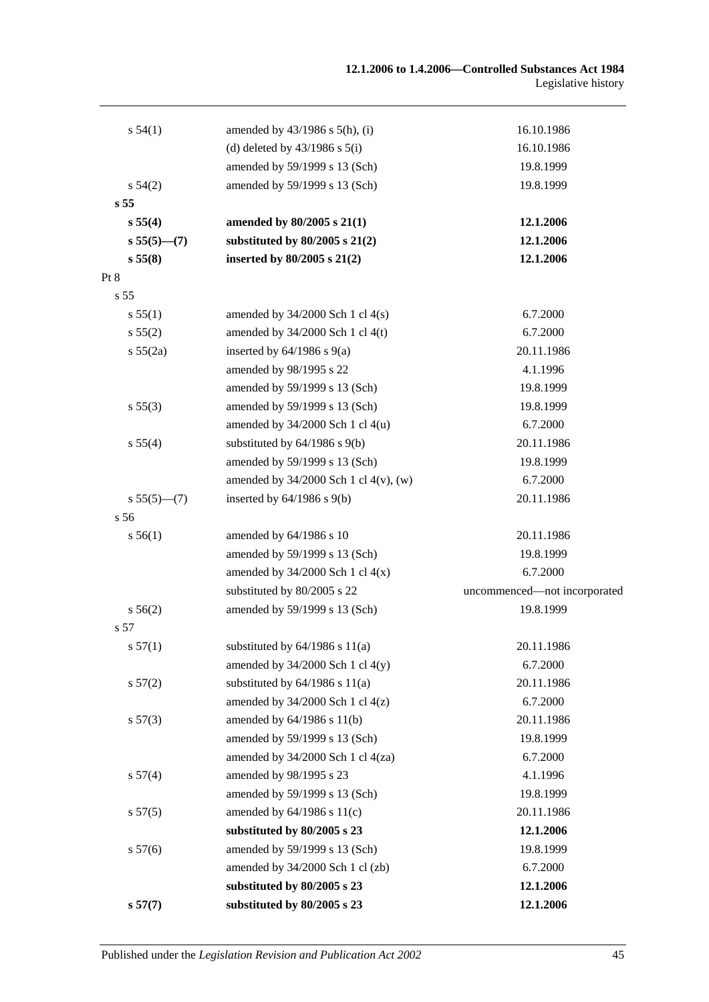| s 54(1)         | amended by $43/1986$ s $5(h)$ , (i)   | 16.10.1986                   |
|-----------------|---------------------------------------|------------------------------|
|                 | (d) deleted by $43/1986$ s $5(i)$     | 16.10.1986                   |
|                 | amended by 59/1999 s 13 (Sch)         | 19.8.1999                    |
| $s\,54(2)$      | amended by 59/1999 s 13 (Sch)         | 19.8.1999                    |
| s 55            |                                       |                              |
| s 55(4)         | amended by 80/2005 s 21(1)            | 12.1.2006                    |
| $s 55(5)$ —(7)  | substituted by $80/2005$ s $21(2)$    | 12.1.2006                    |
| s 55(8)         | inserted by $80/2005$ s $21(2)$       | 12.1.2006                    |
| Pt 8            |                                       |                              |
| s <sub>55</sub> |                                       |                              |
| s 55(1)         | amended by $34/2000$ Sch 1 cl $4(s)$  | 6.7.2000                     |
| s 55(2)         | amended by $34/2000$ Sch 1 cl 4(t)    | 6.7.2000                     |
| s 55(2a)        | inserted by $64/1986$ s $9(a)$        | 20.11.1986                   |
|                 | amended by 98/1995 s 22               | 4.1.1996                     |
|                 | amended by 59/1999 s 13 (Sch)         | 19.8.1999                    |
| s 55(3)         | amended by 59/1999 s 13 (Sch)         | 19.8.1999                    |
|                 | amended by $34/2000$ Sch 1 cl $4(u)$  | 6.7.2000                     |
| s 55(4)         | substituted by $64/1986$ s $9(b)$     | 20.11.1986                   |
|                 | amended by 59/1999 s 13 (Sch)         | 19.8.1999                    |
|                 | amended by 34/2000 Sch 1 cl 4(v), (w) | 6.7.2000                     |
| $s 55(5)$ (7)   | inserted by $64/1986$ s $9(b)$        | 20.11.1986                   |
| s 56            |                                       |                              |
| s 56(1)         | amended by 64/1986 s 10               | 20.11.1986                   |
|                 | amended by 59/1999 s 13 (Sch)         | 19.8.1999                    |
|                 | amended by $34/2000$ Sch 1 cl $4(x)$  | 6.7.2000                     |
|                 | substituted by 80/2005 s 22           | uncommenced-not incorporated |
| s 56(2)         | amended by 59/1999 s 13 (Sch)         | 19.8.1999                    |
| s 57            |                                       |                              |
| s 57(1)         | substituted by $64/1986$ s $11(a)$    | 20.11.1986                   |
|                 | amended by $34/2000$ Sch 1 cl $4(y)$  | 6.7.2000                     |
| s 57(2)         | substituted by $64/1986$ s $11(a)$    | 20.11.1986                   |
|                 | amended by $34/2000$ Sch 1 cl $4(z)$  | 6.7.2000                     |
| s 57(3)         | amended by 64/1986 s 11(b)            | 20.11.1986                   |
|                 | amended by 59/1999 s 13 (Sch)         | 19.8.1999                    |
|                 | amended by 34/2000 Sch 1 cl 4(za)     | 6.7.2000                     |
| s 57(4)         | amended by 98/1995 s 23               | 4.1.1996                     |
|                 | amended by 59/1999 s 13 (Sch)         | 19.8.1999                    |
| s 57(5)         | amended by $64/1986$ s $11(c)$        | 20.11.1986                   |
|                 | substituted by 80/2005 s 23           | 12.1.2006                    |
| s 57(6)         | amended by 59/1999 s 13 (Sch)         | 19.8.1999                    |
|                 | amended by 34/2000 Sch 1 cl (zb)      | 6.7.2000                     |
|                 | substituted by 80/2005 s 23           | 12.1.2006                    |
| s 57(7)         | substituted by 80/2005 s 23           | 12.1.2006                    |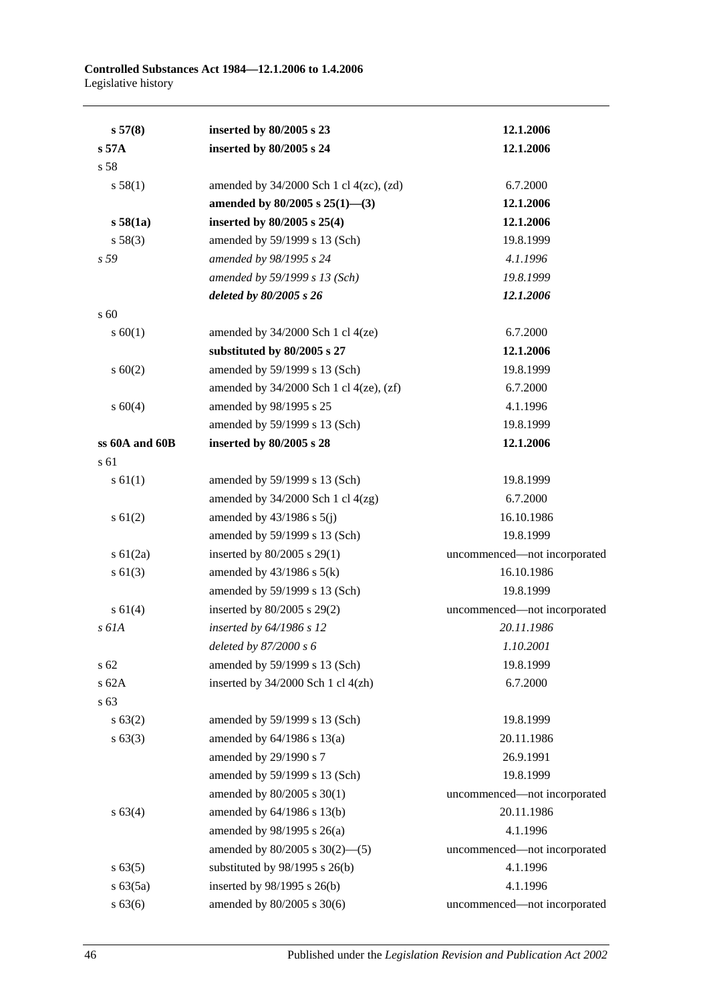| s 57(8)         | inserted by 80/2005 s 23                       | 12.1.2006                    |
|-----------------|------------------------------------------------|------------------------------|
| s 57A           | inserted by 80/2005 s 24                       | 12.1.2006                    |
| s 58            |                                                |                              |
| s 58(1)         | amended by $34/2000$ Sch 1 cl $4(zc)$ , $(zd)$ | 6.7.2000                     |
|                 | amended by $80/2005$ s $25(1)$ —(3)            | 12.1.2006                    |
| s 58(1a)        | inserted by 80/2005 s 25(4)                    | 12.1.2006                    |
| s 58(3)         | amended by 59/1999 s 13 (Sch)                  | 19.8.1999                    |
| s 59            | amended by 98/1995 s 24                        | 4.1.1996                     |
|                 | amended by 59/1999 s 13 (Sch)                  | 19.8.1999                    |
|                 | deleted by 80/2005 s 26                        | 12.1.2006                    |
| s 60            |                                                |                              |
| s 60(1)         | amended by $34/2000$ Sch 1 cl $4(ze)$          | 6.7.2000                     |
|                 | substituted by 80/2005 s 27                    | 12.1.2006                    |
| $s \ 60(2)$     | amended by 59/1999 s 13 (Sch)                  | 19.8.1999                    |
|                 | amended by $34/2000$ Sch 1 cl $4(ze)$ , $(zf)$ | 6.7.2000                     |
| s 60(4)         | amended by 98/1995 s 25                        | 4.1.1996                     |
|                 | amended by 59/1999 s 13 (Sch)                  | 19.8.1999                    |
| ss 60A and 60B  | inserted by 80/2005 s 28                       | 12.1.2006                    |
| s 61            |                                                |                              |
| $s \, 61(1)$    | amended by 59/1999 s 13 (Sch)                  | 19.8.1999                    |
|                 | amended by $34/2000$ Sch 1 cl $4(zg)$          | 6.7.2000                     |
| $s \ 61(2)$     | amended by $43/1986$ s $5(j)$                  | 16.10.1986                   |
|                 | amended by 59/1999 s 13 (Sch)                  | 19.8.1999                    |
| $s \, 61(2a)$   | inserted by 80/2005 s 29(1)                    | uncommenced-not incorporated |
| $s \ 61(3)$     | amended by $43/1986$ s $5(k)$                  | 16.10.1986                   |
|                 | amended by 59/1999 s 13 (Sch)                  | 19.8.1999                    |
| $s \ 61(4)$     | inserted by 80/2005 s 29(2)                    | uncommenced-not incorporated |
| $s$ 61A         | inserted by 64/1986 s 12                       | 20.11.1986                   |
|                 | deleted by $87/2000 s 6$                       | 1.10.2001                    |
| s <sub>62</sub> | amended by 59/1999 s 13 (Sch)                  | 19.8.1999                    |
| $s$ 62A         | inserted by 34/2000 Sch 1 cl 4(zh)             | 6.7.2000                     |
| s 63            |                                                |                              |
| s 63(2)         | amended by 59/1999 s 13 (Sch)                  | 19.8.1999                    |
| $s \, 63(3)$    | amended by $64/1986$ s $13(a)$                 | 20.11.1986                   |
|                 | amended by 29/1990 s 7                         | 26.9.1991                    |
|                 | amended by 59/1999 s 13 (Sch)                  | 19.8.1999                    |
|                 | amended by 80/2005 s 30(1)                     | uncommenced-not incorporated |
| s 63(4)         | amended by 64/1986 s 13(b)                     | 20.11.1986                   |
|                 | amended by 98/1995 s 26(a)                     | 4.1.1996                     |
|                 | amended by $80/2005$ s $30(2)$ —(5)            | uncommenced-not incorporated |
| s 63(5)         | substituted by $98/1995$ s $26(b)$             | 4.1.1996                     |
| $s\,63(5a)$     | inserted by 98/1995 s 26(b)                    | 4.1.1996                     |
| s 63(6)         | amended by 80/2005 s 30(6)                     | uncommenced-not incorporated |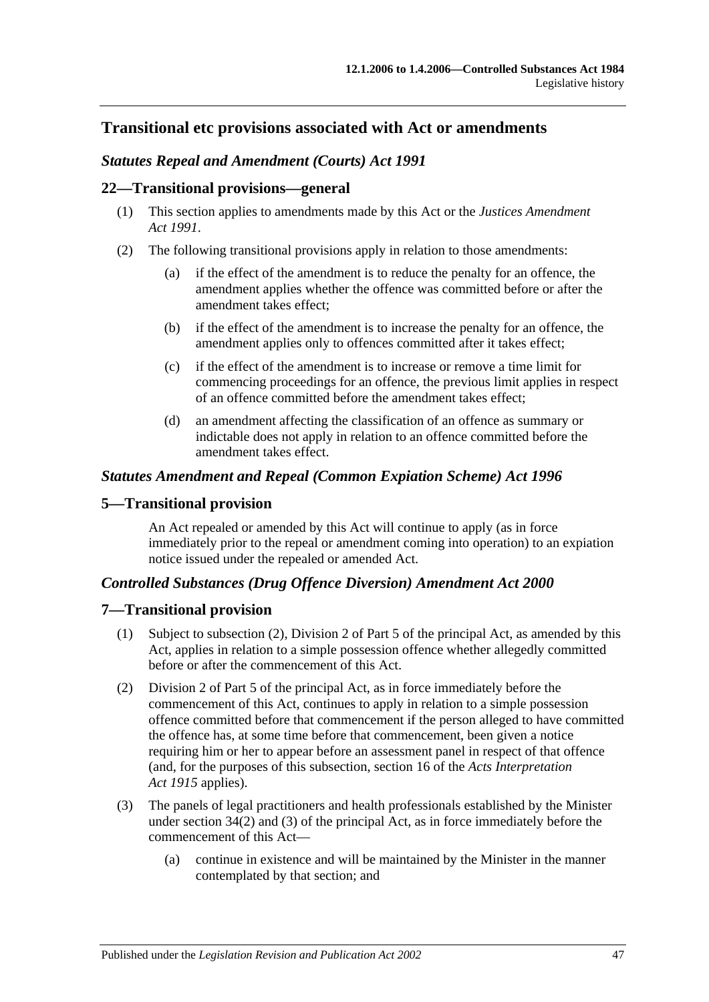## **Transitional etc provisions associated with Act or amendments**

## *Statutes Repeal and Amendment (Courts) Act 1991*

#### **22—Transitional provisions—general**

- (1) This section applies to amendments made by this Act or the *[Justices Amendment](http://www.legislation.sa.gov.au/index.aspx?action=legref&type=act&legtitle=Justices%20Amendment%20Act%201991)  Act [1991](http://www.legislation.sa.gov.au/index.aspx?action=legref&type=act&legtitle=Justices%20Amendment%20Act%201991)*.
- (2) The following transitional provisions apply in relation to those amendments:
	- (a) if the effect of the amendment is to reduce the penalty for an offence, the amendment applies whether the offence was committed before or after the amendment takes effect;
	- (b) if the effect of the amendment is to increase the penalty for an offence, the amendment applies only to offences committed after it takes effect;
	- (c) if the effect of the amendment is to increase or remove a time limit for commencing proceedings for an offence, the previous limit applies in respect of an offence committed before the amendment takes effect;
	- (d) an amendment affecting the classification of an offence as summary or indictable does not apply in relation to an offence committed before the amendment takes effect.

#### *Statutes Amendment and Repeal (Common Expiation Scheme) Act 1996*

#### **5—Transitional provision**

An Act repealed or amended by this Act will continue to apply (as in force immediately prior to the repeal or amendment coming into operation) to an expiation notice issued under the repealed or amended Act.

#### *Controlled Substances (Drug Offence Diversion) Amendment Act 2000*

#### **7—Transitional provision**

- (1) Subject to subsection (2), Division 2 of Part 5 of the principal Act, as amended by this Act, applies in relation to a simple possession offence whether allegedly committed before or after the commencement of this Act.
- (2) Division 2 of Part 5 of the principal Act, as in force immediately before the commencement of this Act, continues to apply in relation to a simple possession offence committed before that commencement if the person alleged to have committed the offence has, at some time before that commencement, been given a notice requiring him or her to appear before an assessment panel in respect of that offence (and, for the purposes of this subsection, section 16 of the *[Acts Interpretation](http://www.legislation.sa.gov.au/index.aspx?action=legref&type=act&legtitle=Acts%20Interpretation%20Act%201915)  Act [1915](http://www.legislation.sa.gov.au/index.aspx?action=legref&type=act&legtitle=Acts%20Interpretation%20Act%201915)* applies).
- (3) The panels of legal practitioners and health professionals established by the Minister under section 34(2) and (3) of the principal Act, as in force immediately before the commencement of this Act—
	- (a) continue in existence and will be maintained by the Minister in the manner contemplated by that section; and